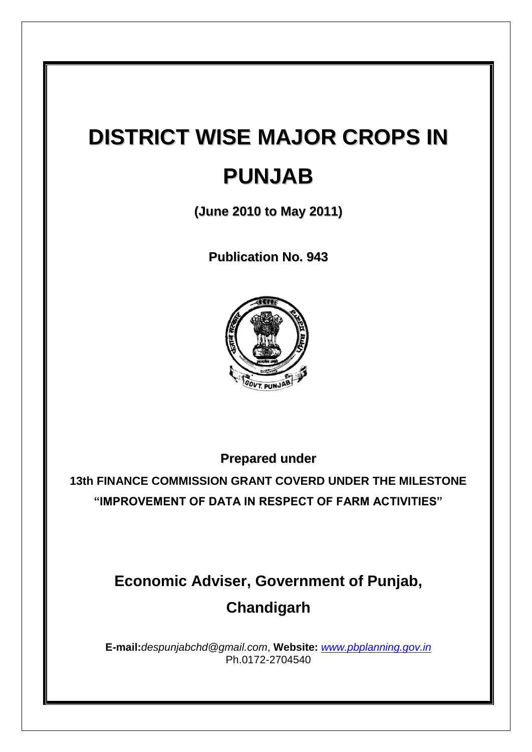# **DISTRICT WISE MAJOR CROPS IN PUNJAB**

**(June 2010 to May 2011)**

**Publication No. 943**



**Prepared under**

**13th FINANCE COMMISSION GRANT COVERD UNDER THE MILESTONE "IMPROVEMENT OF DATA IN RESPECT OF FARM ACTIVITIES"**

# **Economic Adviser, Government of Punjab, Chandigarh**

**E-mail:***despunjabchd@gmail.com*, **Website:** *[www.pbplanning.gov.in](http://www.pbplanning.gov.in/)* Ph.0172-2704540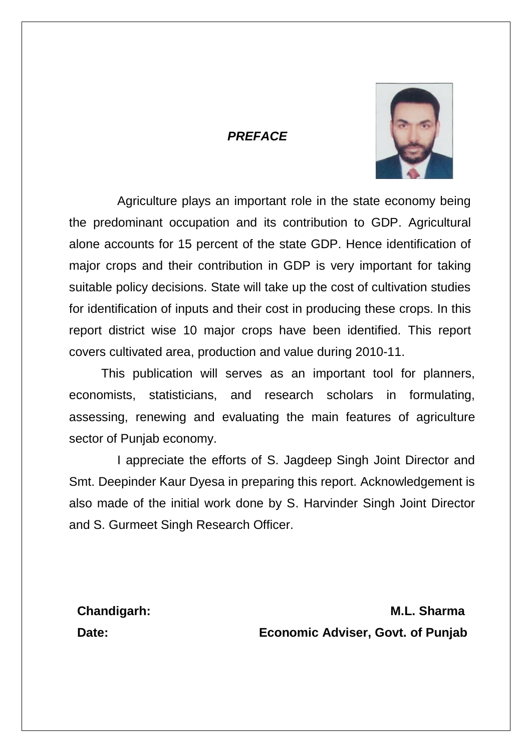# *PREFACE*



Agriculture plays an important role in the state economy being the predominant occupation and its contribution to GDP. Agricultural alone accounts for 15 percent of the state GDP. Hence identification of major crops and their contribution in GDP is very important for taking suitable policy decisions. State will take up the cost of cultivation studies for identification of inputs and their cost in producing these crops. In this report district wise 10 major crops have been identified. This report covers cultivated area, production and value during 2010-11.

This publication will serves as an important tool for planners, economists, statisticians, and research scholars in formulating, assessing, renewing and evaluating the main features of agriculture sector of Punjab economy.

I appreciate the efforts of S. Jagdeep Singh Joint Director and Smt. Deepinder Kaur Dyesa in preparing this report. Acknowledgement is also made of the initial work done by S. Harvinder Singh Joint Director and S. Gurmeet Singh Research Officer.

**Chandigarh: M.L. Sharma Date: Economic Adviser, Govt. of Punjab**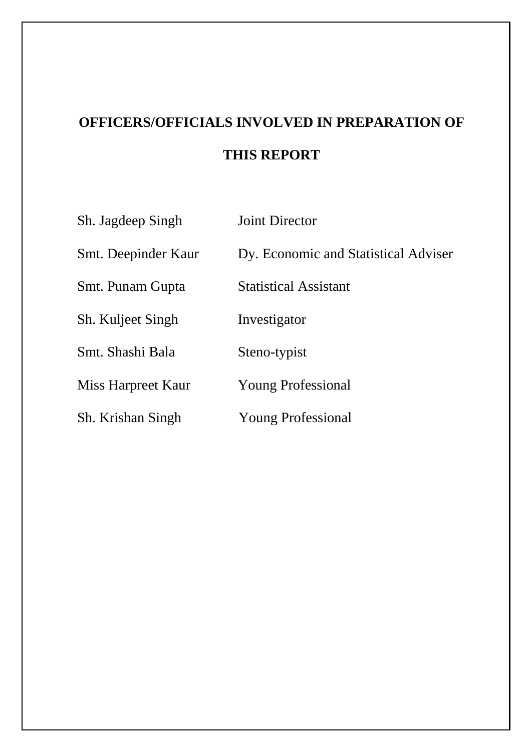# **OFFICERS/OFFICIALS INVOLVED IN PREPARATION OF THIS REPORT**

| Sh. Jagdeep Singh   | <b>Joint Director</b>                |
|---------------------|--------------------------------------|
| Smt. Deepinder Kaur | Dy. Economic and Statistical Adviser |
| Smt. Punam Gupta    | <b>Statistical Assistant</b>         |
| Sh. Kuljeet Singh   | Investigator                         |
| Smt. Shashi Bala    | Steno-typist                         |
| Miss Harpreet Kaur  | <b>Young Professional</b>            |
| Sh. Krishan Singh   | <b>Young Professional</b>            |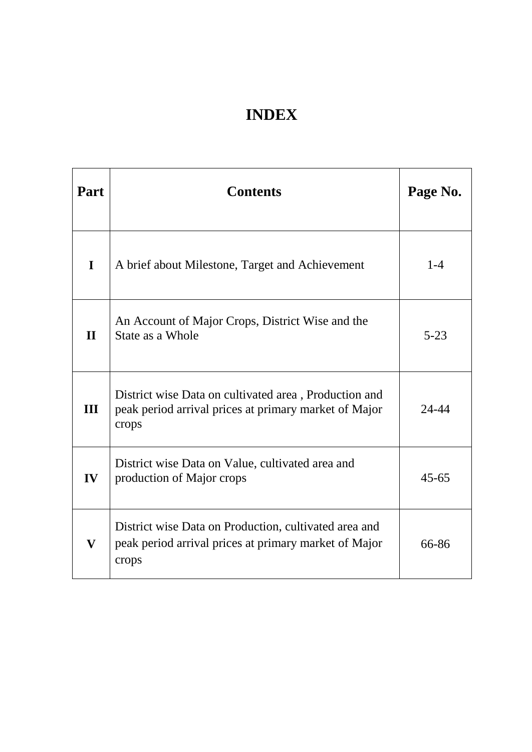# **INDEX**

| Part                    | <b>Contents</b>                                                                                                         | Page No.  |
|-------------------------|-------------------------------------------------------------------------------------------------------------------------|-----------|
| $\mathbf I$             | A brief about Milestone, Target and Achievement                                                                         | $1 - 4$   |
| $\mathbf{H}$            | An Account of Major Crops, District Wise and the<br>State as a Whole                                                    | $5 - 23$  |
| III                     | District wise Data on cultivated area, Production and<br>peak period arrival prices at primary market of Major<br>crops | $24 - 44$ |
| IV                      | District wise Data on Value, cultivated area and<br>production of Major crops                                           | $45 - 65$ |
| $\overline{\mathbf{V}}$ | District wise Data on Production, cultivated area and<br>peak period arrival prices at primary market of Major<br>crops | 66-86     |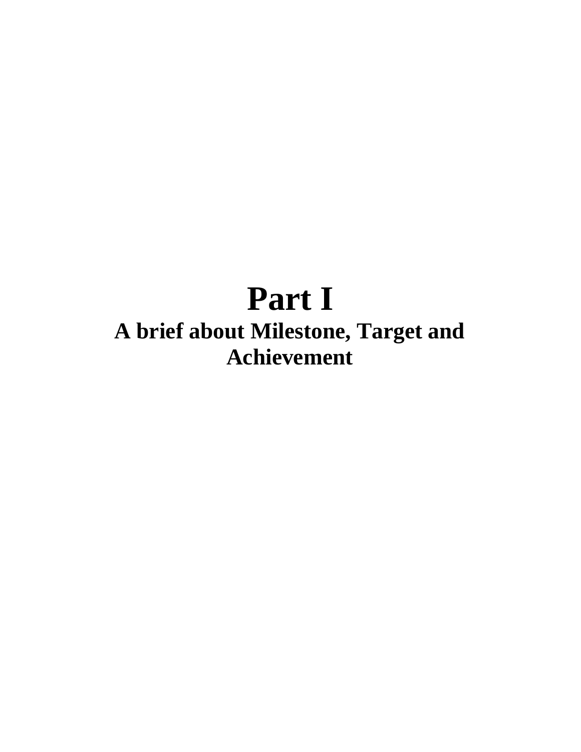# **Part I A brief about Milestone, Target and Achievement**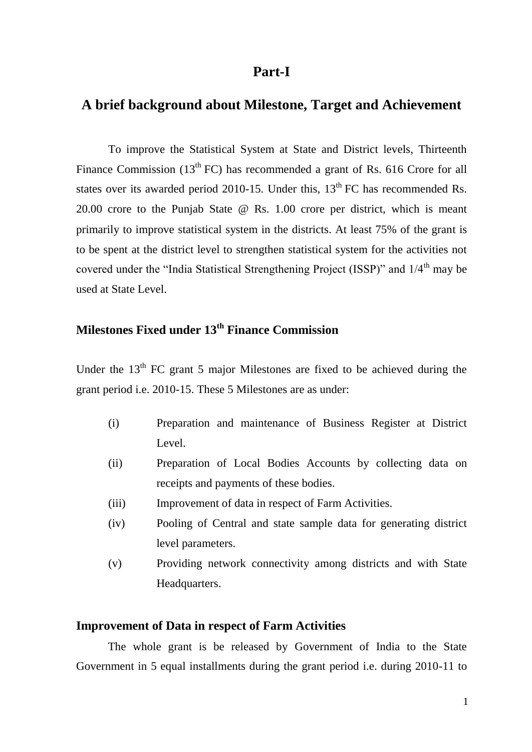# **Part-I**

# **A brief background about Milestone, Target and Achievement**

To improve the Statistical System at State and District levels, Thirteenth Finance Commission (13<sup>th</sup> FC) has recommended a grant of Rs. 616 Crore for all states over its awarded period 2010-15. Under this, 13<sup>th</sup> FC has recommended Rs. 20.00 crore to the Punjab State @ Rs. 1.00 crore per district, which is meant primarily to improve statistical system in the districts. At least 75% of the grant is to be spent at the district level to strengthen statistical system for the activities not covered under the "India Statistical Strengthening Project (ISSP)" and  $1/4<sup>th</sup>$  may be used at State Level.

# **Milestones Fixed under 13th Finance Commission**

Under the  $13<sup>th</sup>$  FC grant 5 major Milestones are fixed to be achieved during the grant period i.e. 2010-15. These 5 Milestones are as under:

- (i) Preparation and maintenance of Business Register at District Level.
- (ii) Preparation of Local Bodies Accounts by collecting data on receipts and payments of these bodies.
- (iii) Improvement of data in respect of Farm Activities.
- (iv) Pooling of Central and state sample data for generating district level parameters.
- (v) Providing network connectivity among districts and with State Headquarters.

#### **Improvement of Data in respect of Farm Activities**

 The whole grant is be released by Government of India to the State Government in 5 equal installments during the grant period i.e. during 2010-11 to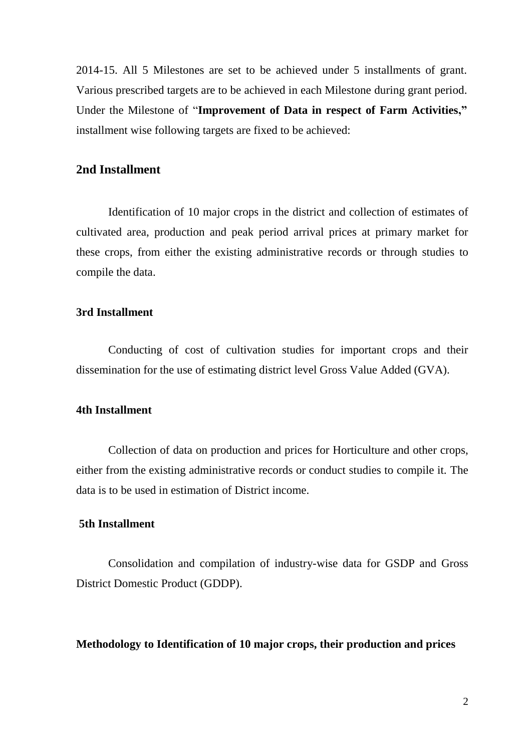2014-15. All 5 Milestones are set to be achieved under 5 installments of grant. Various prescribed targets are to be achieved in each Milestone during grant period. Under the Milestone of "**Improvement of Data in respect of Farm Activities,"** installment wise following targets are fixed to be achieved:

## **2nd Installment**

Identification of 10 major crops in the district and collection of estimates of cultivated area, production and peak period arrival prices at primary market for these crops, from either the existing administrative records or through studies to compile the data.

# **3rd Installment**

Conducting of cost of cultivation studies for important crops and their dissemination for the use of estimating district level Gross Value Added (GVA).

## **4th Installment**

Collection of data on production and prices for Horticulture and other crops, either from the existing administrative records or conduct studies to compile it. The data is to be used in estimation of District income.

## **5th Installment**

Consolidation and compilation of industry-wise data for GSDP and Gross District Domestic Product (GDDP).

#### **Methodology to Identification of 10 major crops, their production and prices**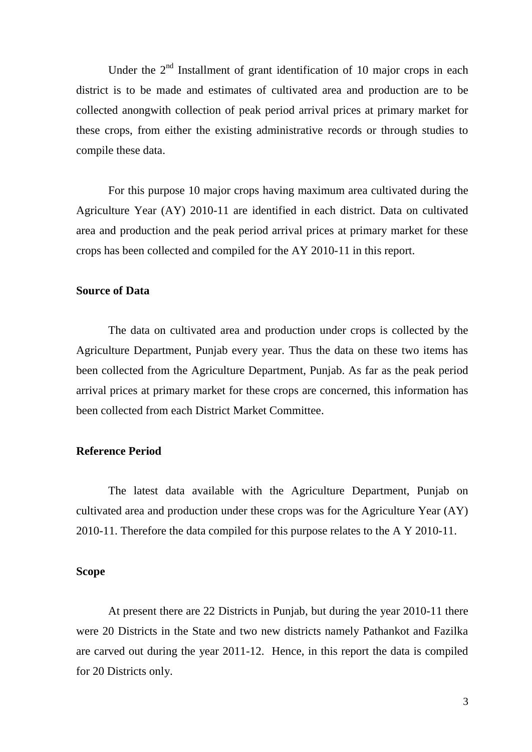Under the  $2<sup>nd</sup>$  Installment of grant identification of 10 major crops in each district is to be made and estimates of cultivated area and production are to be collected anongwith collection of peak period arrival prices at primary market for these crops, from either the existing administrative records or through studies to compile these data.

For this purpose 10 major crops having maximum area cultivated during the Agriculture Year (AY) 2010-11 are identified in each district. Data on cultivated area and production and the peak period arrival prices at primary market for these crops has been collected and compiled for the AY 2010-11 in this report.

#### **Source of Data**

The data on cultivated area and production under crops is collected by the Agriculture Department, Punjab every year. Thus the data on these two items has been collected from the Agriculture Department, Punjab. As far as the peak period arrival prices at primary market for these crops are concerned, this information has been collected from each District Market Committee.

## **Reference Period**

The latest data available with the Agriculture Department, Punjab on cultivated area and production under these crops was for the Agriculture Year (AY) 2010-11. Therefore the data compiled for this purpose relates to the A Y 2010-11.

## **Scope**

At present there are 22 Districts in Punjab, but during the year 2010-11 there were 20 Districts in the State and two new districts namely Pathankot and Fazilka are carved out during the year 2011-12. Hence, in this report the data is compiled for 20 Districts only.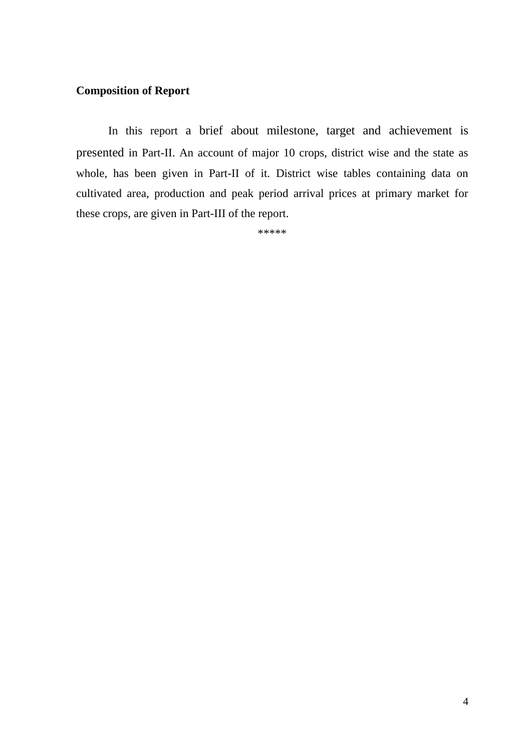# **Composition of Report**

In this report a brief about milestone, target and achievement is presented in Part-II. An account of major 10 crops, district wise and the state as whole, has been given in Part-II of it. District wise tables containing data on cultivated area, production and peak period arrival prices at primary market for these crops, are given in Part-III of the report.

\*\*\*\*\*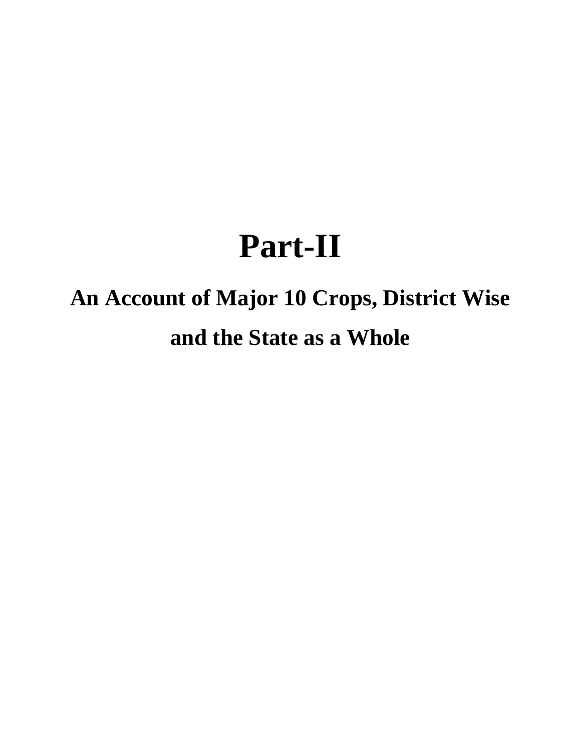# **Part-II**

# **An Account of Major 10 Crops, District Wise and the State as a Whole**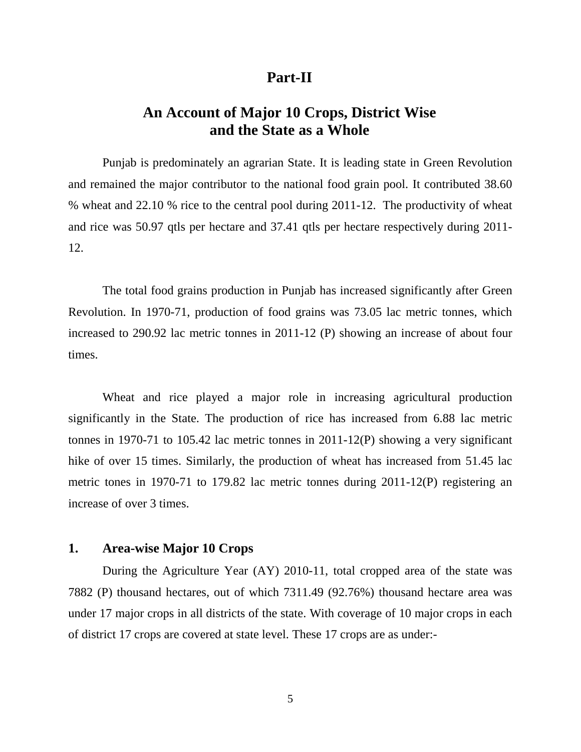# **Part-II**

# **An Account of Major 10 Crops, District Wise and the State as a Whole**

Punjab is predominately an agrarian State. It is leading state in Green Revolution and remained the major contributor to the national food grain pool. It contributed 38.60 % wheat and 22.10 % rice to the central pool during 2011-12. The productivity of wheat and rice was 50.97 qtls per hectare and 37.41 qtls per hectare respectively during 2011- 12.

The total food grains production in Punjab has increased significantly after Green Revolution. In 1970-71, production of food grains was 73.05 lac metric tonnes, which increased to 290.92 lac metric tonnes in 2011-12 (P) showing an increase of about four times.

Wheat and rice played a major role in increasing agricultural production significantly in the State. The production of rice has increased from 6.88 lac metric tonnes in 1970-71 to 105.42 lac metric tonnes in 2011-12(P) showing a very significant hike of over 15 times. Similarly, the production of wheat has increased from 51.45 lac metric tones in 1970-71 to 179.82 lac metric tonnes during 2011-12(P) registering an increase of over 3 times.

## **1. Area-wise Major 10 Crops**

During the Agriculture Year (AY) 2010-11, total cropped area of the state was 7882 (P) thousand hectares, out of which 7311.49 (92.76%) thousand hectare area was under 17 major crops in all districts of the state. With coverage of 10 major crops in each of district 17 crops are covered at state level. These 17 crops are as under:-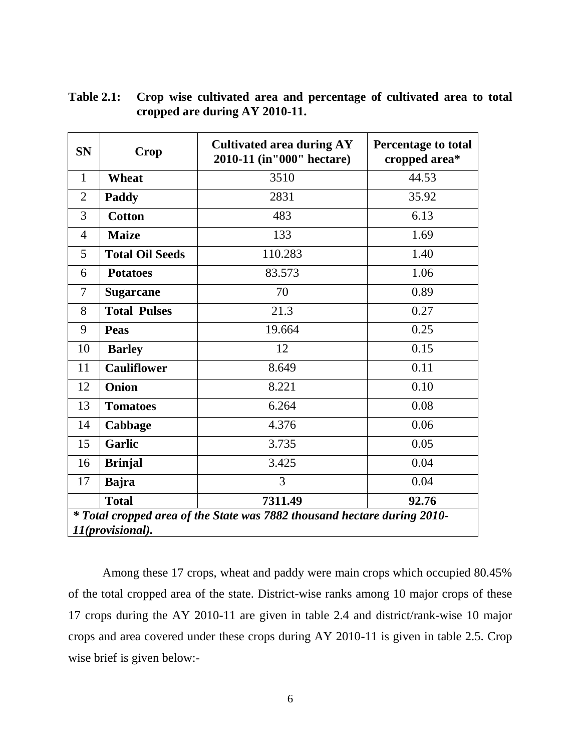| <b>SN</b>                                                                                    | Crop                   | <b>Cultivated area during AY</b><br>2010-11 (in"000" hectare) | <b>Percentage to total</b><br>cropped area* |  |  |  |  |  |  |  |
|----------------------------------------------------------------------------------------------|------------------------|---------------------------------------------------------------|---------------------------------------------|--|--|--|--|--|--|--|
| $\mathbf{1}$                                                                                 | <b>Wheat</b>           | 3510                                                          | 44.53                                       |  |  |  |  |  |  |  |
| 2                                                                                            | Paddy                  | 2831                                                          | 35.92                                       |  |  |  |  |  |  |  |
| 3                                                                                            | <b>Cotton</b>          | 483                                                           | 6.13                                        |  |  |  |  |  |  |  |
| $\overline{4}$                                                                               | <b>Maize</b>           | 133                                                           | 1.69                                        |  |  |  |  |  |  |  |
| 5                                                                                            | <b>Total Oil Seeds</b> | 110.283                                                       | 1.40                                        |  |  |  |  |  |  |  |
| 6                                                                                            | <b>Potatoes</b>        | 83.573                                                        | 1.06                                        |  |  |  |  |  |  |  |
| 7                                                                                            | <b>Sugarcane</b>       | 70                                                            | 0.89                                        |  |  |  |  |  |  |  |
| 8                                                                                            | <b>Total Pulses</b>    | 21.3                                                          | 0.27                                        |  |  |  |  |  |  |  |
| 9                                                                                            | <b>Peas</b>            | 19.664                                                        | 0.25                                        |  |  |  |  |  |  |  |
| 10                                                                                           | <b>Barley</b>          | 12                                                            | 0.15                                        |  |  |  |  |  |  |  |
| 11                                                                                           | <b>Cauliflower</b>     | 8.649                                                         | 0.11                                        |  |  |  |  |  |  |  |
| 12                                                                                           | Onion                  | 8.221                                                         | 0.10                                        |  |  |  |  |  |  |  |
| 13                                                                                           | <b>Tomatoes</b>        | 6.264                                                         | 0.08                                        |  |  |  |  |  |  |  |
| 14                                                                                           | Cabbage                | 4.376                                                         | 0.06                                        |  |  |  |  |  |  |  |
| 15                                                                                           | Garlic                 | 3.735                                                         | 0.05                                        |  |  |  |  |  |  |  |
| 16                                                                                           | <b>Brinjal</b>         | 3.425                                                         | 0.04                                        |  |  |  |  |  |  |  |
| 17                                                                                           | <b>Bajra</b>           | 3                                                             | 0.04                                        |  |  |  |  |  |  |  |
|                                                                                              | <b>Total</b>           | 7311.49                                                       | 92.76                                       |  |  |  |  |  |  |  |
| * Total cropped area of the State was 7882 thousand hectare during 2010-<br>11(provisional). |                        |                                                               |                                             |  |  |  |  |  |  |  |

**Table 2.1: Crop wise cultivated area and percentage of cultivated area to total cropped are during AY 2010-11.**

Among these 17 crops, wheat and paddy were main crops which occupied 80.45% of the total cropped area of the state. District-wise ranks among 10 major crops of these 17 crops during the AY 2010-11 are given in table 2.4 and district/rank-wise 10 major crops and area covered under these crops during AY 2010-11 is given in table 2.5. Crop wise brief is given below:-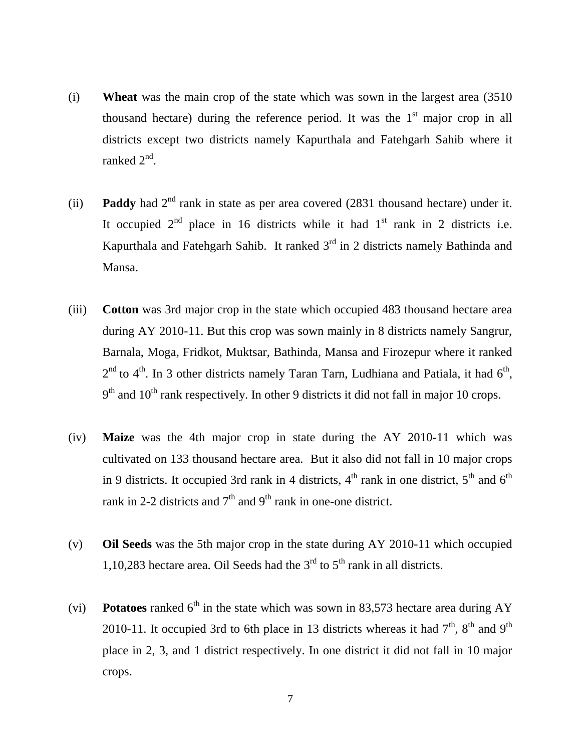- (i) **Wheat** was the main crop of the state which was sown in the largest area (3510 thousand hectare) during the reference period. It was the  $1<sup>st</sup>$  major crop in all districts except two districts namely Kapurthala and Fatehgarh Sahib where it ranked 2<sup>nd</sup>.
- (ii) **Paddy** had  $2<sup>nd</sup>$  rank in state as per area covered (2831 thousand hectare) under it. It occupied  $2<sup>nd</sup>$  place in 16 districts while it had  $1<sup>st</sup>$  rank in 2 districts i.e. Kapurthala and Fatehgarh Sahib. It ranked  $3<sup>rd</sup>$  in 2 districts namely Bathinda and Mansa.
- (iii) **Cotton** was 3rd major crop in the state which occupied 483 thousand hectare area during AY 2010-11. But this crop was sown mainly in 8 districts namely Sangrur, Barnala, Moga, Fridkot, Muktsar, Bathinda, Mansa and Firozepur where it ranked  $2<sup>nd</sup>$  to 4<sup>th</sup>. In 3 other districts namely Taran Tarn, Ludhiana and Patiala, it had 6<sup>th</sup>,  $9<sup>th</sup>$  and  $10<sup>th</sup>$  rank respectively. In other 9 districts it did not fall in major 10 crops.
- (iv) **Maize** was the 4th major crop in state during the AY 2010-11 which was cultivated on 133 thousand hectare area. But it also did not fall in 10 major crops in 9 districts. It occupied 3rd rank in 4 districts,  $4^{\text{th}}$  rank in one district,  $5^{\text{th}}$  and  $6^{\text{th}}$ rank in 2-2 districts and  $7<sup>th</sup>$  and  $9<sup>th</sup>$  rank in one-one district.
- (v) **Oil Seeds** was the 5th major crop in the state during AY 2010-11 which occupied 1,10,283 hectare area. Oil Seeds had the  $3<sup>rd</sup>$  to  $5<sup>th</sup>$  rank in all districts.
- (vi) **Potatoes** ranked  $6^{th}$  in the state which was sown in 83,573 hectare area during AY 2010-11. It occupied 3rd to 6th place in 13 districts whereas it had  $7<sup>th</sup>$ ,  $8<sup>th</sup>$  and  $9<sup>th</sup>$ place in 2, 3, and 1 district respectively. In one district it did not fall in 10 major crops.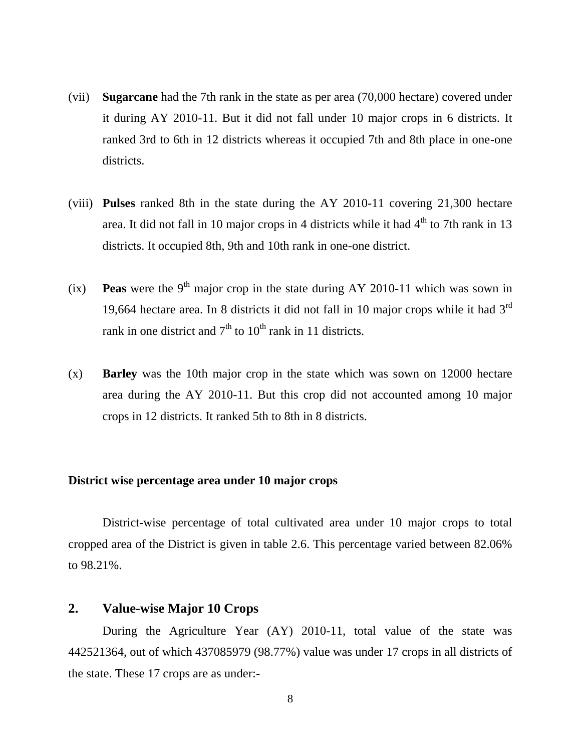- (vii) **Sugarcane** had the 7th rank in the state as per area (70,000 hectare) covered under it during AY 2010-11. But it did not fall under 10 major crops in 6 districts. It ranked 3rd to 6th in 12 districts whereas it occupied 7th and 8th place in one-one districts.
- (viii) **Pulses** ranked 8th in the state during the AY 2010-11 covering 21,300 hectare area. It did not fall in 10 major crops in 4 districts while it had  $4<sup>th</sup>$  to 7th rank in 13 districts. It occupied 8th, 9th and 10th rank in one-one district.
- (ix) **Peas** were the 9<sup>th</sup> major crop in the state during AY 2010-11 which was sown in 19,664 hectare area. In 8 districts it did not fall in 10 major crops while it had  $3<sup>rd</sup>$ rank in one district and  $7<sup>th</sup>$  to  $10<sup>th</sup>$  rank in 11 districts.
- (x) **Barley** was the 10th major crop in the state which was sown on 12000 hectare area during the AY 2010-11. But this crop did not accounted among 10 major crops in 12 districts. It ranked 5th to 8th in 8 districts.

#### **District wise percentage area under 10 major crops**

District-wise percentage of total cultivated area under 10 major crops to total cropped area of the District is given in table 2.6. This percentage varied between 82.06% to 98.21%.

# **2. Value-wise Major 10 Crops**

During the Agriculture Year (AY) 2010-11, total value of the state was 442521364, out of which 437085979 (98.77%) value was under 17 crops in all districts of the state. These 17 crops are as under:-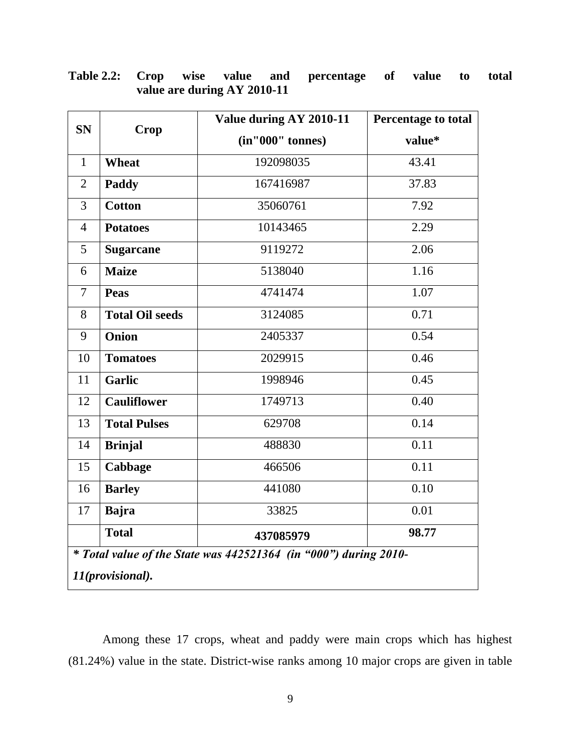| <b>SN</b>      |                        | Value during AY 2010-11                                            | <b>Percentage to total</b> |  |  |  |  |  |  |  |  |
|----------------|------------------------|--------------------------------------------------------------------|----------------------------|--|--|--|--|--|--|--|--|
|                | Crop                   | (in''000'' tonnes)                                                 | value*                     |  |  |  |  |  |  |  |  |
| $\mathbf{1}$   | Wheat                  | 192098035                                                          | 43.41                      |  |  |  |  |  |  |  |  |
| $\overline{2}$ | Paddy                  | 167416987                                                          | 37.83                      |  |  |  |  |  |  |  |  |
| 3              | <b>Cotton</b>          | 35060761                                                           | 7.92                       |  |  |  |  |  |  |  |  |
| $\overline{4}$ | <b>Potatoes</b>        | 10143465                                                           | 2.29                       |  |  |  |  |  |  |  |  |
| 5              | <b>Sugarcane</b>       | 9119272                                                            | 2.06                       |  |  |  |  |  |  |  |  |
| 6              | <b>Maize</b>           | 5138040                                                            | 1.16                       |  |  |  |  |  |  |  |  |
| $\overline{7}$ | <b>Peas</b>            | 4741474                                                            | 1.07                       |  |  |  |  |  |  |  |  |
| 8              | <b>Total Oil seeds</b> | 3124085                                                            | 0.71                       |  |  |  |  |  |  |  |  |
| 9              | <b>Onion</b>           | 2405337                                                            | 0.54                       |  |  |  |  |  |  |  |  |
| 10             | <b>Tomatoes</b>        | 2029915                                                            | 0.46                       |  |  |  |  |  |  |  |  |
| 11             | <b>Garlic</b>          | 1998946                                                            | 0.45                       |  |  |  |  |  |  |  |  |
| 12             | <b>Cauliflower</b>     | 1749713                                                            | 0.40                       |  |  |  |  |  |  |  |  |
| 13             | <b>Total Pulses</b>    | 629708                                                             | 0.14                       |  |  |  |  |  |  |  |  |
| 14             | <b>Brinjal</b>         | 488830                                                             | 0.11                       |  |  |  |  |  |  |  |  |
| 15             | Cabbage                | 466506                                                             | 0.11                       |  |  |  |  |  |  |  |  |
| 16             | <b>Barley</b>          | 441080                                                             | 0.10                       |  |  |  |  |  |  |  |  |
| 17             | <b>Bajra</b>           | 33825                                                              | 0.01                       |  |  |  |  |  |  |  |  |
|                | <b>Total</b>           | 437085979                                                          | 98.77                      |  |  |  |  |  |  |  |  |
|                |                        | $*$ Total value of the State was 442521364 (in "000") during 2010- |                            |  |  |  |  |  |  |  |  |
|                | 11(provisional).       |                                                                    |                            |  |  |  |  |  |  |  |  |

# **Table 2.2: Crop wise value and percentage of value to total value are during AY 2010-11**

Among these 17 crops, wheat and paddy were main crops which has highest (81.24%) value in the state. District-wise ranks among 10 major crops are given in table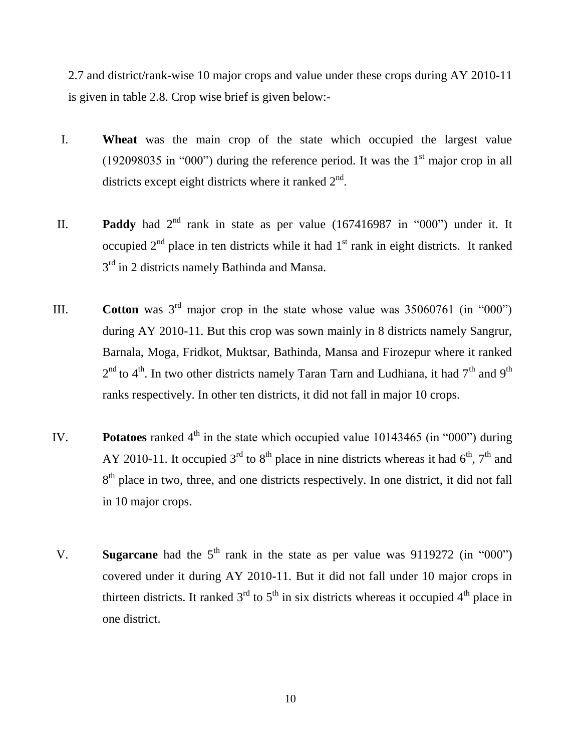2.7 and district/rank-wise 10 major crops and value under these crops during AY 2010-11 is given in table 2.8. Crop wise brief is given below:-

- I. **Wheat** was the main crop of the state which occupied the largest value (192098035 in "000") during the reference period. It was the  $1<sup>st</sup>$  major crop in all districts except eight districts where it ranked  $2<sup>nd</sup>$ .
- II. **Paddy** had  $2<sup>nd</sup>$  rank in state as per value (167416987 in "000") under it. It occupied  $2<sup>nd</sup>$  place in ten districts while it had  $1<sup>st</sup>$  rank in eight districts. It ranked 3<sup>rd</sup> in 2 districts namely Bathinda and Mansa.
- III. **Cotton** was  $3^{rd}$  major crop in the state whose value was  $35060761$  (in "000") during AY 2010-11. But this crop was sown mainly in 8 districts namely Sangrur, Barnala, Moga, Fridkot, Muktsar, Bathinda, Mansa and Firozepur where it ranked  $2<sup>nd</sup>$  to 4<sup>th</sup>. In two other districts namely Taran Tarn and Ludhiana, it had 7<sup>th</sup> and 9<sup>th</sup> ranks respectively. In other ten districts, it did not fall in major 10 crops.
- IV. **Potatoes** ranked  $4<sup>th</sup>$  in the state which occupied value 10143465 (in "000") during AY 2010-11. It occupied 3<sup>rd</sup> to 8<sup>th</sup> place in nine districts whereas it had 6<sup>th</sup>, 7<sup>th</sup> and 8<sup>th</sup> place in two, three, and one districts respectively. In one district, it did not fall in 10 major crops.
- V. **Sugarcane** had the  $5<sup>th</sup>$  rank in the state as per value was 9119272 (in "000") covered under it during AY 2010-11. But it did not fall under 10 major crops in thirteen districts. It ranked  $3<sup>rd</sup>$  to  $5<sup>th</sup>$  in six districts whereas it occupied 4<sup>th</sup> place in one district.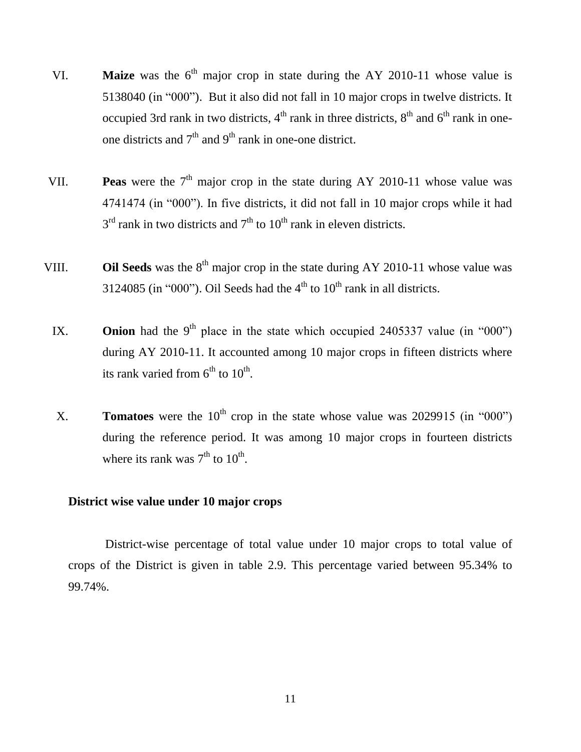- VI. **Maize** was the  $6<sup>th</sup>$  major crop in state during the AY 2010-11 whose value is 5138040 (in "000"). But it also did not fall in 10 major crops in twelve districts. It occupied 3rd rank in two districts,  $4<sup>th</sup>$  rank in three districts,  $8<sup>th</sup>$  and  $6<sup>th</sup>$  rank in oneone districts and  $7<sup>th</sup>$  and  $9<sup>th</sup>$  rank in one-one district.
- VII. **Peas** were the  $7<sup>th</sup>$  major crop in the state during AY 2010-11 whose value was 4741474 (in "000"). In five districts, it did not fall in 10 major crops while it had  $3<sup>rd</sup>$  rank in two districts and  $7<sup>th</sup>$  to  $10<sup>th</sup>$  rank in eleven districts.
- VIII. **Oil Seeds** was the  $8<sup>th</sup>$  major crop in the state during AY 2010-11 whose value was 3124085 (in "000"). Oil Seeds had the  $4<sup>th</sup>$  to  $10<sup>th</sup>$  rank in all districts.
	- IX. **Onion** had the 9<sup>th</sup> place in the state which occupied 2405337 value (in "000") during AY 2010-11. It accounted among 10 major crops in fifteen districts where its rank varied from  $6^{th}$  to  $10^{th}$ .
	- X. **Tomatoes** were the  $10^{th}$  crop in the state whose value was 2029915 (in "000") during the reference period. It was among 10 major crops in fourteen districts where its rank was  $7<sup>th</sup>$  to  $10<sup>th</sup>$ .

# **District wise value under 10 major crops**

 District-wise percentage of total value under 10 major crops to total value of crops of the District is given in table 2.9. This percentage varied between 95.34% to 99.74%.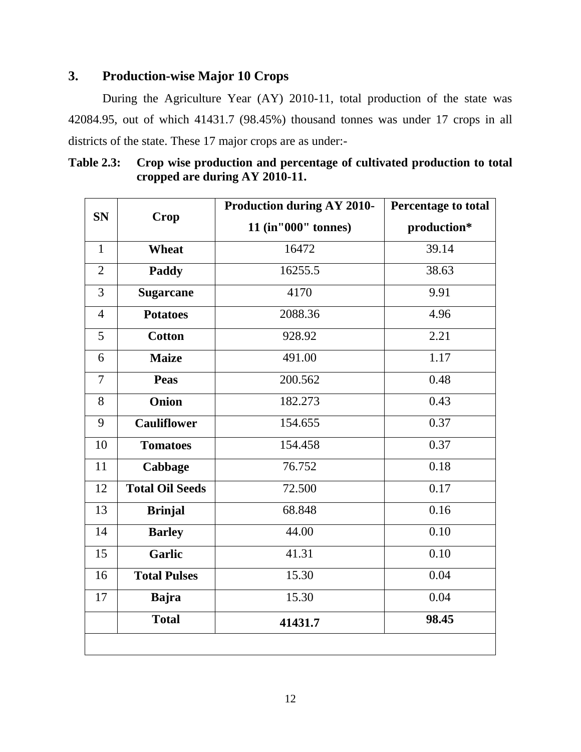# **3. Production-wise Major 10 Crops**

During the Agriculture Year (AY) 2010-11, total production of the state was 42084.95, out of which 41431.7 (98.45%) thousand tonnes was under 17 crops in all districts of the state. These 17 major crops are as under:-

| <b>Table 2.3:</b> | Crop wise production and percentage of cultivated production to total |
|-------------------|-----------------------------------------------------------------------|
|                   | cropped are during AY 2010-11.                                        |

| <b>SN</b>      |                        | <b>Production during AY 2010-</b> | Percentage to total |  |  |  |  |
|----------------|------------------------|-----------------------------------|---------------------|--|--|--|--|
|                | Crop                   | 11 (in"000" tonnes)               | production*         |  |  |  |  |
| $\mathbf{1}$   | Wheat                  | 16472                             | 39.14               |  |  |  |  |
| $\overline{2}$ | Paddy                  | 16255.5                           | 38.63               |  |  |  |  |
| 3              | <b>Sugarcane</b>       | 4170                              | 9.91                |  |  |  |  |
| $\overline{4}$ | <b>Potatoes</b>        | 2088.36                           | 4.96                |  |  |  |  |
| 5              | <b>Cotton</b>          | 928.92                            | 2.21                |  |  |  |  |
| 6              | <b>Maize</b>           | 491.00                            | 1.17                |  |  |  |  |
| $\overline{7}$ | <b>Peas</b>            | 200.562                           | 0.48                |  |  |  |  |
| 8              | Onion                  | 182.273                           | 0.43                |  |  |  |  |
| 9              | <b>Cauliflower</b>     | 154.655                           | 0.37                |  |  |  |  |
| 10             | <b>Tomatoes</b>        | 154.458                           | 0.37                |  |  |  |  |
| 11             | Cabbage                | 76.752                            | 0.18                |  |  |  |  |
| 12             | <b>Total Oil Seeds</b> | 72.500                            | 0.17                |  |  |  |  |
| 13             | <b>Brinjal</b>         | 68.848                            | 0.16                |  |  |  |  |
| 14             | <b>Barley</b>          | 44.00                             | 0.10                |  |  |  |  |
| 15             | <b>Garlic</b>          | 41.31                             | 0.10                |  |  |  |  |
| 16             | <b>Total Pulses</b>    | 15.30                             | 0.04                |  |  |  |  |
| 17             | <b>Bajra</b>           | 15.30                             | 0.04                |  |  |  |  |
|                | <b>Total</b>           | 41431.7                           | 98.45               |  |  |  |  |
|                |                        |                                   |                     |  |  |  |  |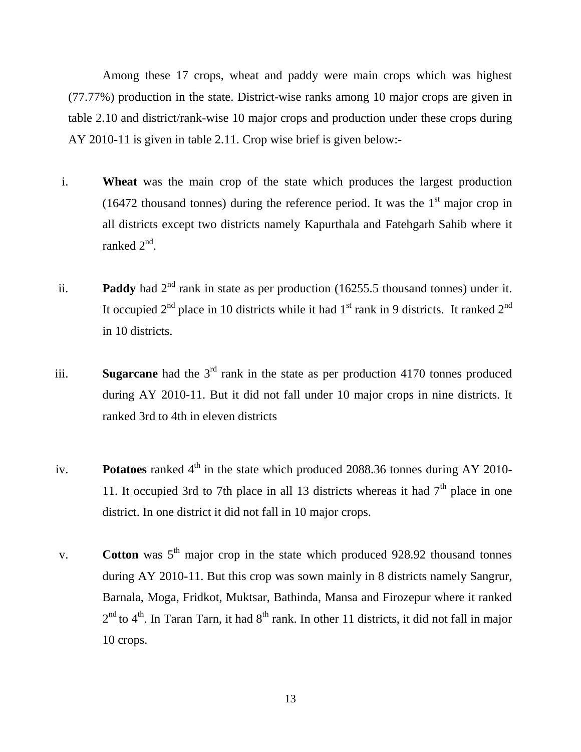Among these 17 crops, wheat and paddy were main crops which was highest (77.77%) production in the state. District-wise ranks among 10 major crops are given in table 2.10 and district/rank-wise 10 major crops and production under these crops during AY 2010-11 is given in table 2.11. Crop wise brief is given below:-

- i. **Wheat** was the main crop of the state which produces the largest production (16472 thousand tonnes) during the reference period. It was the  $1<sup>st</sup>$  major crop in all districts except two districts namely Kapurthala and Fatehgarh Sahib where it ranked 2<sup>nd</sup>.
- ii. **Paddy** had  $2<sup>nd</sup>$  rank in state as per production (16255.5 thousand tonnes) under it. It occupied  $2<sup>nd</sup>$  place in 10 districts while it had  $1<sup>st</sup>$  rank in 9 districts. It ranked  $2<sup>nd</sup>$ in 10 districts.
- iii. **Sugarcane** had the 3rd rank in the state as per production 4170 tonnes produced during AY 2010-11. But it did not fall under 10 major crops in nine districts. It ranked 3rd to 4th in eleven districts
- iv. **Potatoes** ranked 4<sup>th</sup> in the state which produced 2088.36 tonnes during AY 2010-11. It occupied 3rd to 7th place in all 13 districts whereas it had  $7<sup>th</sup>$  place in one district. In one district it did not fall in 10 major crops.
- v. **Cotton** was  $5<sup>th</sup>$  major crop in the state which produced 928.92 thousand tonnes during AY 2010-11. But this crop was sown mainly in 8 districts namely Sangrur, Barnala, Moga, Fridkot, Muktsar, Bathinda, Mansa and Firozepur where it ranked  $2<sup>nd</sup>$  to 4<sup>th</sup>. In Taran Tarn, it had 8<sup>th</sup> rank. In other 11 districts, it did not fall in major 10 crops.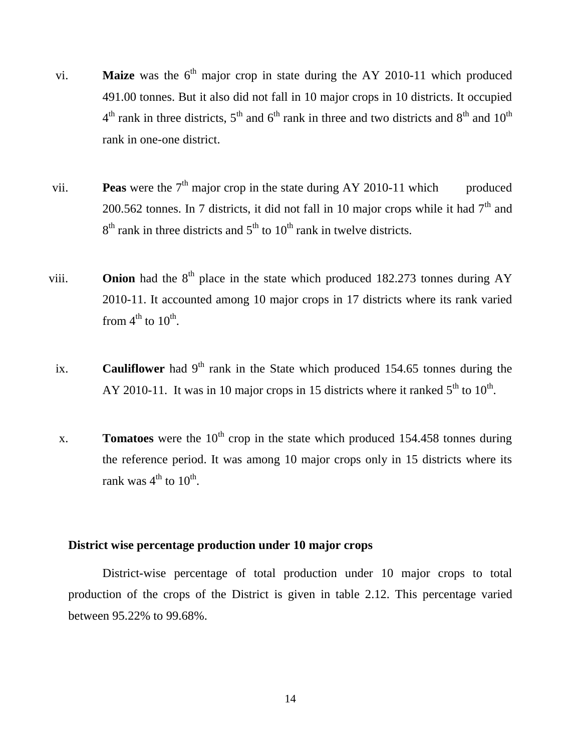- vi. **Maize** was the  $6<sup>th</sup>$  major crop in state during the AY 2010-11 which produced 491.00 tonnes. But it also did not fall in 10 major crops in 10 districts. It occupied  $4<sup>th</sup>$  rank in three districts,  $5<sup>th</sup>$  and  $6<sup>th</sup>$  rank in three and two districts and  $8<sup>th</sup>$  and  $10<sup>th</sup>$ rank in one-one district.
- vii. **Peas** were the  $7<sup>th</sup>$  major crop in the state during AY 2010-11 which produced 200.562 tonnes. In 7 districts, it did not fall in 10 major crops while it had  $7<sup>th</sup>$  and  $8<sup>th</sup>$  rank in three districts and  $5<sup>th</sup>$  to  $10<sup>th</sup>$  rank in twelve districts.
- viii. **Onion** had the  $8<sup>th</sup>$  place in the state which produced 182.273 tonnes during AY 2010-11. It accounted among 10 major crops in 17 districts where its rank varied from  $4^{\text{th}}$  to  $10^{\text{th}}$ .
- ix. **Cauliflower** had  $9<sup>th</sup>$  rank in the State which produced 154.65 tonnes during the AY 2010-11. It was in 10 major crops in 15 districts where it ranked  $5<sup>th</sup>$  to  $10<sup>th</sup>$ .
- x. **Tomatoes** were the  $10^{th}$  crop in the state which produced 154.458 tonnes during the reference period. It was among 10 major crops only in 15 districts where its rank was  $4^{\text{th}}$  to  $10^{\text{th}}$ .

# **District wise percentage production under 10 major crops**

District-wise percentage of total production under 10 major crops to total production of the crops of the District is given in table 2.12. This percentage varied between 95.22% to 99.68%.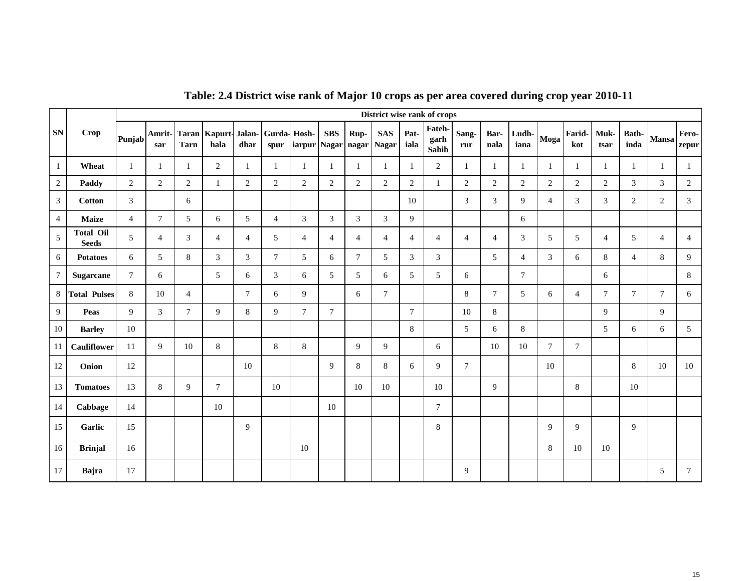|                  |                                  |                |                |                |                              |                |                     |                    |                |                | District wise rank of crops |                 |                         |                |                 |                |                |                |                |                 |                |                |
|------------------|----------------------------------|----------------|----------------|----------------|------------------------------|----------------|---------------------|--------------------|----------------|----------------|-----------------------------|-----------------|-------------------------|----------------|-----------------|----------------|----------------|----------------|----------------|-----------------|----------------|----------------|
| <b>SN</b>        | <b>Crop</b>                      | Punjab         | Amrit-<br>sar  | <b>Tarn</b>    | <b>Taran Kapurt-</b><br>hala | Jalan-<br>dhar | Gurda-Hosh-<br>spur | iarpur Nagar nagar | <b>SBS</b>     | Rup-           | <b>SAS</b><br><b>Nagar</b>  | Pat-<br>iala    | Fateh-<br>garh<br>Sahib | Sang-<br>rur   | Bar-<br>nala    | Ludh-<br>iana  | Moga           | Farid-<br>kot  | Muk-<br>tsar   | Bath-<br>inda   | <b>Mansa</b>   | Fero-<br>zepur |
| $\mathbf{1}$     | Wheat                            | $\mathbf{1}$   | -1             | 1              | $\overline{c}$               | 1              | 1                   | $\mathbf{1}$       | -1             | 1              | -1                          | -1              | $\overline{c}$          | $\mathbf{1}$   | 1               | 1              | $\mathbf{1}$   | 1              | $\mathbf{1}$   | 1               | 1              | 1              |
| $\sqrt{2}$       | Paddy                            | $\overline{2}$ | $\overline{2}$ | $\overline{2}$ | $\mathbf{1}$                 | $\overline{2}$ | $\overline{2}$      | $\overline{2}$     | $\overline{2}$ | $\overline{c}$ | $\overline{2}$              | $\mathbf{2}$    | 1                       | $\overline{2}$ | $\overline{2}$  | $\overline{2}$ | $\overline{2}$ | 2              | $\overline{2}$ | $\mathfrak{Z}$  | $\overline{3}$ | $\overline{2}$ |
| 3                | <b>Cotton</b>                    | 3              |                | 6              |                              |                |                     |                    |                |                |                             | 10              |                         | 3              | $\overline{3}$  | $\overline{9}$ | $\overline{4}$ | 3              | 3              | $\overline{2}$  | $\overline{2}$ | 3              |
| $\overline{4}$   | <b>Maize</b>                     | $\overline{4}$ | $\overline{7}$ | 5              | 6                            | 5              | $\overline{4}$      | $\mathfrak{Z}$     | 3              | $\overline{3}$ | $\mathfrak{Z}$              | 9               |                         |                |                 | 6              |                |                |                |                 |                |                |
| $\sqrt{5}$       | <b>Total Oil</b><br><b>Seeds</b> | 5              | $\overline{4}$ | $\mathfrak{Z}$ | 4                            | $\overline{4}$ | 5                   | $\overline{4}$     | $\overline{4}$ | $\overline{4}$ | $\overline{4}$              | $\overline{4}$  | 4                       | $\overline{4}$ | $\overline{4}$  | 3              | 5              | 5              | $\overline{4}$ | 5               | $\overline{4}$ | $\overline{4}$ |
| 6                | <b>Potatoes</b>                  | 6              | 5              | 8              | 3                            | 3              | $\tau$              | 5                  | 6              | $\tau$         | 5                           | 3               | 3                       |                | $5\overline{)}$ | $\overline{4}$ | 3              | 6              | $\,8\,$        | $\overline{4}$  | 8              | 9              |
| $\boldsymbol{7}$ | Sugarcane                        | $\tau$         | 6              |                | 5                            | 6              | 3                   | 6                  | 5              | 5              | 6                           | 5               | 5                       | 6              |                 | $\tau$         |                |                | 6              |                 |                | 8              |
| 8                | <b>Total Pulses</b>              | $8\,$          | 10             | $\overline{4}$ |                              | $\tau$         | 6                   | 9                  |                | 6              | $\tau$                      |                 |                         | 8              | $\tau$          | 5              | 6              | $\overline{4}$ | $\tau$         | $7\overline{ }$ | $\tau$         | 6              |
| 9                | Peas                             | 9              | $\mathfrak{Z}$ | $\tau$         | 9                            | $\,8\,$        | 9                   | $\tau$             | $\overline{7}$ |                |                             | $7\phantom{.0}$ |                         | 10             | 8               |                |                |                | $\mathbf{Q}$   |                 | 9              |                |
| 10               | <b>Barley</b>                    | 10             |                |                |                              |                |                     |                    |                |                |                             | 8               |                         | 5              | 6               | $\,8\,$        |                |                | 5              | 6               | 6              | 5              |
| 11               | Cauliflower                      | 11             | 9              | 10             | 8                            |                | 8                   | 8                  |                | 9              | 9                           |                 | 6                       |                | 10              | 10             | $\tau$         | $\tau$         |                |                 |                |                |
| 12               | Onion                            | 12             |                |                |                              | 10             |                     |                    | 9              | 8              | 8                           | 6               | 9                       | $\overline{7}$ |                 |                | 10             |                |                | 8               | 10             | 10             |
| 13               | <b>Tomatoes</b>                  | 13             | $\,8\,$        | 9              | $\tau$                       |                | 10                  |                    |                | 10             | 10                          |                 | 10                      |                | 9               |                |                | 8              |                | 10              |                |                |
| 14               | Cabbage                          | 14             |                |                | 10                           |                |                     |                    | 10             |                |                             |                 | $\tau$                  |                |                 |                |                |                |                |                 |                |                |
| 15               | Garlic                           | 15             |                |                |                              | 9              |                     |                    |                |                |                             |                 | 8                       |                |                 |                | 9              | 9              |                | 9               |                |                |
| 16               | <b>Brinjal</b>                   | 16             |                |                |                              |                |                     | 10                 |                |                |                             |                 |                         |                |                 |                | 8              | 10             | 10             |                 |                |                |
| 17               | Bajra                            | 17             |                |                |                              |                |                     |                    |                |                |                             |                 |                         | 9              |                 |                |                |                |                |                 | 5              | $\tau$         |

# **Table: 2.4 District wise rank of Major 10 crops as per area covered during crop year 2010-11**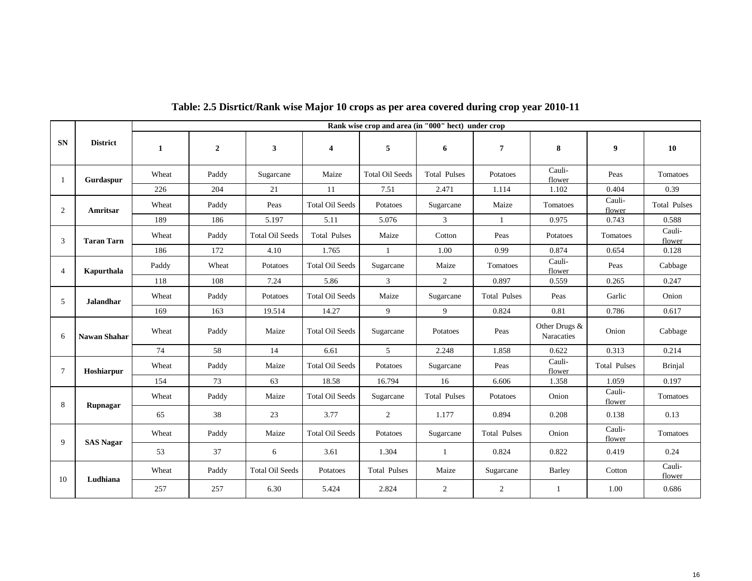|                |                     |              |                |                        |                         | Rank wise crop and area (in "000" hect) under crop |                     |                              |                             |                     |                     |
|----------------|---------------------|--------------|----------------|------------------------|-------------------------|----------------------------------------------------|---------------------|------------------------------|-----------------------------|---------------------|---------------------|
| <b>SN</b>      | <b>District</b>     | $\mathbf{1}$ | $\overline{2}$ | 3                      | $\overline{\mathbf{4}}$ | 5                                                  | 6                   | $\overline{7}$               | 8                           | 9                   | 10                  |
| -1             | Gurdaspur           | Wheat        | Paddy          | Sugarcane              | Maize                   | <b>Total Oil Seeds</b>                             | <b>Total Pulses</b> | Potatoes                     | Cauli-<br>flower            | Peas                | Tomatoes            |
|                |                     | 226          | 204            | 21                     | 11                      | 7.51                                               | 2.471               | 1.114                        | 1.102                       | 0.404               | 0.39                |
| 2              | Amritsar            | Wheat        | Paddy          | Peas                   | <b>Total Oil Seeds</b>  | Potatoes                                           | Sugarcane           | Maize                        | Tomatoes                    | Cauli-<br>flower    | <b>Total Pulses</b> |
|                |                     | 189          | 186            | 5.197                  | 5.11                    | 5.076                                              | $\overline{3}$      | -1                           | 0.975                       | 0.743               | 0.588               |
| 3              | <b>Taran Tarn</b>   | Wheat        | Paddy          | <b>Total Oil Seeds</b> | <b>Total Pulses</b>     | Maize                                              | Cotton              | Peas                         | Potatoes                    | Tomatoes            | Cauli-<br>flower    |
|                |                     | 186          | 172            | 4.10                   | 1.765                   | $\overline{1}$                                     | 1.00                | 0.99                         | 0.874                       | 0.654               | 0.128               |
| $\overline{4}$ | Kapurthala          | Paddy        | Wheat          | Potatoes               | <b>Total Oil Seeds</b>  | Sugarcane                                          | Maize               | Cauli-<br>Tomatoes<br>flower |                             | Peas                | Cabbage             |
|                |                     | 118          | 108            | 7.24                   | 5.86                    | $\overline{3}$                                     |                     | 2<br>0.897<br>0.559          |                             | 0.265               | 0.247               |
| 5              | <b>Jalandhar</b>    | Wheat        | Paddy          | Potatoes               | <b>Total Oil Seeds</b>  | Maize                                              | Sugarcane           | <b>Total Pulses</b>          | Peas                        | Garlic              | Onion               |
|                |                     | 169          | 163            | 19.514                 | 14.27                   | 9                                                  | 9                   | 0.824                        | 0.81                        | 0.786               | 0.617               |
| 6              | <b>Nawan Shahar</b> | Wheat        | Paddy          | Maize                  | <b>Total Oil Seeds</b>  | Sugarcane                                          | Potatoes            | Peas                         | Other Drugs &<br>Naracaties | Onion               | Cabbage             |
|                |                     | 74           | 58             | 14                     | 6.61                    | $\mathfrak{S}$                                     | 2.248               | 1.858                        | 0.622                       | 0.313               | 0.214               |
| 7              | Hoshiarpur          | Wheat        | Paddy          | Maize                  | <b>Total Oil Seeds</b>  | Potatoes                                           | Sugarcane           | Peas                         | Cauli-<br>flower            | <b>Total Pulses</b> | <b>Brinjal</b>      |
|                |                     | 154          | 73             | 63                     | 18.58                   | 16.794                                             | 16                  | 6.606                        | 1.358                       | 1.059               | 0.197               |
| 8              | Rupnagar            | Wheat        | Paddy          | Maize                  | <b>Total Oil Seeds</b>  | Sugarcane                                          | <b>Total Pulses</b> | Potatoes                     | Onion                       | Cauli-<br>flower    | Tomatoes            |
|                |                     | 65           | 38             | 23                     | 3.77                    | 2                                                  | 1.177               | 0.894                        | 0.208                       | 0.138               | 0.13                |
| 9              | <b>SAS Nagar</b>    | Wheat        | Paddy          | Maize                  | <b>Total Oil Seeds</b>  | Potatoes                                           | Sugarcane           | <b>Total Pulses</b>          | Onion                       | Cauli-<br>flower    | Tomatoes            |
|                |                     | 53           | 37             | 6                      | 3.61                    | 1.304                                              | -1                  | 0.824                        | 0.822                       | 0.419               | 0.24                |
| 10             |                     | Wheat        | Paddy          | <b>Total Oil Seeds</b> | Potatoes                | <b>Total Pulses</b>                                | Maize               | Sugarcane                    | Barley                      | Cotton              | Cauli-<br>flower    |
|                | Ludhiana            | 257          | 257            | 6.30                   | 5.424                   | 2.824                                              | $\overline{2}$      | 2                            | -1                          | 1.00                | 0.686               |

### **Table: 2.5 Disrtict/Rank wise Major 10 crops as per area covered during crop year 2010-11**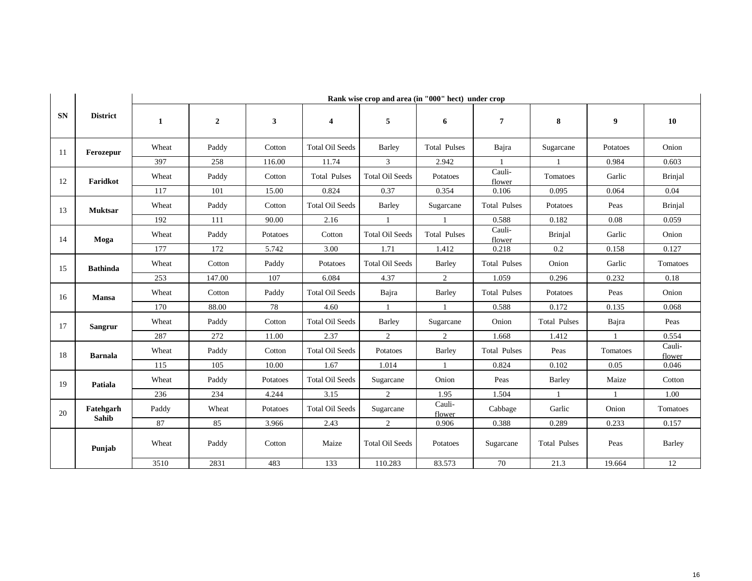|           |                    |              |                |              |                                               | Rank wise crop and area (in "000" hect) under crop |                                  |                     |                     |              |                  |
|-----------|--------------------|--------------|----------------|--------------|-----------------------------------------------|----------------------------------------------------|----------------------------------|---------------------|---------------------|--------------|------------------|
| <b>SN</b> | <b>District</b>    | $\mathbf{1}$ | $\overline{2}$ | $\mathbf{3}$ | $\overline{\mathbf{4}}$                       | 5                                                  | 6                                | $\overline{7}$      | 8                   | 9            | 10               |
| -11       | Ferozepur          | Wheat        | Paddy          | Cotton       | <b>Total Oil Seeds</b>                        | Barley                                             | <b>Total Pulses</b>              | Bajra               | Sugarcane           | Potatoes     | Onion            |
|           |                    | 397          | 258            | 116.00       | 11.74                                         | $\overline{3}$                                     | 2.942                            | $\overline{1}$      | $\mathbf{1}$        | 0.984        | 0.603            |
| 12        | Faridkot           | Wheat        | Paddy          | Cotton       | <b>Total Pulses</b><br><b>Total Oil Seeds</b> |                                                    | Potatoes                         | Cauli-<br>flower    | Tomatoes            | Garlic       | <b>Brinjal</b>   |
|           |                    | 117          | 101            | 15.00        | 0.824                                         | 0.37                                               | 0.354                            | 0.106               | 0.095               | 0.064        | 0.04             |
| 13        | <b>Muktsar</b>     | Wheat        | Paddy          | Cotton       | <b>Total Oil Seeds</b>                        | <b>Barley</b>                                      | <b>Total Pulses</b><br>Sugarcane |                     | Potatoes            | Peas         | <b>Brinjal</b>   |
|           |                    | 192          | 111            | 90.00        | 2.16                                          | $\overline{1}$                                     | $\mathbf{1}$                     | 0.588               | 0.182               | 0.08         | 0.059            |
| 14        | Moga               | Wheat        | Paddy          | Potatoes     | Cotton                                        | <b>Total Oil Seeds</b>                             | <b>Total Pulses</b>              | Cauli-<br>flower    | Brinjal             | Garlic       | Onion            |
|           |                    | 177          | 172            | 5.742        | 3.00                                          | 1.71                                               | 1.412                            | 0.218<br>0.2        |                     | 0.158        | 0.127            |
| 15        | <b>Bathinda</b>    | Wheat        | Cotton         | Paddy        | Potatoes                                      | <b>Total Oil Seeds</b>                             | Barley                           | <b>Total Pulses</b> |                     | Garlic       | Tomatoes         |
|           |                    | 253          | 147.00         | 107          | 6.084                                         | 4.37                                               | $\overline{2}$                   | 1.059               | 0.296               | 0.232        | 0.18             |
| 16        | <b>Mansa</b>       | Wheat        | Cotton         | Paddy        | <b>Total Oil Seeds</b>                        | Bajra                                              | Barley                           | <b>Total Pulses</b> | Potatoes            | Peas         | Onion            |
|           |                    | 170          | 88.00          | 78           | 4.60                                          | $\overline{1}$                                     | $\mathbf{1}$                     | 0.588               | 0.172               | 0.135        | 0.068            |
| 17        | <b>Sangrur</b>     | Wheat        | Paddy          | Cotton       | <b>Total Oil Seeds</b>                        | Barley                                             | Sugarcane                        | Onion               | <b>Total Pulses</b> | Bajra        | Peas             |
|           |                    | 287          | 272            | 11.00        | 2.37                                          | $\overline{2}$                                     | 2                                | 1.668               | 1.412               | $\mathbf{1}$ | 0.554            |
| 18        | <b>Barnala</b>     | Wheat        | Paddy          | Cotton       | <b>Total Oil Seeds</b>                        | Potatoes                                           | Barley                           | <b>Total Pulses</b> | Peas                | Tomatoes     | Cauli-<br>flower |
|           |                    | 115          | 105            | 10.00        | 1.67                                          | 1.014                                              | -1                               | 0.824               | 0.102               | 0.05         | 0.046            |
| 19        | Patiala            | Wheat        | Paddy          | Potatoes     | <b>Total Oil Seeds</b>                        | Sugarcane                                          | Onion                            | Peas                | Barley              | Maize        | Cotton           |
|           |                    | 236          | 234            | 4.244        | 3.15                                          | $\overline{2}$                                     | 1.95                             | 1.504               | $\overline{1}$      | $\mathbf{1}$ | 1.00             |
| 20        | Fatehgarh<br>Sahib | Paddy        | Wheat          | Potatoes     | <b>Total Oil Seeds</b>                        | Sugarcane                                          | Cauli-<br>flower                 | Cabbage             | Garlic              | Onion        | Tomatoes         |
|           |                    | 87           | 85             | 3.966        | 2.43                                          | 2                                                  | 0.906                            | 0.388               | 0.289               | 0.233        | 0.157            |
|           | Punjab             | Wheat        | Paddy          | Cotton       | Maize                                         | <b>Total Oil Seeds</b>                             | Potatoes                         | Sugarcane           | <b>Total Pulses</b> | Peas         | Barley           |
|           |                    | 3510         | 2831           | 483          | 133                                           | 110.283                                            | 83.573                           | 70                  | 21.3                | 19.664       | 12               |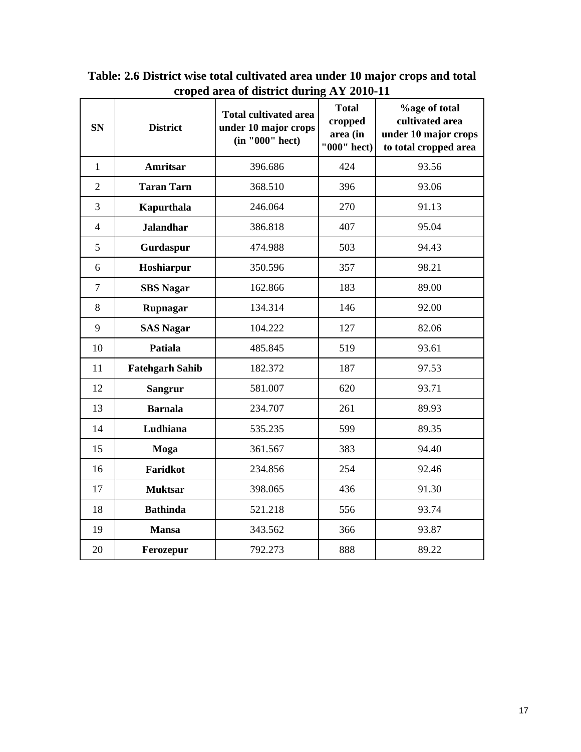| <b>SN</b>      | <b>District</b>        | <b>Total cultivated area</b><br>under 10 major crops<br>(in "000" hect) | <b>Total</b><br>cropped<br>area (in<br>"000" hect) | <b>%age of total</b><br>cultivated area<br>under 10 major crops<br>to total cropped area |
|----------------|------------------------|-------------------------------------------------------------------------|----------------------------------------------------|------------------------------------------------------------------------------------------|
| $\mathbf{1}$   | <b>Amritsar</b>        | 396.686                                                                 | 424                                                | 93.56                                                                                    |
| $\overline{2}$ | <b>Taran Tarn</b>      | 368.510                                                                 | 396                                                | 93.06                                                                                    |
| 3              | Kapurthala             | 246.064                                                                 | 270                                                | 91.13                                                                                    |
| $\overline{4}$ | <b>Jalandhar</b>       | 386.818                                                                 | 407                                                | 95.04                                                                                    |
| 5              | Gurdaspur              | 474.988                                                                 | 503                                                | 94.43                                                                                    |
| 6              | Hoshiarpur             | 350.596                                                                 | 357                                                | 98.21                                                                                    |
| $\overline{7}$ | <b>SBS Nagar</b>       | 162.866                                                                 | 183                                                | 89.00                                                                                    |
| 8              | Rupnagar               | 134.314                                                                 | 146                                                | 92.00                                                                                    |
| 9              | <b>SAS Nagar</b>       | 104.222                                                                 | 127                                                | 82.06                                                                                    |
| 10             | <b>Patiala</b>         | 485.845                                                                 | 519                                                | 93.61                                                                                    |
| 11             | <b>Fatehgarh Sahib</b> | 182.372                                                                 | 187                                                | 97.53                                                                                    |
| 12             | <b>Sangrur</b>         | 581.007                                                                 | 620                                                | 93.71                                                                                    |
| 13             | <b>Barnala</b>         | 234.707                                                                 | 261                                                | 89.93                                                                                    |
| 14             | Ludhiana               | 535.235                                                                 | 599                                                | 89.35                                                                                    |
| 15             | Moga                   | 361.567                                                                 | 383                                                | 94.40                                                                                    |
| 16             | Faridkot               | 234.856                                                                 | 254                                                | 92.46                                                                                    |
| 17             | <b>Muktsar</b>         | 398.065                                                                 | 436                                                | 91.30                                                                                    |
| 18             | <b>Bathinda</b>        | 521.218                                                                 | 556                                                | 93.74                                                                                    |
| 19             | <b>Mansa</b>           | 343.562                                                                 | 366                                                | 93.87                                                                                    |
| 20             | Ferozepur              | 792.273                                                                 | 888                                                | 89.22                                                                                    |

**Table: 2.6 District wise total cultivated area under 10 major crops and total croped area of district during AY 2010-11**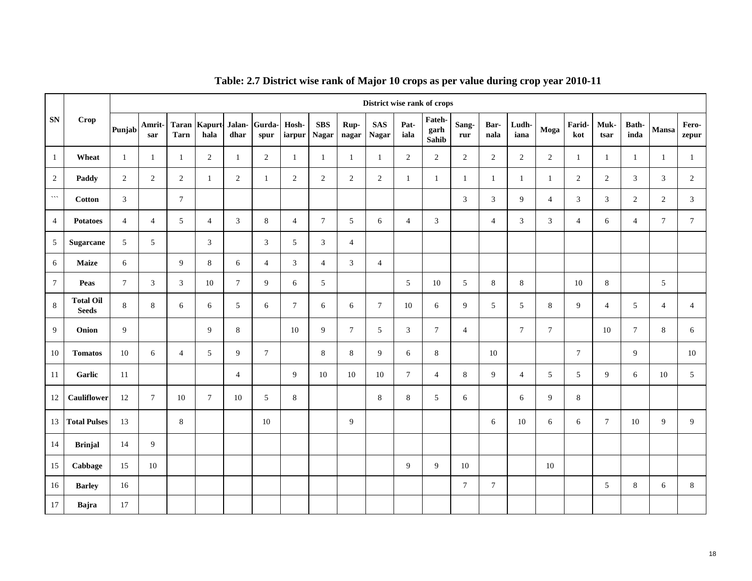|                |                                  |                |                 |                 |                                       |                |                |                |                            |                | District wise rank of crops |                 |                         |                |                |                |                 |                |                |                |                |                |
|----------------|----------------------------------|----------------|-----------------|-----------------|---------------------------------------|----------------|----------------|----------------|----------------------------|----------------|-----------------------------|-----------------|-------------------------|----------------|----------------|----------------|-----------------|----------------|----------------|----------------|----------------|----------------|
| <b>SN</b>      | Crop                             | Punjab         | Amrit-<br>sar   | <b>Tarn</b>     | Taran   Kapurt Jalan   Gurda-<br>hala | dhar           | spur           | Hosh-          | <b>SBS</b><br>iarpur Nagar | Rup-<br>nagar  | <b>SAS</b><br><b>Nagar</b>  | Pat-<br>iala    | Fateh-<br>garh<br>Sahib | Sang-<br>rur   | Bar-<br>nala   | Ludh-<br>iana  | Moga            | Farid-<br>kot  | Muk-<br>tsar   | Bath-<br>inda  | Mansa          | Fero-<br>zepur |
| $\mathbf{1}$   | Wheat                            | $\mathbf{1}$   | -1              | -1              | 2                                     | 1              | $\overline{2}$ | $\mathbf{1}$   | 1                          | -1             | $\mathbf{1}$                | $\overline{2}$  | $\overline{2}$          | 2              | $\overline{c}$ | $\overline{2}$ | $\overline{2}$  | 1              | 1              | -1             | -1             | $\mathbf{1}$   |
| 2              | Paddy                            | $\overline{2}$ | $\overline{2}$  | 2               | 1                                     | $\overline{2}$ | $\mathbf{1}$   | $\overline{2}$ | 2                          | $\overline{2}$ | $\overline{2}$              | $\mathbf{1}$    | $\mathbf{1}$            | -1             | $\mathbf{1}$   | $\mathbf{1}$   | $\mathbf{1}$    | 2              | 2              | 3              | 3              | 2              |
| $\cdots$       | <b>Cotton</b>                    | 3              |                 | $7\phantom{.0}$ |                                       |                |                |                |                            |                |                             |                 |                         | 3              | $\mathfrak{Z}$ | 9              | $\overline{4}$  | 3              | 3              | $\overline{c}$ | 2              | 3              |
| $\overline{4}$ | <b>Potatoes</b>                  | $\overline{4}$ | $\overline{4}$  | 5               | $\overline{4}$                        | 3              | 8              | $\overline{4}$ | $\tau$                     | $\sqrt{5}$     | 6                           | $\overline{4}$  | 3                       |                | $\overline{4}$ | 3              | $\mathbf{3}$    | $\overline{4}$ | 6              | $\overline{4}$ | $\tau$         | $\tau$         |
| 5              | Sugarcane                        | 5              | $5\overline{)}$ |                 | $\overline{3}$                        |                | $\mathfrak{Z}$ | 5              | $\overline{3}$             | $\overline{4}$ |                             |                 |                         |                |                |                |                 |                |                |                |                |                |
| 6              | <b>Maize</b>                     | 6              |                 | 9               | $\,8\,$                               | 6              | $\overline{4}$ | $\mathfrak{Z}$ | $\overline{4}$             | 3              | $\overline{4}$              |                 |                         |                |                |                |                 |                |                |                |                |                |
| $\tau$         | Peas                             | $\mathcal{I}$  | $\mathfrak{Z}$  | 3               | 10                                    | $\overline{7}$ | 9              | 6              | 5                          |                |                             | 5               | 10                      | 5              | 8              | $\,8\,$        |                 | 10             | $\,8\,$        |                | 5              |                |
| 8              | <b>Total Oil</b><br><b>Seeds</b> | 8              | 8               | 6               | 6                                     | 5              | 6              | $\tau$         | 6                          | 6              | $7\overline{ }$             | 10              | 6                       | 9              | 5              | 5              | 8               | 9              | $\overline{4}$ | 5              | $\overline{4}$ | $\overline{4}$ |
| 9              | Onion                            | 9              |                 |                 | 9                                     | 8              |                | 10             | 9                          | $\tau$         | 5                           | $\mathfrak{Z}$  | $7\phantom{.0}$         | $\overline{4}$ |                | $\tau$         | $7\phantom{.0}$ |                | 10             | $\tau$         | 8              | 6              |
| 10             | <b>Tomatos</b>                   | 10             | 6               | $\overline{4}$  | 5                                     | 9              | $\tau$         |                | 8                          | 8              | 9                           | 6               | 8                       |                | 10             |                |                 | $\tau$         |                | 9              |                | 10             |
| 11             | Garlic                           | 11             |                 |                 |                                       | $\overline{4}$ |                | 9              | 10                         | 10             | 10                          | $7\overline{ }$ | $\overline{4}$          | 8              | 9              | $\overline{4}$ | 5               | 5              | 9              | 6              | 10             | 5              |
| 12             | <b>Cauliflower</b>               | 12             | $7\overline{ }$ | 10              | $\overline{7}$                        | 10             | 5              | 8              |                            |                | 8                           | 8               | 5                       | 6              |                | 6              | 9               | 8              |                |                |                |                |
| 13             | <b>Total Pulses</b>              | 13             |                 | 8               |                                       |                | 10             |                |                            | 9              |                             |                 |                         |                | 6              | 10             | 6               | 6              | $\tau$         | 10             | 9              | 9              |
| 14             | <b>Brinjal</b>                   | 14             | 9               |                 |                                       |                |                |                |                            |                |                             |                 |                         |                |                |                |                 |                |                |                |                |                |
| 15             | Cabbage                          | 15             | 10              |                 |                                       |                |                |                |                            |                |                             | 9               | 9                       | 10             |                |                | 10              |                |                |                |                |                |
| 16             | <b>Barley</b>                    | 16             |                 |                 |                                       |                |                |                |                            |                |                             |                 |                         | $\overline{7}$ | $\tau$         |                |                 |                | $\sqrt{5}$     | $\,8\,$        | 6              | 8              |
| 17             | Bajra                            | 17             |                 |                 |                                       |                |                |                |                            |                |                             |                 |                         |                |                |                |                 |                |                |                |                |                |

# **Table: 2.7 District wise rank of Major 10 crops as per value during crop year 2010-11**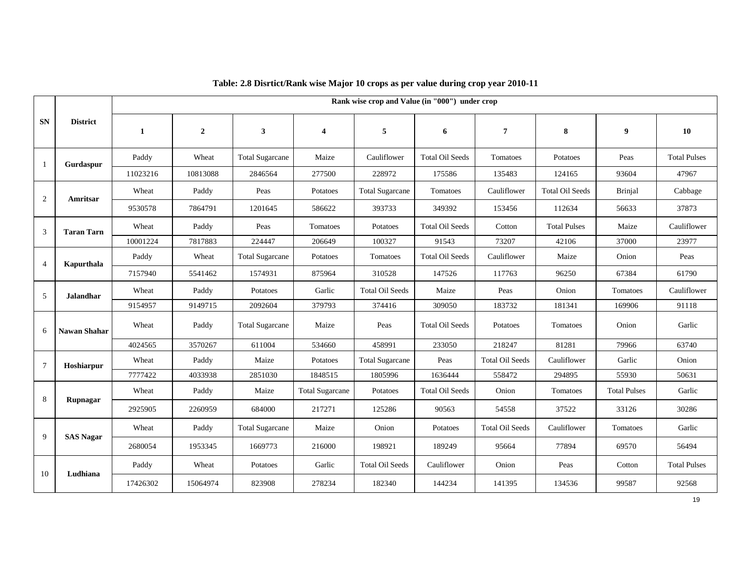|                 |                     |              |                |                        |                         | Rank wise crop and Value (in "000") under crop |                        |                        |                        |                     |                     |
|-----------------|---------------------|--------------|----------------|------------------------|-------------------------|------------------------------------------------|------------------------|------------------------|------------------------|---------------------|---------------------|
| <b>SN</b>       | <b>District</b>     | $\mathbf{1}$ | $\overline{2}$ |                        | $\overline{\mathbf{4}}$ | 5                                              | 6                      | 7                      | 8                      | $\boldsymbol{9}$    | 10                  |
| 1               | Gurdaspur           | Paddy        | Wheat          | <b>Total Sugarcane</b> | Maize                   | Cauliflower                                    | <b>Total Oil Seeds</b> | Tomatoes               | Potatoes               | Peas                | <b>Total Pulses</b> |
|                 |                     | 11023216     | 10813088       | 2846564                | 277500                  | 228972                                         | 175586                 | 135483                 | 124165                 | 93604               | 47967               |
| 2               | Amritsar            | Wheat        | Paddy          | Peas                   | Potatoes                | <b>Total Sugarcane</b>                         | Tomatoes               | Cauliflower            | <b>Total Oil Seeds</b> | <b>Brinjal</b>      | Cabbage             |
|                 |                     | 9530578      | 7864791        | 1201645                | 586622                  | 393733                                         | 349392                 | 153456                 | 112634                 | 56633               | 37873               |
| 3               | <b>Taran Tarn</b>   | Wheat        | Paddy          | Peas                   | Tomatoes                | Potatoes                                       | <b>Total Oil Seeds</b> | Cotton                 | <b>Total Pulses</b>    | Maize               | Cauliflower         |
|                 |                     | 10001224     | 7817883        | 224447                 | 206649                  | 100327                                         | 91543                  | 73207                  | 42106                  | 37000               | 23977               |
| $\overline{4}$  | Kapurthala          | Paddy        | Wheat          | <b>Total Sugarcane</b> | Potatoes                | Tomatoes                                       | <b>Total Oil Seeds</b> | Cauliflower<br>Maize   |                        | Onion               | Peas                |
|                 |                     | 7157940      | 5541462        | 1574931                | 875964                  | 310528                                         | 147526                 | 117763                 | 96250                  | 67384               | 61790               |
| 5               | <b>Jalandhar</b>    | Wheat        | Paddy          | Potatoes               | Garlic                  | <b>Total Oil Seeds</b>                         | Maize                  | Peas                   | Onion                  | Tomatoes            | Cauliflower         |
|                 |                     | 9154957      | 9149715        | 2092604                | 379793                  | 374416                                         | 309050                 | 183732                 | 181341                 | 169906              | 91118               |
| 6               | <b>Nawan Shahar</b> | Wheat        | Paddy          | <b>Total Sugarcane</b> | Maize                   | Peas                                           | <b>Total Oil Seeds</b> | Potatoes               | Tomatoes               | Onion               | Garlic              |
|                 |                     | 4024565      | 3570267        | 611004                 | 534660                  | 458991                                         | 233050                 | 218247                 | 81281                  | 79966               | 63740               |
| $7\phantom{.0}$ | Hoshiarpur          | Wheat        | Paddy          | Maize                  | Potatoes                | <b>Total Sugarcane</b>                         | Peas                   | <b>Total Oil Seeds</b> | Cauliflower            | Garlic              | Onion               |
|                 |                     | 7777422      | 4033938        | 2851030                | 1848515                 | 1805996                                        | 1636444                | 558472                 | 294895                 | 55930               | 50631               |
| 8               | Rupnagar            | Wheat        | Paddy          | Maize                  | <b>Total Sugarcane</b>  | Potatoes                                       | <b>Total Oil Seeds</b> | Onion                  | Tomatoes               | <b>Total Pulses</b> | Garlic              |
|                 |                     | 2925905      | 2260959        | 684000                 | 217271                  | 125286                                         | 90563                  | 54558                  | 37522                  | 33126               | 30286               |
| 9               | <b>SAS Nagar</b>    | Wheat        | Paddy          | <b>Total Sugarcane</b> | Maize                   | Onion                                          | Potatoes               | <b>Total Oil Seeds</b> | Cauliflower            | Tomatoes            | Garlic              |
|                 |                     | 2680054      | 1953345        | 1669773                | 216000                  | 198921                                         | 189249                 | 95664                  | 77894                  | 69570               | 56494               |
| 10              |                     | Paddy        | Wheat          | Potatoes               | Garlic                  | <b>Total Oil Seeds</b>                         | Cauliflower            | Onion                  | Peas                   | Cotton              | <b>Total Pulses</b> |
|                 | Ludhiana            | 17426302     | 15064974       | 823908                 | 278234                  | 182340                                         | 144234                 | 141395                 | 134536                 | 99587               | 92568               |

#### **Table: 2.8 Disrtict/Rank wise Major 10 crops as per value during crop year 2010-11**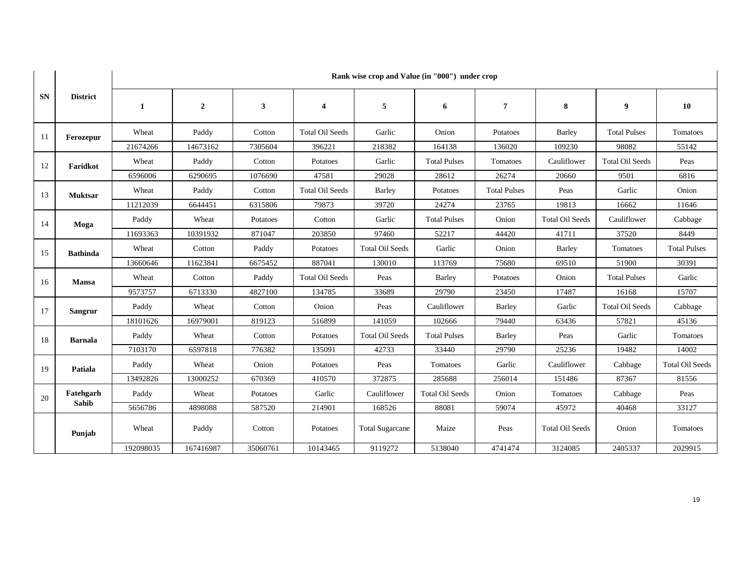|           | <b>District</b>    | Rank wise crop and Value (in "000") under crop |                |          |                         |                        |                        |                     |                        |                        |                        |
|-----------|--------------------|------------------------------------------------|----------------|----------|-------------------------|------------------------|------------------------|---------------------|------------------------|------------------------|------------------------|
| <b>SN</b> |                    | 1                                              | $\overline{2}$ | 3        | $\overline{\mathbf{4}}$ | 5                      | 6                      | $\overline{7}$      | 8                      | 9                      | 10                     |
| 11        | Ferozepur          | Wheat                                          | Paddy          | Cotton   | <b>Total Oil Seeds</b>  | Garlic                 | Onion                  | Potatoes            | Barley                 | <b>Total Pulses</b>    | Tomatoes               |
|           |                    | 21674266                                       | 14673162       | 7305604  | 396221                  | 218382                 | 164138                 | 136020              | 109230                 | 98082                  | 55142                  |
| 12        | Faridkot           | Wheat                                          | Paddy          | Cotton   | Potatoes                | Garlic                 | <b>Total Pulses</b>    | Tomatoes            | Cauliflower            | <b>Total Oil Seeds</b> | Peas                   |
|           |                    | 6596006                                        | 6290695        | 1076690  | 47581                   | 29028                  | 28612                  | 26274               | 20660                  | 9501                   | 6816                   |
| 13        | <b>Muktsar</b>     | Wheat                                          | Paddy          | Cotton   | <b>Total Oil Seeds</b>  | <b>Barley</b>          | Potatoes               | <b>Total Pulses</b> | Peas                   | Garlic                 | Onion                  |
|           |                    | 11212039                                       | 6644451        | 6315806  | 79873                   | 39720                  | 24274                  | 23765               | 19813                  | 16662                  | 11646                  |
| 14        | Moga               | Paddy                                          | Wheat          | Potatoes | Cotton                  | Garlic                 | <b>Total Pulses</b>    | Onion               | <b>Total Oil Seeds</b> | Cauliflower            | Cabbage                |
|           |                    | 11693363                                       | 10391932       | 871047   | 203850                  | 97460                  | 52217                  | 44420               | 41711                  | 37520                  | 8449                   |
| 15        | <b>Bathinda</b>    | Wheat                                          | Cotton         | Paddy    | Potatoes                | <b>Total Oil Seeds</b> | Garlic                 | Onion               | <b>Barley</b>          | Tomatoes               | <b>Total Pulses</b>    |
|           |                    | 13660646                                       | 11623841       | 6675452  | 887041                  | 130010                 | 113769                 | 75680               | 69510                  | 51900                  | 30391                  |
| 16        | Mansa              | Wheat                                          | Cotton         | Paddy    | <b>Total Oil Seeds</b>  | Peas                   | Barley                 | Potatoes            | Onion                  | <b>Total Pulses</b>    | Garlic                 |
|           |                    | 9573757                                        | 6713330        | 4827100  | 134785                  | 33689                  | 29790                  | 23450               | 17487                  | 16168                  | 15707                  |
| 17        | Sangrur            | Paddy                                          | Wheat          | Cotton   | Onion                   | Peas                   | Cauliflower            | Barley              | Garlic                 | <b>Total Oil Seeds</b> | Cabbage                |
|           |                    | 18101626                                       | 16979001       | 819123   | 516899                  | 141059                 | 102666                 | 79440               | 63436                  | 57821                  | 45136                  |
| 18        | <b>Barnala</b>     | Paddy                                          | Wheat          | Cotton   | Potatoes                | <b>Total Oil Seeds</b> | <b>Total Pulses</b>    | Barley              | Peas                   | Garlic                 | Tomatoes               |
|           |                    | 7103170                                        | 6597818        | 776382   | 135091                  | 42733                  | 33440                  | 29790               | 25236                  | 19482                  | 14002                  |
| 19        | Patiala            | Paddy                                          | Wheat          | Onion    | Potatoes                | Peas                   | Tomatoes               | Garlic              | Cauliflower            | Cabbage                | <b>Total Oil Seeds</b> |
|           |                    | 13492826                                       | 13000252       | 670369   | 410570                  | 372875                 | 285688                 | 256014              | 151486                 | 87367                  | 81556                  |
| 20        | Fatehgarh<br>Sahib | Paddy                                          | Wheat          | Potatoes | Garlic                  | Cauliflower            | <b>Total Oil Seeds</b> | Onion               | Tomatoes               | Cabbage                | Peas                   |
|           |                    | 5656786                                        | 4898088        | 587520   | 214901                  | 168526                 | 88081                  | 59074               | 45972                  | 40468                  | 33127                  |
|           | Punjab             | Wheat                                          | Paddy          | Cotton   | Potatoes                | <b>Total Sugarcane</b> | Maize                  | Peas                | <b>Total Oil Seeds</b> | Onion                  | Tomatoes               |
|           |                    | 192098035                                      | 167416987      | 35060761 | 10143465                | 9119272                | 5138040                | 4741474             | 3124085                | 2405337                | 2029915                |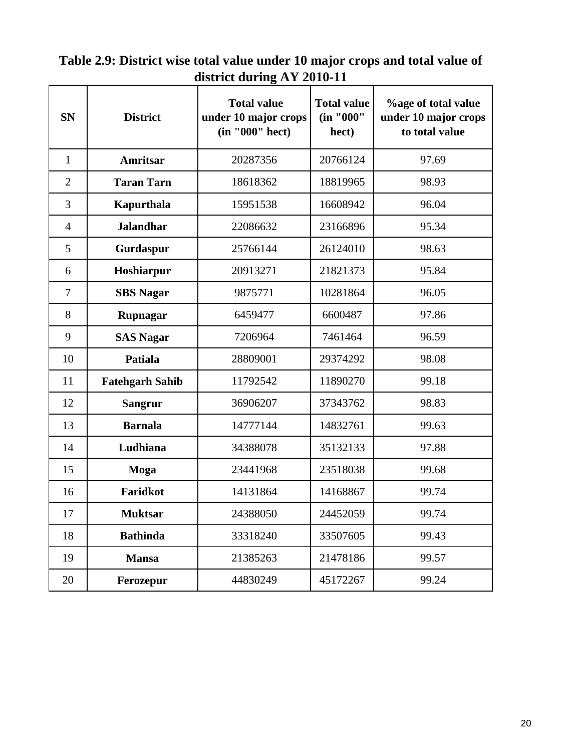| $\mu$ strict during A 1 2010-11 |                        |                                                               |                                          |                                                               |  |  |  |  |  |  |
|---------------------------------|------------------------|---------------------------------------------------------------|------------------------------------------|---------------------------------------------------------------|--|--|--|--|--|--|
| <b>SN</b>                       | <b>District</b>        | <b>Total value</b><br>under 10 major crops<br>(in "000" hect) | <b>Total value</b><br>(in "000"<br>hect) | %age of total value<br>under 10 major crops<br>to total value |  |  |  |  |  |  |
| $\mathbf{1}$                    | <b>Amritsar</b>        | 20287356                                                      | 20766124                                 | 97.69                                                         |  |  |  |  |  |  |
| $\overline{2}$                  | <b>Taran Tarn</b>      | 18618362                                                      | 18819965                                 | 98.93                                                         |  |  |  |  |  |  |
| 3                               | Kapurthala             | 15951538                                                      | 16608942                                 | 96.04                                                         |  |  |  |  |  |  |
| $\overline{4}$                  | <b>Jalandhar</b>       | 22086632                                                      | 23166896                                 | 95.34                                                         |  |  |  |  |  |  |
| 5                               | Gurdaspur              | 25766144                                                      | 26124010                                 | 98.63                                                         |  |  |  |  |  |  |
| 6                               | Hoshiarpur             | 20913271                                                      | 21821373                                 | 95.84                                                         |  |  |  |  |  |  |
| $\overline{7}$                  | <b>SBS</b> Nagar       | 9875771                                                       | 10281864                                 | 96.05                                                         |  |  |  |  |  |  |
| 8                               | Rupnagar               | 6459477                                                       | 6600487                                  | 97.86                                                         |  |  |  |  |  |  |
| 9                               | <b>SAS Nagar</b>       | 7206964                                                       | 7461464                                  | 96.59                                                         |  |  |  |  |  |  |
| 10                              | <b>Patiala</b>         | 28809001                                                      | 29374292                                 | 98.08                                                         |  |  |  |  |  |  |
| 11                              | <b>Fatehgarh Sahib</b> | 11792542                                                      | 11890270                                 | 99.18                                                         |  |  |  |  |  |  |
| 12                              | <b>Sangrur</b>         | 36906207                                                      | 37343762                                 | 98.83                                                         |  |  |  |  |  |  |
| 13                              | <b>Barnala</b>         | 14777144                                                      | 14832761                                 | 99.63                                                         |  |  |  |  |  |  |
| 14                              | Ludhiana               | 34388078                                                      | 35132133                                 | 97.88                                                         |  |  |  |  |  |  |
| 15                              | Moga                   | 23441968                                                      | 23518038                                 | 99.68                                                         |  |  |  |  |  |  |
| 16                              | <b>Faridkot</b>        | 14131864                                                      | 14168867                                 | 99.74                                                         |  |  |  |  |  |  |
| 17                              | <b>Muktsar</b>         | 24388050                                                      | 24452059                                 | 99.74                                                         |  |  |  |  |  |  |
| 18                              | <b>Bathinda</b>        | 33318240                                                      | 33507605                                 | 99.43                                                         |  |  |  |  |  |  |
| 19                              | <b>Mansa</b>           | 21385263                                                      | 21478186                                 | 99.57                                                         |  |  |  |  |  |  |
| 20                              | Ferozepur              | 44830249                                                      | 45172267                                 | 99.24                                                         |  |  |  |  |  |  |

**Table 2.9: District wise total value under 10 major crops and total value of district during AY 2010-11**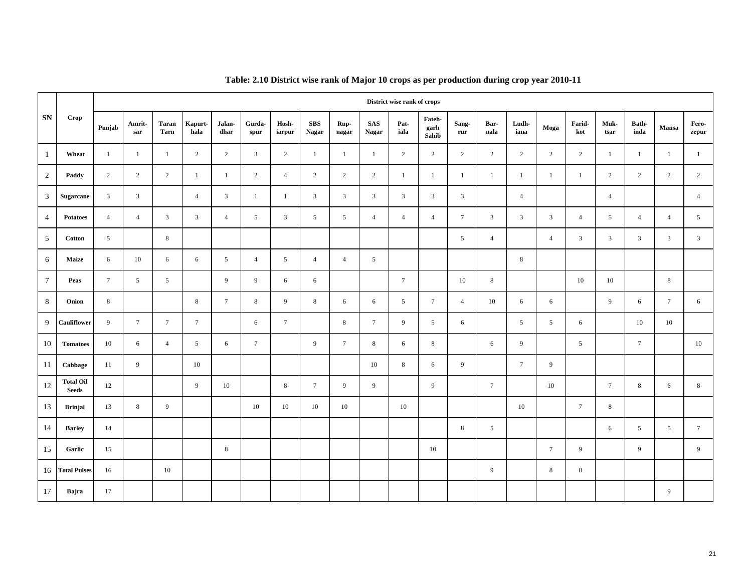|                 |                                  |                 |                 |                      |                 |                | District wise rank of crops |                 |                     |                 |                            |                 |                         |                 |                |                |                |                 |                 |                |                 |                 |
|-----------------|----------------------------------|-----------------|-----------------|----------------------|-----------------|----------------|-----------------------------|-----------------|---------------------|-----------------|----------------------------|-----------------|-------------------------|-----------------|----------------|----------------|----------------|-----------------|-----------------|----------------|-----------------|-----------------|
| SN              | Crop                             | Punjab          | Amrit-<br>sar   | <b>Taran</b><br>Tarn | Kapurt-<br>hala | Jalan-<br>dhar | Gurda-<br>spur              | Hosh-<br>iarpur | <b>SBS</b><br>Nagar | Rup-<br>nagar   | <b>SAS</b><br><b>Nagar</b> | Pat-<br>iala    | Fateh-<br>garh<br>Sahib | Sang-<br>rur    | Bar-<br>nala   | Ludh-<br>iana  | Moga           | Farid-<br>kot   | Muk-<br>tsar    | Bath-<br>inda  | Mansa           | Fero-<br>zepur  |
| $\mathbf{1}$    | Wheat                            | $\mathbf{1}$    | $\mathbf{1}$    | $\mathbf{1}$         | $\sqrt{2}$      | $\overline{2}$ | $\mathbf{3}$                | $\overline{2}$  | -1                  | -1              | $\mathbf{1}$               | $\overline{c}$  | $\sqrt{2}$              | $\overline{2}$  | $\overline{c}$ | $\overline{c}$ | $\overline{2}$ | $\overline{2}$  | 1               | $\mathbf{1}$   | $\mathbf{1}$    | $\mathbf{1}$    |
| $\overline{2}$  | Paddy                            | $\overline{2}$  | $\overline{2}$  | $\overline{2}$       | $\overline{1}$  | 1              | $\overline{c}$              | $\overline{4}$  | $\sqrt{2}$          | $\overline{2}$  | $\overline{2}$             | $\mathbf{1}$    | $\overline{1}$          | $\mathbf{1}$    | 1              | $\mathbf{1}$   | $\overline{1}$ | $\mathbf{1}$    | $\overline{2}$  | $\overline{2}$ | $\sqrt{2}$      | $\overline{2}$  |
| $\mathfrak{Z}$  | <b>Sugarcane</b>                 | 3               | $\mathbf{3}$    |                      | $\overline{4}$  | $\mathfrak{Z}$ | $\mathbf{1}$                | $\overline{1}$  | $\overline{3}$      | $\mathfrak{Z}$  | $\mathbf{3}$               | $\mathbf{3}$    | 3                       | $\mathbf{3}$    |                | $\overline{4}$ |                |                 | $\overline{4}$  |                |                 | $\overline{4}$  |
| $\overline{4}$  | <b>Potatoes</b>                  | $\overline{4}$  | $\overline{4}$  | $\mathbf{3}$         | 3               | $\overline{4}$ | $5\overline{)}$             | $\mathbf{3}$    | $\mathfrak{s}$      | 5               | $\overline{4}$             | $\overline{4}$  | $\overline{4}$          | $7\phantom{.0}$ | $\mathfrak{Z}$ | $\mathbf{3}$   | 3              | $\overline{4}$  | $5\overline{)}$ | $\overline{4}$ | $\overline{4}$  | $5\overline{)}$ |
| 5               | <b>Cotton</b>                    | $5\overline{)}$ |                 | $\,$ 8 $\,$          |                 |                |                             |                 |                     |                 |                            |                 |                         | 5               | $\overline{4}$ |                | $\overline{4}$ | $\mathbf{3}$    | $\mathfrak{Z}$  | $\overline{3}$ | 3               | $\mathfrak{Z}$  |
| 6               | Maize                            | 6               | 10              | 6                    | 6               | 5              | $\overline{4}$              | 5               | $\overline{4}$      | $\overline{4}$  | $5\overline{)}$            |                 |                         |                 |                | 8              |                |                 |                 |                |                 |                 |
| $7\overline{ }$ | Peas                             | $\tau$          | 5               | 5                    |                 | 9              | 9                           | 6               | 6                   |                 |                            | $7\phantom{.0}$ |                         | 10              | 8              |                |                | 10              | 10              |                | 8               |                 |
| 8               | Onion                            | 8               |                 |                      | 8               | $\tau$         | $\,$ 8 $\,$                 | 9               | $\,8\,$             | 6               | 6                          | $\mathfrak{S}$  | $7\phantom{.0}$         | $\overline{4}$  | $10\,$         | 6              | 6              |                 | 9               | 6              | $7\phantom{.0}$ | 6               |
| 9               | Cauliflower                      | 9               | $7\overline{ }$ | $\tau$               | $\tau$          |                | 6                           | $7\phantom{.0}$ |                     | 8               | $7\overline{ }$            | 9               | 5                       | 6               |                | 5              | 5              | 6               |                 | 10             | 10              |                 |
| 10              | <b>Tomatoes</b>                  | 10              | 6               | $\overline{4}$       | 5               | 6              | $7\phantom{.0}$             |                 | 9                   | $7\phantom{.0}$ | 8                          | 6               | 8                       |                 | 6              | 9              |                | 5               |                 | $\tau$         |                 | 10              |
| 11              | Cabbage                          | 11              | 9               |                      | 10              |                |                             |                 |                     |                 | 10                         | $\,$ 8 $\,$     | 6                       | 9               |                | $\tau$         | 9              |                 |                 |                |                 |                 |
| 12              | <b>Total Oil</b><br><b>Seeds</b> | 12              |                 |                      | $\overline{9}$  | 10             |                             | $\,8\,$         | $\tau$              | 9               | 9                          |                 | $\overline{9}$          |                 | $\tau$         |                | 10             |                 | $7\overline{ }$ | $\,$ 8 $\,$    | 6               | $8^{\circ}$     |
| 13              | <b>Brinjal</b>                   | 13              | $8\,$           | 9                    |                 |                | 10                          | 10              | 10                  | 10              |                            | $10\,$          |                         |                 |                | 10             |                | $7\phantom{.0}$ | 8               |                |                 |                 |
| 14              | <b>Barley</b>                    | 14              |                 |                      |                 |                |                             |                 |                     |                 |                            |                 |                         | $\,$ 8 $\,$     | $\overline{5}$ |                |                |                 | 6               | $\mathfrak{S}$ | $\overline{5}$  | $7\phantom{.0}$ |
| 15              | Garlic                           | 15              |                 |                      |                 | 8              |                             |                 |                     |                 |                            |                 | 10                      |                 |                |                | $\tau$         | 9               |                 | 9              |                 | 9               |
| 16              | <b>Total Pulses</b>              | 16              |                 | 10                   |                 |                |                             |                 |                     |                 |                            |                 |                         |                 | 9              |                | 8              | 8               |                 |                |                 |                 |
| 17              | Bajra                            | 17              |                 |                      |                 |                |                             |                 |                     |                 |                            |                 |                         |                 |                |                |                |                 |                 |                | 9               |                 |

#### **Table: 2.10 District wise rank of Major 10 crops as per production during crop year 2010-11**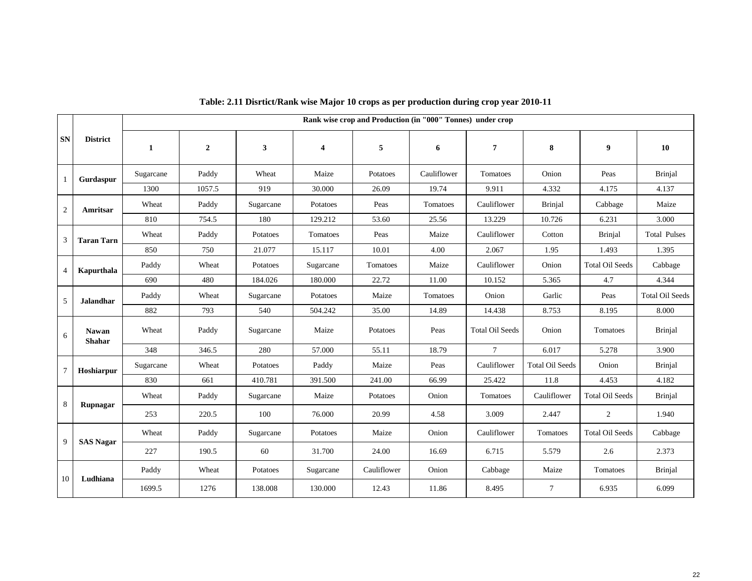|                |                               |              |                |           |                         | Rank wise crop and Production (in "000" Tonnes) under crop |             |                        |                        |                        |                        |
|----------------|-------------------------------|--------------|----------------|-----------|-------------------------|------------------------------------------------------------|-------------|------------------------|------------------------|------------------------|------------------------|
| <b>SN</b>      | <b>District</b>               | $\mathbf{1}$ | $\overline{2}$ | 3         | $\overline{\mathbf{4}}$ | 5                                                          | 6           | $\overline{7}$         | 8                      | 9                      | 10                     |
| 1              | Gurdaspur                     | Sugarcane    | Paddy          | Wheat     | Maize                   | Potatoes                                                   | Cauliflower | Tomatoes               | Onion                  | Peas                   | <b>Brinjal</b>         |
|                |                               | 1300         | 1057.5         | 919       | 30.000                  | 26.09                                                      | 19.74       | 9.911                  | 4.332                  | 4.175                  | 4.137                  |
| 2              | Amritsar                      | Wheat        | Paddy          | Sugarcane | Potatoes                | Peas                                                       | Tomatoes    | Cauliflower            | <b>Brinial</b>         | Cabbage                | Maize                  |
|                |                               | 810          | 754.5          | 180       | 129.212                 | 53.60                                                      | 25.56       | 13.229                 | 10.726                 | 6.231                  | 3.000                  |
| 3              | <b>Taran Tarn</b>             | Wheat        | Paddy          | Potatoes  | Tomatoes                | Peas                                                       | Maize       | Cauliflower            | Cotton                 | <b>Brinjal</b>         | <b>Total Pulses</b>    |
|                |                               | 850          | 750            | 21.077    | 15.117                  | 10.01                                                      | 4.00        | 2.067                  | 1.95                   | 1.493                  | 1.395                  |
| $\overline{4}$ | Kapurthala                    | Paddy        | Wheat          | Potatoes  | Sugarcane               | Tomatoes                                                   | Maize       | Cauliflower            | Onion                  | <b>Total Oil Seeds</b> | Cabbage                |
|                |                               | 690          | 480            | 184.026   | 180.000                 | 22.72                                                      | 11.00       | 10.152                 | 5.365                  | 4.7                    | 4.344                  |
| 5              | <b>Jalandhar</b>              | Paddy        | Wheat          | Sugarcane | Potatoes                | Maize                                                      | Tomatoes    | Onion                  | Garlic                 | Peas                   | <b>Total Oil Seeds</b> |
|                |                               | 882          | 793            | 540       | 504.242                 | 35.00                                                      | 14.89       | 14.438                 | 8.753                  | 8.195                  | 8.000                  |
| 6              | <b>Nawan</b><br><b>Shahar</b> | Wheat        | Paddy          | Sugarcane | Maize                   | Potatoes                                                   | Peas        | <b>Total Oil Seeds</b> | Onion                  | Tomatoes               | <b>Brinjal</b>         |
|                |                               | 348          | 346.5          | 280       | 57.000                  | 55.11                                                      | 18.79       | $7\overline{ }$        | 6.017                  | 5.278                  | 3.900                  |
| $\tau$         | Hoshiarpur                    | Sugarcane    | Wheat          | Potatoes  | Paddy                   | Maize                                                      | Peas        | Cauliflower            | <b>Total Oil Seeds</b> | Onion                  | <b>Brinjal</b>         |
|                |                               | 830          | 661            | 410.781   | 391.500                 | 241.00                                                     | 66.99       | 25.422                 | 11.8                   | 4.453                  | 4.182                  |
| 8              | Rupnagar                      | Wheat        | Paddy          | Sugarcane | Maize                   | Potatoes                                                   | Onion       | Tomatoes               | Cauliflower            | <b>Total Oil Seeds</b> | <b>Brinjal</b>         |
|                |                               | 253          | 220.5          | 100       | 76.000                  | 20.99                                                      | 4.58        | 3.009                  | 2.447                  | 2                      | 1.940                  |
|                |                               | Wheat        | Paddy          | Sugarcane | Potatoes                | Maize                                                      | Onion       | Cauliflower            | Tomatoes               | <b>Total Oil Seeds</b> | Cabbage                |
| 9              | <b>SAS Nagar</b>              | 227          | 190.5          | 60        | 31.700                  | 24.00                                                      | 16.69       | 6.715                  | 5.579                  | 2.6                    | 2.373                  |
|                |                               | Paddy        | Wheat          | Potatoes  | Sugarcane               | Cauliflower                                                | Onion       | Cabbage                | Maize                  | Tomatoes               | <b>Brinjal</b>         |
| 10             | Ludhiana                      | 1699.5       | 1276           | 138.008   | 130.000                 | 12.43                                                      | 11.86       | 8.495                  | $7\overline{ }$        | 6.935                  | 6.099                  |

#### **Table: 2.11 Disrtict/Rank wise Major 10 crops as per production during crop year 2010-11**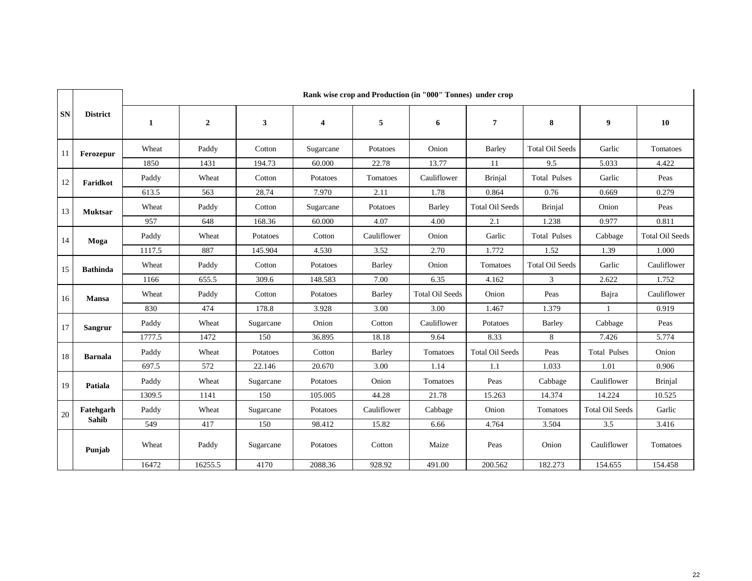|        |                 |        | Rank wise crop and Production (in "000" Tonnes) under crop |           |                         |             |                        |                        |                        |                        |                        |  |  |
|--------|-----------------|--------|------------------------------------------------------------|-----------|-------------------------|-------------|------------------------|------------------------|------------------------|------------------------|------------------------|--|--|
| SN     | <b>District</b> | 1      | $\overline{2}$                                             | 3         | $\overline{\mathbf{4}}$ | 5           | 6                      | $\boldsymbol{7}$       | 8                      | 9                      | 10                     |  |  |
| 11     | Ferozepur       | Wheat  | Paddy                                                      | Cotton    | Sugarcane               | Potatoes    | Onion                  | Barley                 | <b>Total Oil Seeds</b> | Garlic                 | Tomatoes               |  |  |
|        |                 | 1850   | 1431                                                       | 194.73    | 60.000                  | 22.78       | 13.77                  | 11                     | 9.5                    | 5.033                  | 4.422                  |  |  |
| 12     | Faridkot        | Paddy  | Wheat                                                      | Cotton    | Potatoes                | Tomatoes    | Cauliflower            | <b>Brinjal</b>         | <b>Total Pulses</b>    | Garlic                 | Peas                   |  |  |
|        |                 | 613.5  | 563                                                        | 28.74     | 7.970                   | 2.11        | 1.78                   | 0.864                  | 0.76                   | 0.669                  | 0.279                  |  |  |
| 13     | <b>Muktsar</b>  | Wheat  | Paddy                                                      | Cotton    | Sugarcane               | Potatoes    | Barley                 | <b>Total Oil Seeds</b> | <b>Brinjal</b>         | Onion                  | Peas                   |  |  |
|        |                 | 957    | 648                                                        | 168.36    | 60.000                  | 4.07        | 4.00                   | 2.1                    | 1.238                  | 0.977                  | 0.811                  |  |  |
| 14     | Moga            | Paddy  | Wheat                                                      | Potatoes  | Cotton                  | Cauliflower | Onion                  | Garlic                 | <b>Total Pulses</b>    | Cabbage                | <b>Total Oil Seeds</b> |  |  |
|        |                 | 1117.5 | 887                                                        | 145.904   | 4.530                   | 3.52        | 2.70                   | 1.772                  | 1.52                   | 1.39                   | 1.000                  |  |  |
| 15     | <b>Bathinda</b> | Wheat  | Paddy                                                      | Cotton    | Potatoes                | Barley      | Onion                  | Tomatoes               | <b>Total Oil Seeds</b> | Garlic                 | Cauliflower            |  |  |
|        |                 | 1166   | 655.5                                                      | 309.6     | 148.583                 | 7.00        | 6.35                   | 4.162                  | $\mathfrak{Z}$         | 2.622                  | 1.752                  |  |  |
| 16     | <b>Mansa</b>    | Wheat  | Paddy                                                      | Cotton    | Potatoes                | Barley      | <b>Total Oil Seeds</b> | Onion                  | Peas                   | Bajra                  | Cauliflower            |  |  |
|        |                 | 830    | 474                                                        | 178.8     | 3.928                   | 3.00        | 3.00                   | 1.467                  | 1.379                  |                        | 0.919                  |  |  |
| 17     | <b>Sangrur</b>  | Paddy  | Wheat                                                      | Sugarcane | Onion                   | Cotton      | Cauliflower            | Potatoes               | Barley                 | Cabbage                | Peas                   |  |  |
|        |                 | 1777.5 | 1472                                                       | 150       | 36.895                  | 18.18       | 9.64                   | 8.33                   | 8                      | 7.426                  | 5.774                  |  |  |
| 18     | <b>Barnala</b>  | Paddy  | Wheat                                                      | Potatoes  | Cotton                  | Barley      | Tomatoes               | <b>Total Oil Seeds</b> | Peas                   | <b>Total Pulses</b>    | Onion                  |  |  |
|        |                 | 697.5  | 572                                                        | 22.146    | 20.670                  | 3.00        | 1.14                   | 1.1                    | 1.033                  | 1.01                   | 0.906                  |  |  |
| 19     | Patiala         | Paddy  | Wheat                                                      | Sugarcane | Potatoes                | Onion       | Tomatoes               | Peas                   | Cabbage                | Cauliflower            | <b>Brinjal</b>         |  |  |
|        |                 | 1309.5 | 1141                                                       | 150       | 105.005                 | 44.28       | 21.78                  | 15.263                 | 14.374                 | 14.224                 | 10.525                 |  |  |
| $20\,$ | Fatehgarh       | Paddy  | Wheat                                                      | Sugarcane | Potatoes                | Cauliflower | Cabbage                | Onion                  | Tomatoes               | <b>Total Oil Seeds</b> | Garlic                 |  |  |
|        | Sahib           | 549    | 417                                                        | 150       | 98.412                  | 15.82       | 6.66                   | 4.764                  | 3.504                  | 3.5                    | 3.416                  |  |  |
|        | Punjab          | Wheat  | Paddy                                                      | Sugarcane | Potatoes                | Cotton      | Maize                  | Peas                   | Onion                  | Cauliflower            | Tomatoes               |  |  |
|        |                 | 16472  | 16255.5                                                    | 4170      | 2088.36                 | 928.92      | 491.00                 | 200.562                | 182.273                | 154.655                | 154.458                |  |  |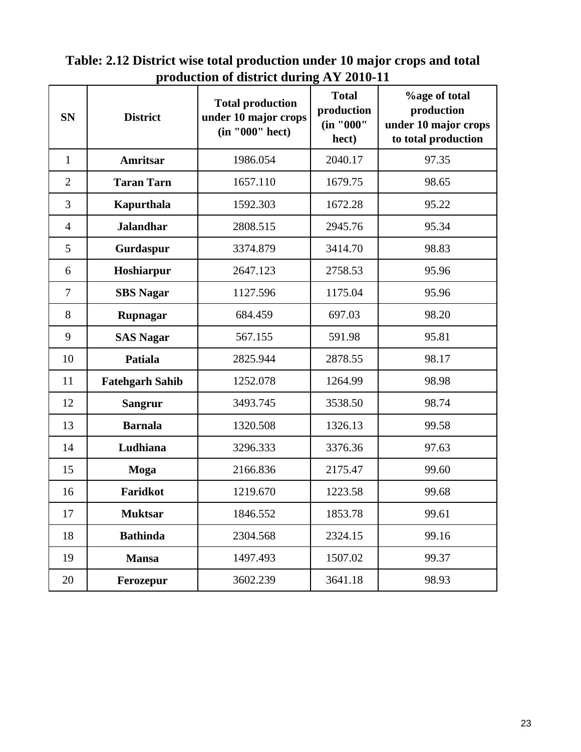| <b>SN</b>      | <b>District</b>        | <b>Total production</b><br>under 10 major crops<br>(in "000" hect) | o<br><b>Total</b><br>production<br>(in "000"<br>hect) | <b>%age of total</b><br>production<br>under 10 major crops<br>to total production |
|----------------|------------------------|--------------------------------------------------------------------|-------------------------------------------------------|-----------------------------------------------------------------------------------|
| $\mathbf{1}$   | <b>Amritsar</b>        | 1986.054                                                           | 2040.17                                               | 97.35                                                                             |
| $\overline{2}$ | <b>Taran Tarn</b>      | 1657.110                                                           | 1679.75                                               | 98.65                                                                             |
| 3              | Kapurthala             | 1592.303                                                           | 1672.28                                               | 95.22                                                                             |
| $\overline{4}$ | <b>Jalandhar</b>       | 2808.515                                                           | 2945.76                                               | 95.34                                                                             |
| 5              | Gurdaspur              | 3374.879                                                           | 3414.70                                               | 98.83                                                                             |
| 6              | Hoshiarpur             | 2647.123                                                           | 2758.53                                               | 95.96                                                                             |
| $\overline{7}$ | <b>SBS</b> Nagar       | 1127.596                                                           | 1175.04                                               | 95.96                                                                             |
| 8              | Rupnagar               | 684.459                                                            | 697.03                                                | 98.20                                                                             |
| 9              | <b>SAS Nagar</b>       | 567.155                                                            | 591.98                                                | 95.81                                                                             |
| 10             | Patiala                | 2825.944                                                           | 2878.55                                               | 98.17                                                                             |
| 11             | <b>Fatehgarh Sahib</b> | 1252.078                                                           | 1264.99                                               | 98.98                                                                             |
| 12             | <b>Sangrur</b>         | 3493.745                                                           | 3538.50                                               | 98.74                                                                             |
| 13             | <b>Barnala</b>         | 1320.508                                                           | 1326.13                                               | 99.58                                                                             |
| 14             | Ludhiana               | 3296.333                                                           | 3376.36                                               | 97.63                                                                             |
| 15             | Moga                   | 2166.836                                                           | 2175.47                                               | 99.60                                                                             |
| 16             | Faridkot               | 1219.670                                                           | 1223.58                                               | 99.68                                                                             |
| 17             | <b>Muktsar</b>         | 1846.552                                                           | 1853.78                                               | 99.61                                                                             |
| 18             | <b>Bathinda</b>        | 2304.568                                                           | 2324.15                                               | 99.16                                                                             |
| 19             | <b>Mansa</b>           | 1497.493                                                           | 1507.02                                               | 99.37                                                                             |
| 20             | Ferozepur              | 3602.239                                                           | 3641.18                                               | 98.93                                                                             |

**Table: 2.12 District wise total production under 10 major crops and total production of district during AY 2010-11**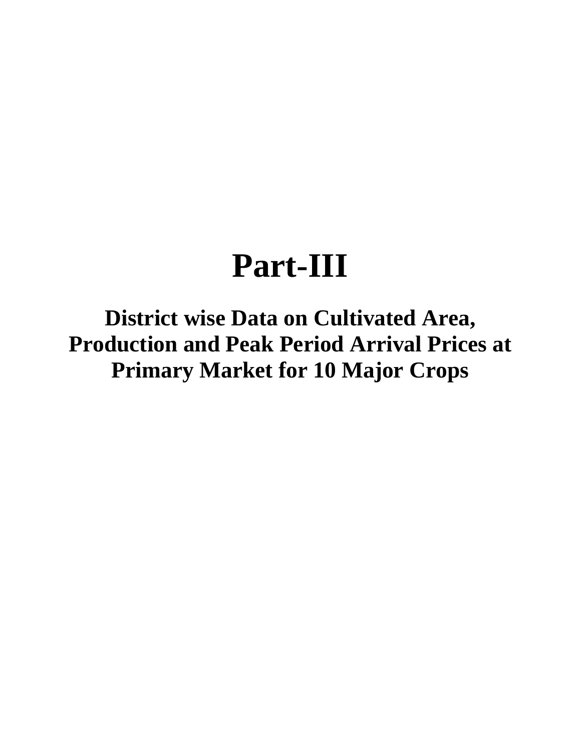# **Part-III**

**District wise Data on Cultivated Area, Production and Peak Period Arrival Prices at Primary Market for 10 Major Crops**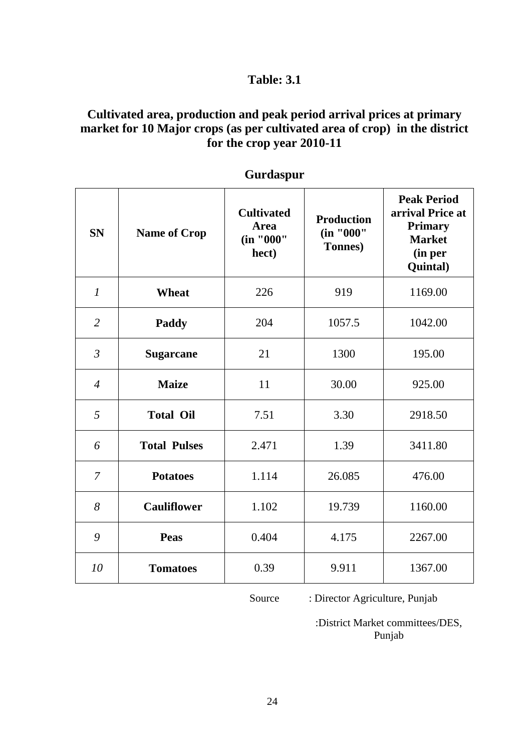## **Cultivated area, production and peak period arrival prices at primary market for 10 Major crops (as per cultivated area of crop) in the district for the crop year 2010-11**

| <b>SN</b>      | <b>Name of Crop</b> | <b>Cultivated</b><br>Area<br>(in "000"<br>hect) | <b>Production</b><br>(in "000"<br>Tonnes) | <b>Peak Period</b><br>arrival Price at<br><b>Primary</b><br><b>Market</b><br>(in per<br>Quintal) |
|----------------|---------------------|-------------------------------------------------|-------------------------------------------|--------------------------------------------------------------------------------------------------|
| $\mathfrak{1}$ | <b>Wheat</b>        | 226                                             | 919                                       | 1169.00                                                                                          |
| $\overline{2}$ | Paddy               | 204                                             | 1057.5                                    | 1042.00                                                                                          |
| $\mathfrak{Z}$ | <b>Sugarcane</b>    | 21                                              | 1300                                      | 195.00                                                                                           |
| $\overline{4}$ | <b>Maize</b>        | 11                                              | 30.00                                     | 925.00                                                                                           |
| 5              | <b>Total Oil</b>    | 7.51                                            | 3.30                                      | 2918.50                                                                                          |
| 6              | <b>Total Pulses</b> | 2.471                                           | 1.39                                      | 3411.80                                                                                          |
| 7              | <b>Potatoes</b>     | 1.114                                           | 26.085                                    | 476.00                                                                                           |
| 8              | <b>Cauliflower</b>  | 1.102                                           | 19.739                                    | 1160.00                                                                                          |
| 9              | <b>Peas</b>         | 0.404                                           | 4.175                                     | 2267.00                                                                                          |
| 10             | <b>Tomatoes</b>     | 0.39                                            | 9.911                                     | 1367.00                                                                                          |

**Gurdaspur**

Source : Director Agriculture, Punjab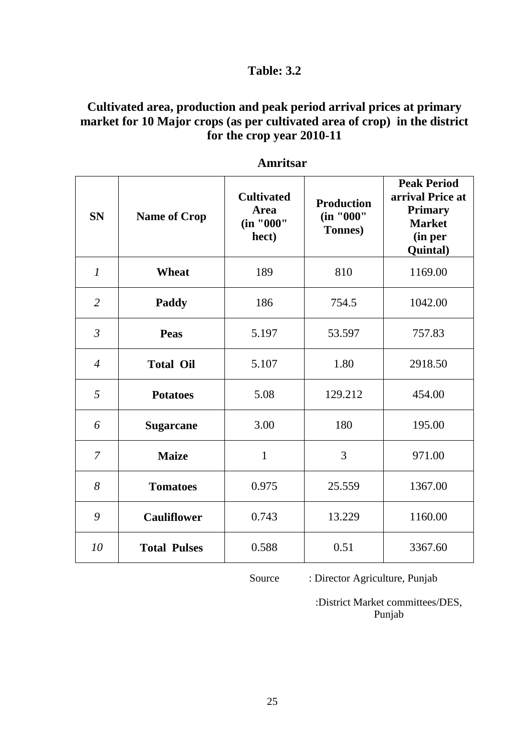## **Cultivated area, production and peak period arrival prices at primary market for 10 Major crops (as per cultivated area of crop) in the district for the crop year 2010-11**

| <b>SN</b>      | <b>Name of Crop</b> | <b>Cultivated</b><br><b>Area</b><br>(in "000"<br>hect) | <b>Production</b><br>(in "000"<br>Tonnes) | <b>Peak Period</b><br>arrival Price at<br><b>Primary</b><br><b>Market</b><br>(in per<br>Quintal) |
|----------------|---------------------|--------------------------------------------------------|-------------------------------------------|--------------------------------------------------------------------------------------------------|
| $\mathcal{I}$  | <b>Wheat</b>        | 189                                                    | 810                                       | 1169.00                                                                                          |
| $\overline{2}$ | <b>Paddy</b>        | 186                                                    | 754.5                                     | 1042.00                                                                                          |
| $\mathfrak{Z}$ | Peas                | 5.197                                                  | 53.597                                    | 757.83                                                                                           |
| $\overline{4}$ | <b>Total Oil</b>    | 5.107                                                  | 1.80                                      | 2918.50                                                                                          |
| 5              | <b>Potatoes</b>     | 5.08                                                   | 129.212                                   | 454.00                                                                                           |
| 6              | <b>Sugarcane</b>    | 3.00                                                   | 180                                       | 195.00                                                                                           |
| 7              | <b>Maize</b>        | $\mathbf{1}$                                           | 3                                         | 971.00                                                                                           |
| 8              | <b>Tomatoes</b>     | 0.975                                                  | 25.559                                    | 1367.00                                                                                          |
| 9              | <b>Cauliflower</b>  | 0.743                                                  | 13.229                                    | 1160.00                                                                                          |
| 10             | <b>Total Pulses</b> | 0.588                                                  | 0.51                                      | 3367.60                                                                                          |

 **Amritsar**

Source : Director Agriculture, Punjab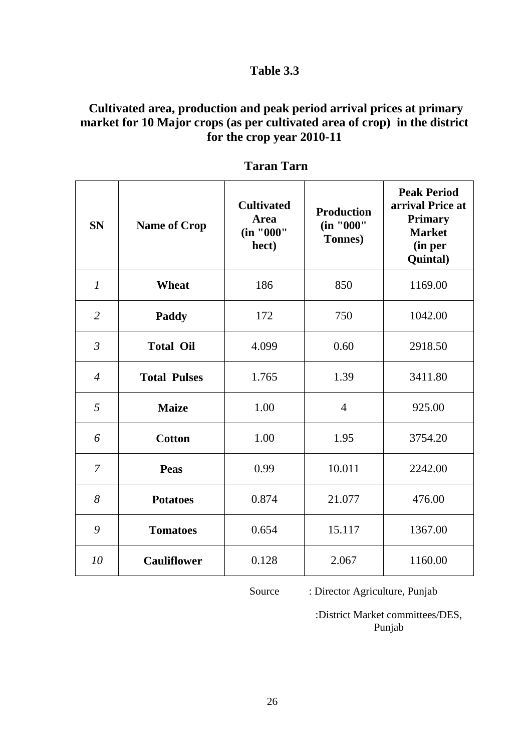## **Cultivated area, production and peak period arrival prices at primary market for 10 Major crops (as per cultivated area of crop) in the district for the crop year 2010-11**

| <b>SN</b>      | <b>Name of Crop</b> | <b>Cultivated</b><br><b>Area</b><br>(in "000"<br>hect) | <b>Production</b><br>(in "000"<br>Tonnes) | <b>Peak Period</b><br>arrival Price at<br><b>Primary</b><br><b>Market</b><br>(in per<br>Quintal) |
|----------------|---------------------|--------------------------------------------------------|-------------------------------------------|--------------------------------------------------------------------------------------------------|
| $\mathcal{I}$  | <b>Wheat</b>        | 186                                                    | 850                                       | 1169.00                                                                                          |
| $\overline{2}$ | Paddy               | 172                                                    | 750                                       | 1042.00                                                                                          |
| $\mathfrak{Z}$ | <b>Total Oil</b>    | 4.099                                                  | 0.60                                      | 2918.50                                                                                          |
| $\overline{4}$ | <b>Total Pulses</b> | 1.765                                                  | 1.39                                      | 3411.80                                                                                          |
| 5              | <b>Maize</b>        | 1.00                                                   | $\overline{4}$                            | 925.00                                                                                           |
| 6              | <b>Cotton</b>       | 1.00                                                   | 1.95                                      | 3754.20                                                                                          |
| $\overline{7}$ | <b>Peas</b>         | 0.99                                                   | 10.011                                    | 2242.00                                                                                          |
| 8              | <b>Potatoes</b>     | 0.874                                                  | 21.077                                    | 476.00                                                                                           |
| 9              | <b>Tomatoes</b>     | 0.654                                                  | 15.117                                    | 1367.00                                                                                          |
| 10             | <b>Cauliflower</b>  | 0.128                                                  | 2.067                                     | 1160.00                                                                                          |

## **Taran Tarn**

Source : Director Agriculture, Punjab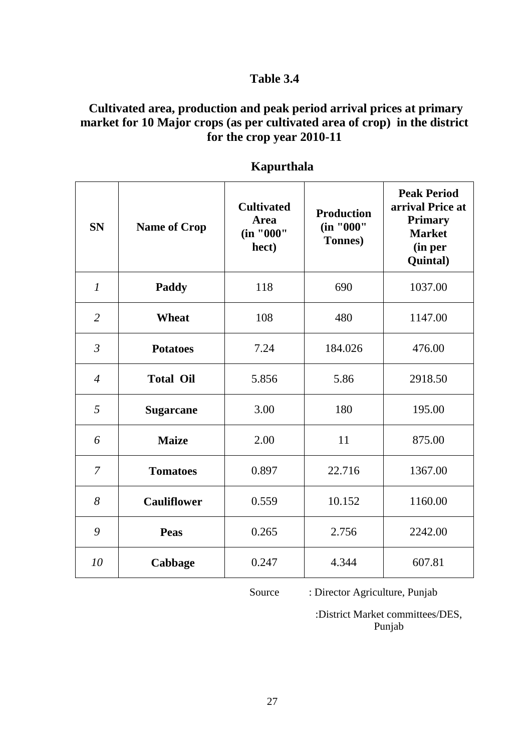## **Cultivated area, production and peak period arrival prices at primary market for 10 Major crops (as per cultivated area of crop) in the district for the crop year 2010-11**

| <b>SN</b>      | <b>Name of Crop</b> | <b>Cultivated</b><br>Area<br>(in "000"<br>hect) | <b>Production</b><br>(in "000"<br><b>Tonnes</b> ) | <b>Peak Period</b><br>arrival Price at<br><b>Primary</b><br><b>Market</b><br>(in per<br><b>Quintal</b> ) |
|----------------|---------------------|-------------------------------------------------|---------------------------------------------------|----------------------------------------------------------------------------------------------------------|
| $\mathfrak{1}$ | Paddy               | 118                                             | 690                                               | 1037.00                                                                                                  |
| $\overline{2}$ | <b>Wheat</b>        | 108                                             | 480                                               | 1147.00                                                                                                  |
| $\mathfrak{Z}$ | <b>Potatoes</b>     | 7.24                                            | 184.026                                           | 476.00                                                                                                   |
| $\overline{4}$ | <b>Total Oil</b>    | 5.856                                           | 5.86                                              | 2918.50                                                                                                  |
| 5              | <b>Sugarcane</b>    | 3.00                                            | 180                                               | 195.00                                                                                                   |
| 6              | <b>Maize</b>        | 2.00                                            | 11                                                | 875.00                                                                                                   |
| $\overline{7}$ | <b>Tomatoes</b>     | 0.897                                           | 22.716                                            | 1367.00                                                                                                  |
| 8              | <b>Cauliflower</b>  | 0.559                                           | 10.152                                            | 1160.00                                                                                                  |
| 9              | <b>Peas</b>         | 0.265                                           | 2.756                                             | 2242.00                                                                                                  |
| 10             | Cabbage             | 0.247                                           | 4.344                                             | 607.81                                                                                                   |

## **Kapurthala**

Source : Director Agriculture, Punjab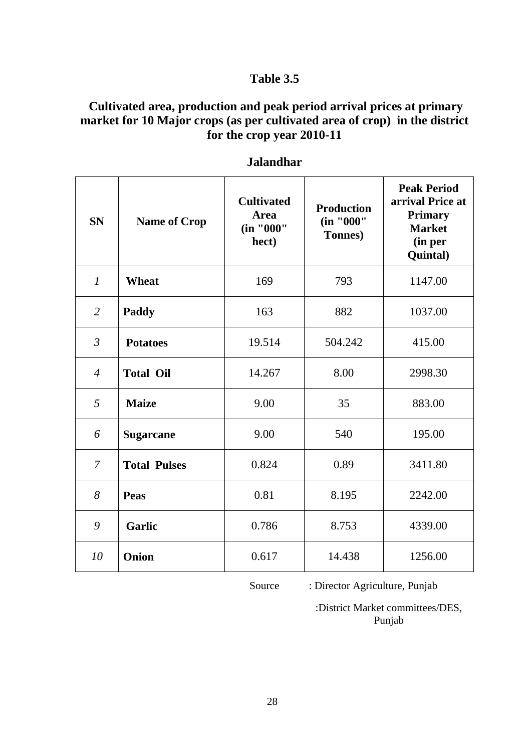## **Cultivated area, production and peak period arrival prices at primary market for 10 Major crops (as per cultivated area of crop) in the district for the crop year 2010-11**

| <b>SN</b>      | <b>Name of Crop</b> | <b>Cultivated</b><br><b>Area</b><br>(in "000"<br>hect) | <b>Production</b><br>(in "000"<br>Tonnes) | <b>Peak Period</b><br>arrival Price at<br><b>Primary</b><br><b>Market</b><br>(in per<br>Quintal) |
|----------------|---------------------|--------------------------------------------------------|-------------------------------------------|--------------------------------------------------------------------------------------------------|
| $\mathcal{I}$  | <b>Wheat</b>        | 169                                                    | 793                                       | 1147.00                                                                                          |
| $\overline{2}$ | Paddy               | 163                                                    | 882                                       | 1037.00                                                                                          |
| $\mathfrak{Z}$ | <b>Potatoes</b>     | 19.514                                                 | 504.242                                   | 415.00                                                                                           |
| $\overline{4}$ | <b>Total Oil</b>    | 14.267                                                 | 8.00                                      | 2998.30                                                                                          |
| 5              | <b>Maize</b>        | 9.00                                                   | 35                                        | 883.00                                                                                           |
| 6              | <b>Sugarcane</b>    | 9.00                                                   | 540                                       | 195.00                                                                                           |
| $\overline{7}$ | <b>Total Pulses</b> | 0.824                                                  | 0.89                                      | 3411.80                                                                                          |
| 8              | Peas                | 0.81                                                   | 8.195                                     | 2242.00                                                                                          |
| 9              | <b>Garlic</b>       | 0.786                                                  | 8.753                                     | 4339.00                                                                                          |
| 10             | Onion               | 0.617                                                  | 14.438                                    | 1256.00                                                                                          |

#### **Jalandhar**

Source : Director Agriculture, Punjab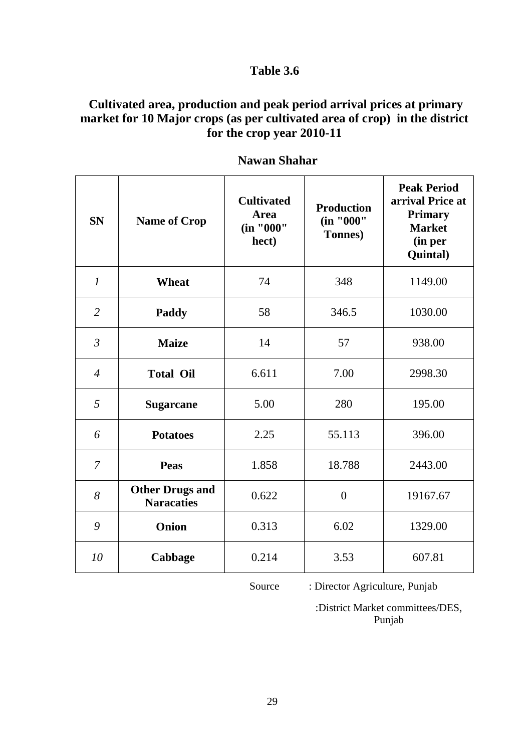## **Cultivated area, production and peak period arrival prices at primary market for 10 Major crops (as per cultivated area of crop) in the district for the crop year 2010-11**

| <b>SN</b>        | <b>Name of Crop</b>                         | <b>Cultivated</b><br><b>Area</b><br>(in "000"<br>hect) | <b>Production</b><br>(in "000"<br>Tonnes) | <b>Peak Period</b><br>arrival Price at<br><b>Primary</b><br><b>Market</b><br>(in per<br>Quintal) |
|------------------|---------------------------------------------|--------------------------------------------------------|-------------------------------------------|--------------------------------------------------------------------------------------------------|
| $\boldsymbol{l}$ | <b>Wheat</b>                                | 74                                                     | 348                                       | 1149.00                                                                                          |
| $\overline{2}$   | Paddy                                       | 58                                                     | 346.5                                     | 1030.00                                                                                          |
| $\overline{3}$   | <b>Maize</b>                                | 14                                                     | 57                                        | 938.00                                                                                           |
| $\overline{4}$   | <b>Total Oil</b>                            | 6.611                                                  | 7.00                                      | 2998.30                                                                                          |
| 5                | <b>Sugarcane</b>                            | 5.00                                                   | 280                                       | 195.00                                                                                           |
| 6                | <b>Potatoes</b>                             | 2.25                                                   | 55.113                                    | 396.00                                                                                           |
| $\overline{7}$   | <b>Peas</b>                                 | 1.858                                                  | 18.788                                    | 2443.00                                                                                          |
| 8                | <b>Other Drugs and</b><br><b>Naracaties</b> | 0.622                                                  | $\overline{0}$                            | 19167.67                                                                                         |
| 9                | <b>Onion</b>                                | 0.313                                                  | 6.02                                      | 1329.00                                                                                          |
| 10               | Cabbage                                     | 0.214                                                  | 3.53                                      | 607.81                                                                                           |

## **Nawan Shahar**

Source : Director Agriculture, Punjab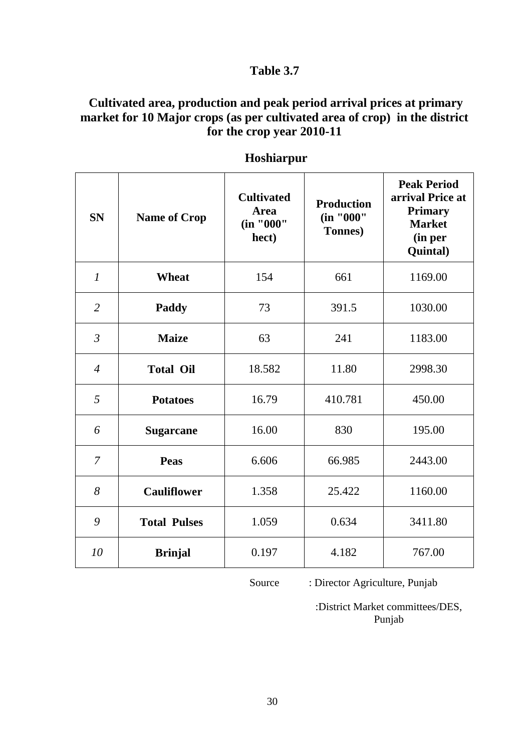## **Cultivated area, production and peak period arrival prices at primary market for 10 Major crops (as per cultivated area of crop) in the district for the crop year 2010-11**

| <b>SN</b>      | <b>Name of Crop</b> | <b>Cultivated</b><br><b>Area</b><br>(in "000"<br>hect) | <b>Production</b><br>(in "000"<br>Tonnes) | <b>Peak Period</b><br>arrival Price at<br><b>Primary</b><br><b>Market</b><br>(in per<br>Quintal) |
|----------------|---------------------|--------------------------------------------------------|-------------------------------------------|--------------------------------------------------------------------------------------------------|
| $\mathcal{I}$  | Wheat               | 154                                                    | 661                                       | 1169.00                                                                                          |
| $\overline{2}$ | Paddy               | 73                                                     | 391.5                                     | 1030.00                                                                                          |
| $\mathfrak{Z}$ | <b>Maize</b>        | 63                                                     | 241                                       | 1183.00                                                                                          |
| $\overline{4}$ | <b>Total Oil</b>    | 18.582                                                 | 11.80                                     | 2998.30                                                                                          |
| 5              | <b>Potatoes</b>     | 16.79                                                  | 410.781                                   | 450.00                                                                                           |
| 6              | <b>Sugarcane</b>    | 16.00                                                  | 830                                       | 195.00                                                                                           |
| $\overline{7}$ | Peas                | 6.606                                                  | 66.985                                    | 2443.00                                                                                          |
| 8              | <b>Cauliflower</b>  | 1.358                                                  | 25.422                                    | 1160.00                                                                                          |
| 9              | <b>Total Pulses</b> | 1.059                                                  | 0.634                                     | 3411.80                                                                                          |
| 10             | <b>Brinjal</b>      | 0.197                                                  | 4.182                                     | 767.00                                                                                           |

## **Hoshiarpur**

Source : Director Agriculture, Punjab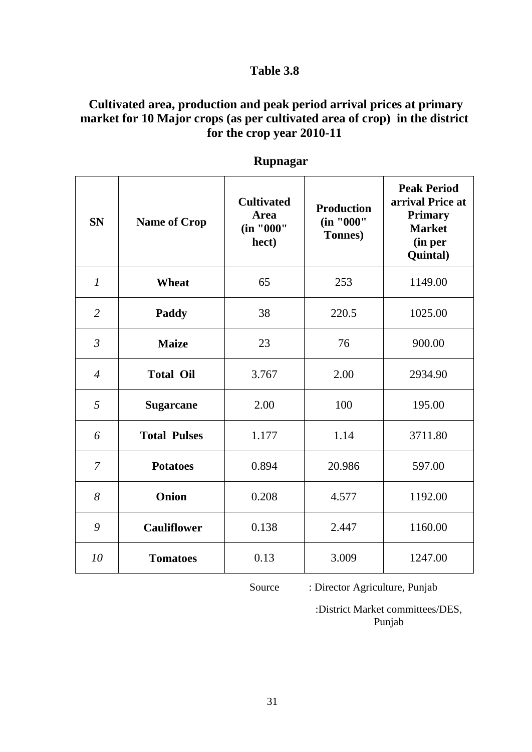## **Cultivated area, production and peak period arrival prices at primary market for 10 Major crops (as per cultivated area of crop) in the district for the crop year 2010-11**

| <b>SN</b>        | <b>Name of Crop</b> | <b>Cultivated</b><br>Area<br>(in "000"<br>hect) | <b>Production</b><br>(in "000"<br>Tonnes) | <b>Peak Period</b><br>arrival Price at<br><b>Primary</b><br><b>Market</b><br>(in per<br>Quintal) |
|------------------|---------------------|-------------------------------------------------|-------------------------------------------|--------------------------------------------------------------------------------------------------|
| $\boldsymbol{l}$ | <b>Wheat</b>        | 65                                              | 253                                       | 1149.00                                                                                          |
| $\overline{2}$   | Paddy               | 38                                              | 220.5                                     | 1025.00                                                                                          |
| $\mathfrak{Z}$   | <b>Maize</b>        | 23                                              | 76                                        | 900.00                                                                                           |
| $\overline{4}$   | <b>Total Oil</b>    | 3.767                                           | 2.00                                      | 2934.90                                                                                          |
| 5                | <b>Sugarcane</b>    | 2.00                                            | 100                                       | 195.00                                                                                           |
| 6                | <b>Total Pulses</b> | 1.177                                           | 1.14                                      | 3711.80                                                                                          |
| 7                | <b>Potatoes</b>     | 0.894                                           | 20.986                                    | 597.00                                                                                           |
| 8                | <b>Onion</b>        | 0.208                                           | 4.577                                     | 1192.00                                                                                          |
| 9                | <b>Cauliflower</b>  | 0.138                                           | 2.447                                     | 1160.00                                                                                          |
| 10               | <b>Tomatoes</b>     | 0.13                                            | 3.009                                     | 1247.00                                                                                          |

#### **Rupnagar**

Source : Director Agriculture, Punjab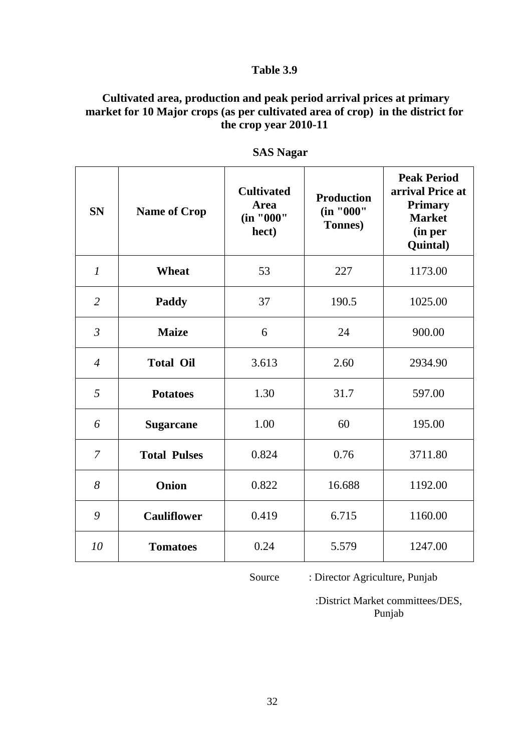## **Cultivated area, production and peak period arrival prices at primary market for 10 Major crops (as per cultivated area of crop) in the district for the crop year 2010-11**

| <b>SN</b>        | <b>Name of Crop</b> | <b>Cultivated</b><br><b>Area</b><br>(in "000"<br>hect) | <b>Production</b><br>(in "000"<br>Tonnes) | <b>Peak Period</b><br>arrival Price at<br><b>Primary</b><br><b>Market</b><br>(in per<br>Quintal) |
|------------------|---------------------|--------------------------------------------------------|-------------------------------------------|--------------------------------------------------------------------------------------------------|
| $\boldsymbol{l}$ | <b>Wheat</b>        | 53                                                     | 227                                       | 1173.00                                                                                          |
| $\overline{2}$   | Paddy               | 37                                                     | 190.5                                     | 1025.00                                                                                          |
| $\mathfrak{Z}$   | <b>Maize</b>        | 6                                                      | 24                                        | 900.00                                                                                           |
| $\overline{4}$   | <b>Total Oil</b>    | 3.613                                                  | 2.60                                      | 2934.90                                                                                          |
| 5                | <b>Potatoes</b>     | 1.30                                                   | 31.7                                      | 597.00                                                                                           |
| 6                | <b>Sugarcane</b>    | 1.00                                                   | 60                                        | 195.00                                                                                           |
| $\overline{7}$   | <b>Total Pulses</b> | 0.824                                                  | 0.76                                      | 3711.80                                                                                          |
| 8                | Onion               | 0.822                                                  | 16.688                                    | 1192.00                                                                                          |
| 9                | <b>Cauliflower</b>  | 0.419                                                  | 6.715                                     | 1160.00                                                                                          |
| 10               | <b>Tomatoes</b>     | 0.24                                                   | 5.579                                     | 1247.00                                                                                          |

 **SAS Nagar**

Source : Director Agriculture, Punjab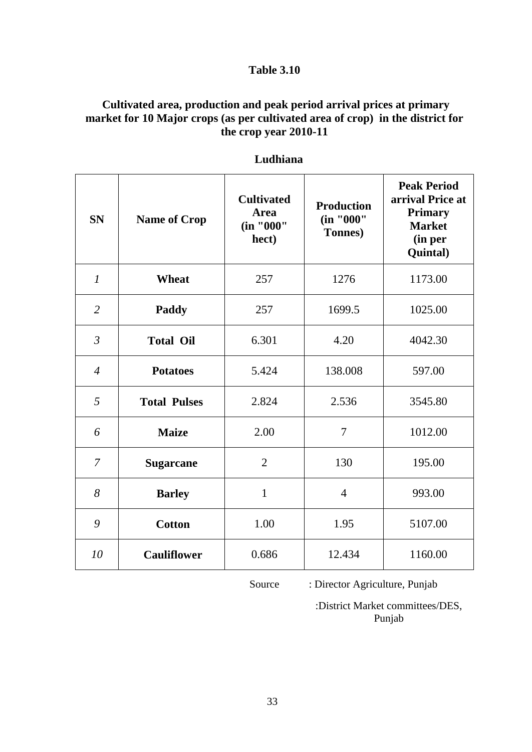## **Cultivated area, production and peak period arrival prices at primary market for 10 Major crops (as per cultivated area of crop) in the district for the crop year 2010-11**

| <b>SN</b>        | <b>Name of Crop</b> | <b>Cultivated</b><br><b>Area</b><br>(in "000"<br>hect) | <b>Production</b><br>(in "000"<br>Tonnes) | <b>Peak Period</b><br>arrival Price at<br><b>Primary</b><br><b>Market</b><br>(in per<br>Quintal) |
|------------------|---------------------|--------------------------------------------------------|-------------------------------------------|--------------------------------------------------------------------------------------------------|
| $\boldsymbol{l}$ | <b>Wheat</b>        | 257                                                    | 1276                                      | 1173.00                                                                                          |
| $\overline{2}$   | Paddy               | 257                                                    | 1699.5                                    | 1025.00                                                                                          |
| $\mathfrak{Z}$   | <b>Total Oil</b>    | 6.301                                                  | 4.20                                      | 4042.30                                                                                          |
| $\overline{4}$   | <b>Potatoes</b>     | 5.424                                                  | 138.008                                   | 597.00                                                                                           |
| 5                | <b>Total Pulses</b> | 2.824                                                  | 2.536                                     | 3545.80                                                                                          |
| 6                | <b>Maize</b>        | 2.00                                                   | 7                                         | 1012.00                                                                                          |
| $\overline{7}$   | <b>Sugarcane</b>    | $\overline{2}$                                         | 130                                       | 195.00                                                                                           |
| 8                | <b>Barley</b>       | $\mathbf{1}$                                           | $\overline{4}$                            | 993.00                                                                                           |
| 9                | <b>Cotton</b>       | 1.00                                                   | 1.95                                      | 5107.00                                                                                          |
| 10               | <b>Cauliflower</b>  | 0.686                                                  | 12.434                                    | 1160.00                                                                                          |

#### **Ludhiana**

Source : Director Agriculture, Punjab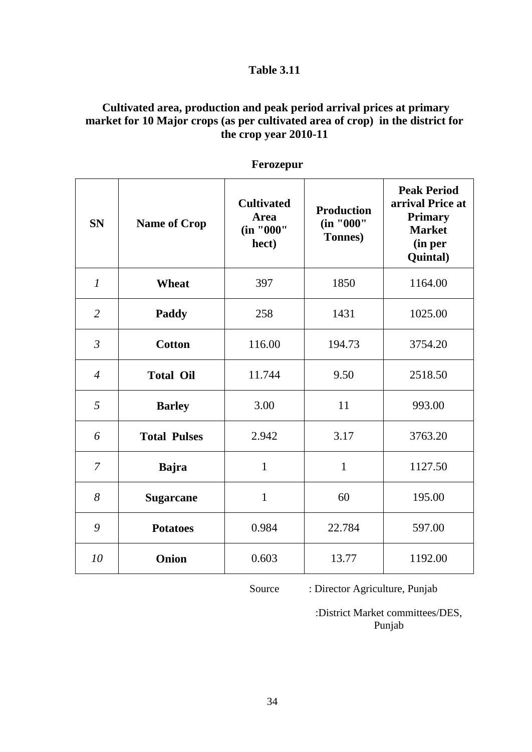## **Cultivated area, production and peak period arrival prices at primary market for 10 Major crops (as per cultivated area of crop) in the district for the crop year 2010-11**

| <b>SN</b>                   | <b>Name of Crop</b> | <b>Cultivated</b><br><b>Area</b><br>(in "000"<br>hect) | <b>Production</b><br>(in "000"<br>Tonnes) | <b>Peak Period</b><br>arrival Price at<br><b>Primary</b><br><b>Market</b><br>(in per<br>Quintal) |
|-----------------------------|---------------------|--------------------------------------------------------|-------------------------------------------|--------------------------------------------------------------------------------------------------|
| $\mathcal{I}_{\mathcal{I}}$ | <b>Wheat</b>        | 397                                                    | 1850                                      | 1164.00                                                                                          |
| $\overline{2}$              | Paddy               | 258                                                    | 1431                                      | 1025.00                                                                                          |
| $\mathfrak{Z}$              | <b>Cotton</b>       | 116.00                                                 | 194.73                                    | 3754.20                                                                                          |
| $\overline{4}$              | <b>Total Oil</b>    | 11.744                                                 | 9.50                                      | 2518.50                                                                                          |
| 5                           | <b>Barley</b>       | 3.00                                                   | 11                                        | 993.00                                                                                           |
| 6                           | <b>Total Pulses</b> | 2.942                                                  | 3.17                                      | 3763.20                                                                                          |
| $\overline{7}$              | <b>Bajra</b>        | $\mathbf{1}$                                           | $\mathbf{1}$                              | 1127.50                                                                                          |
| 8                           | <b>Sugarcane</b>    | $\mathbf{1}$                                           | 60                                        | 195.00                                                                                           |
| 9                           | <b>Potatoes</b>     | 0.984                                                  | 22.784                                    | 597.00                                                                                           |
| 10                          | <b>Onion</b>        | 0.603                                                  | 13.77                                     | 1192.00                                                                                          |

 **Ferozepur**

Source : Director Agriculture, Punjab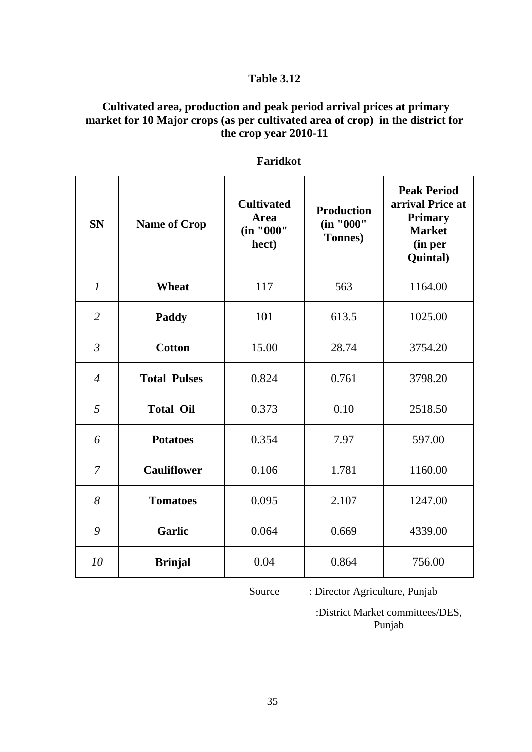## **Cultivated area, production and peak period arrival prices at primary market for 10 Major crops (as per cultivated area of crop) in the district for the crop year 2010-11**

| <b>SN</b>      | <b>Name of Crop</b> | <b>Cultivated</b><br><b>Area</b><br>(in "000"<br>hect) | <b>Production</b><br>(in "000"<br><b>Tonnes</b> ) | <b>Peak Period</b><br>arrival Price at<br><b>Primary</b><br><b>Market</b><br>(in per<br>Quintal) |
|----------------|---------------------|--------------------------------------------------------|---------------------------------------------------|--------------------------------------------------------------------------------------------------|
| $\mathcal{I}$  | <b>Wheat</b>        | 117                                                    | 563                                               | 1164.00                                                                                          |
| $\overline{2}$ | Paddy               | 101                                                    | 613.5                                             | 1025.00                                                                                          |
| $\mathfrak{Z}$ | <b>Cotton</b>       | 15.00                                                  | 28.74                                             | 3754.20                                                                                          |
| $\overline{4}$ | <b>Total Pulses</b> | 0.824                                                  | 0.761                                             | 3798.20                                                                                          |
| 5              | <b>Total Oil</b>    | 0.373                                                  | 0.10                                              | 2518.50                                                                                          |
| 6              | <b>Potatoes</b>     | 0.354                                                  | 7.97                                              | 597.00                                                                                           |
| 7              | <b>Cauliflower</b>  | 0.106                                                  | 1.781                                             | 1160.00                                                                                          |
| 8              | <b>Tomatoes</b>     | 0.095                                                  | 2.107                                             | 1247.00                                                                                          |
| 9              | <b>Garlic</b>       | 0.064                                                  | 0.669                                             | 4339.00                                                                                          |
| 10             | <b>Brinjal</b>      | 0.04                                                   | 0.864                                             | 756.00                                                                                           |

#### **Faridkot**

Source : Director Agriculture, Punjab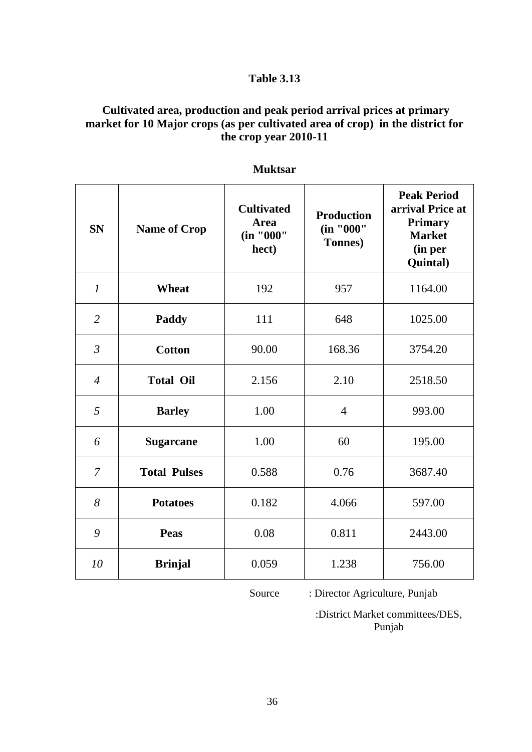## **Cultivated area, production and peak period arrival prices at primary market for 10 Major crops (as per cultivated area of crop) in the district for the crop year 2010-11**

| <b>SN</b>      | <b>Name of Crop</b> | <b>Cultivated</b><br><b>Area</b><br>(in "000"<br>hect) | <b>Production</b><br>(in "000"<br><b>Tonnes</b> ) | <b>Peak Period</b><br>arrival Price at<br><b>Primary</b><br><b>Market</b><br>(in per<br>Quintal) |
|----------------|---------------------|--------------------------------------------------------|---------------------------------------------------|--------------------------------------------------------------------------------------------------|
| $\mathcal{I}$  | Wheat               | 192                                                    | 957                                               | 1164.00                                                                                          |
| $\overline{2}$ | Paddy               | 111                                                    | 648                                               | 1025.00                                                                                          |
| $\overline{3}$ | <b>Cotton</b>       | 90.00                                                  | 168.36                                            | 3754.20                                                                                          |
| $\overline{4}$ | <b>Total Oil</b>    | 2.156                                                  | 2.10                                              | 2518.50                                                                                          |
| 5              | <b>Barley</b>       | 1.00                                                   | $\overline{4}$                                    | 993.00                                                                                           |
| 6              | <b>Sugarcane</b>    | 1.00                                                   | 60                                                | 195.00                                                                                           |
| 7              | <b>Total Pulses</b> | 0.588                                                  | 0.76                                              | 3687.40                                                                                          |
| 8              | <b>Potatoes</b>     | 0.182                                                  | 4.066                                             | 597.00                                                                                           |
| 9              | Peas                | 0.08                                                   | 0.811                                             | 2443.00                                                                                          |
| 10             | <b>Brinjal</b>      | 0.059                                                  | 1.238                                             | 756.00                                                                                           |

#### **Muktsar**

Source : Director Agriculture, Punjab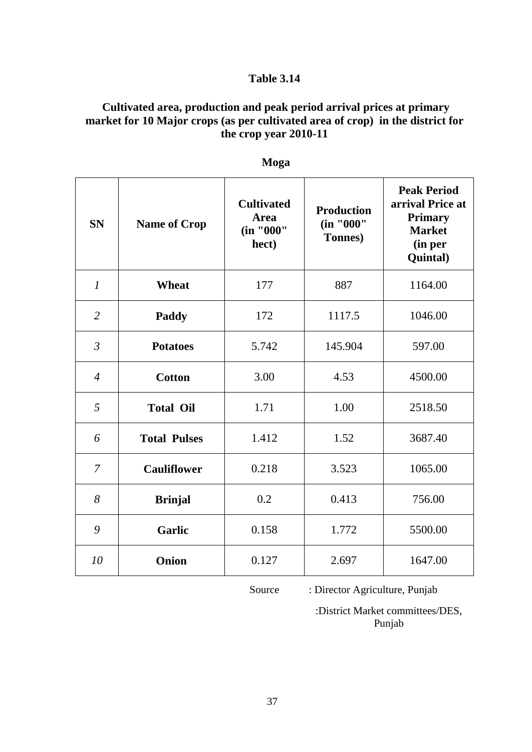## **Cultivated area, production and peak period arrival prices at primary market for 10 Major crops (as per cultivated area of crop) in the district for the crop year 2010-11**

| <b>SN</b>      | <b>Name of Crop</b> | <b>Cultivated</b><br><b>Area</b><br>(in "000"<br>hect) | <b>Production</b><br>(in "000"<br>Tonnes) | <b>Peak Period</b><br>arrival Price at<br><b>Primary</b><br><b>Market</b><br>(in per<br>Quintal) |
|----------------|---------------------|--------------------------------------------------------|-------------------------------------------|--------------------------------------------------------------------------------------------------|
| $\mathfrak{1}$ | <b>Wheat</b>        | 177                                                    | 887                                       | 1164.00                                                                                          |
| $\overline{2}$ | <b>Paddy</b>        | 172                                                    | 1117.5                                    | 1046.00                                                                                          |
| $\mathfrak{Z}$ | <b>Potatoes</b>     | 5.742                                                  | 145.904                                   | 597.00                                                                                           |
| $\overline{4}$ | <b>Cotton</b>       | 3.00                                                   | 4.53                                      | 4500.00                                                                                          |
| 5              | <b>Total Oil</b>    | 1.71                                                   | 1.00                                      | 2518.50                                                                                          |
| 6              | <b>Total Pulses</b> | 1.412                                                  | 1.52                                      | 3687.40                                                                                          |
| $\overline{7}$ | <b>Cauliflower</b>  | 0.218                                                  | 3.523                                     | 1065.00                                                                                          |
| 8              | <b>Brinjal</b>      | 0.2                                                    | 0.413                                     | 756.00                                                                                           |
| 9              | <b>Garlic</b>       | 0.158                                                  | 1.772                                     | 5500.00                                                                                          |
| 10             | Onion               | 0.127                                                  | 2.697                                     | 1647.00                                                                                          |

**Moga**

Source : Director Agriculture, Punjab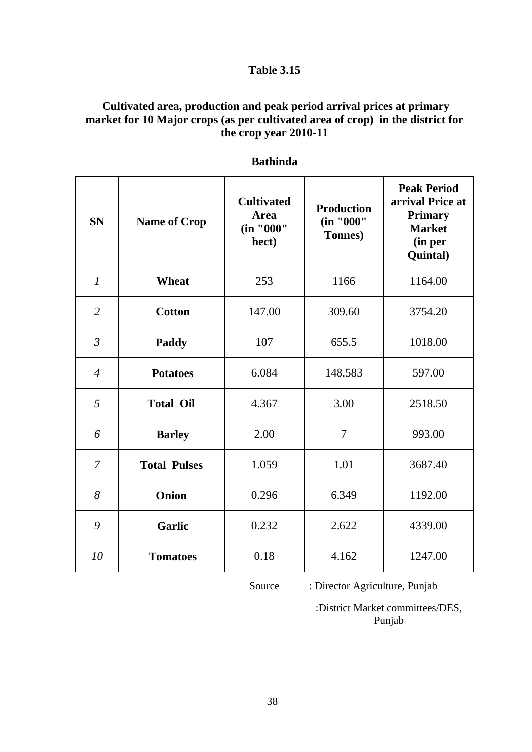## **Cultivated area, production and peak period arrival prices at primary market for 10 Major crops (as per cultivated area of crop) in the district for the crop year 2010-11**

| <b>SN</b>                   | <b>Name of Crop</b> | <b>Cultivated</b><br><b>Area</b><br>(in "000"<br>hect) | <b>Production</b><br>(in "000"<br><b>Tonnes</b> ) | <b>Peak Period</b><br>arrival Price at<br><b>Primary</b><br><b>Market</b><br>(in per<br>Quintal) |
|-----------------------------|---------------------|--------------------------------------------------------|---------------------------------------------------|--------------------------------------------------------------------------------------------------|
| $\mathcal{I}_{\mathcal{I}}$ | <b>Wheat</b>        | 253                                                    | 1166                                              | 1164.00                                                                                          |
| $\overline{2}$              | <b>Cotton</b>       | 147.00                                                 | 309.60                                            | 3754.20                                                                                          |
| $\mathfrak{Z}$              | Paddy               | 107                                                    | 655.5                                             | 1018.00                                                                                          |
| $\overline{4}$              | <b>Potatoes</b>     | 6.084                                                  | 148.583                                           | 597.00                                                                                           |
| 5                           | <b>Total Oil</b>    | 4.367                                                  | 3.00                                              | 2518.50                                                                                          |
| 6                           | <b>Barley</b>       | 2.00                                                   | $\overline{7}$                                    | 993.00                                                                                           |
| $\overline{7}$              | <b>Total Pulses</b> | 1.059                                                  | 1.01                                              | 3687.40                                                                                          |
| 8                           | Onion               | 0.296                                                  | 6.349                                             | 1192.00                                                                                          |
| 9                           | Garlic              | 0.232                                                  | 2.622                                             | 4339.00                                                                                          |
| 10                          | <b>Tomatoes</b>     | 0.18                                                   | 4.162                                             | 1247.00                                                                                          |

#### **Bathinda**

Source : Director Agriculture, Punjab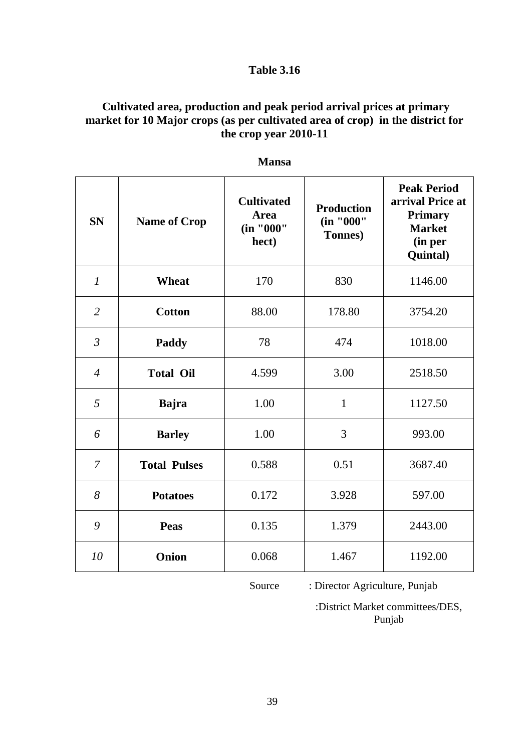## **Cultivated area, production and peak period arrival prices at primary market for 10 Major crops (as per cultivated area of crop) in the district for the crop year 2010-11**

| <b>SN</b>      | <b>Name of Crop</b> | <b>Cultivated</b><br>Area<br>(in "000"<br>hect) | <b>Production</b><br>(in "000"<br>Tonnes) | <b>Peak Period</b><br>arrival Price at<br><b>Primary</b><br><b>Market</b><br>(in per<br>Quintal) |
|----------------|---------------------|-------------------------------------------------|-------------------------------------------|--------------------------------------------------------------------------------------------------|
| $\mathcal{I}$  | <b>Wheat</b>        | 170                                             | 830                                       | 1146.00                                                                                          |
| $\overline{2}$ | <b>Cotton</b>       | 88.00                                           | 178.80                                    | 3754.20                                                                                          |
| $\mathfrak{Z}$ | Paddy               | 78                                              | 474                                       | 1018.00                                                                                          |
| $\overline{4}$ | <b>Total Oil</b>    | 4.599                                           | 3.00                                      | 2518.50                                                                                          |
| 5              | <b>Bajra</b>        | 1.00                                            | $\mathbf{1}$                              | 1127.50                                                                                          |
| 6              | <b>Barley</b>       | 1.00                                            | 3                                         | 993.00                                                                                           |
| 7              | <b>Total Pulses</b> | 0.588                                           | 0.51                                      | 3687.40                                                                                          |
| 8              | <b>Potatoes</b>     | 0.172                                           | 3.928                                     | 597.00                                                                                           |
| 9              | <b>Peas</b>         | 0.135                                           | 1.379                                     | 2443.00                                                                                          |
| 10             | Onion               | 0.068                                           | 1.467                                     | 1192.00                                                                                          |

**Mansa**

Source : Director Agriculture, Punjab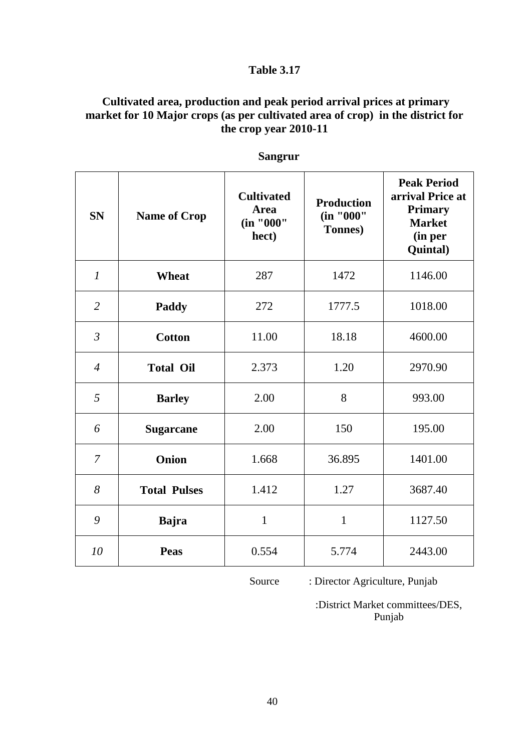## **Cultivated area, production and peak period arrival prices at primary market for 10 Major crops (as per cultivated area of crop) in the district for the crop year 2010-11**

| <b>SN</b>        | <b>Name of Crop</b> | <b>Cultivated</b><br><b>Area</b><br>(in "000"<br>hect) | <b>Production</b><br>(in "000"<br><b>Tonnes</b> ) | <b>Peak Period</b><br>arrival Price at<br><b>Primary</b><br><b>Market</b><br>(in per<br>Quintal) |
|------------------|---------------------|--------------------------------------------------------|---------------------------------------------------|--------------------------------------------------------------------------------------------------|
| $\boldsymbol{l}$ | <b>Wheat</b>        | 287                                                    | 1472                                              | 1146.00                                                                                          |
| $\overline{2}$   | Paddy               | 272                                                    | 1777.5                                            | 1018.00                                                                                          |
| $\mathfrak{Z}$   | <b>Cotton</b>       | 11.00                                                  | 18.18                                             | 4600.00                                                                                          |
| $\overline{4}$   | <b>Total Oil</b>    | 2.373                                                  | 1.20                                              | 2970.90                                                                                          |
| 5                | <b>Barley</b>       | 2.00                                                   | 8                                                 | 993.00                                                                                           |
| 6                | <b>Sugarcane</b>    | 2.00                                                   | 150                                               | 195.00                                                                                           |
| $\overline{7}$   | Onion               | 1.668                                                  | 36.895                                            | 1401.00                                                                                          |
| 8                | <b>Total Pulses</b> | 1.412                                                  | 1.27                                              | 3687.40                                                                                          |
| 9                | <b>Bajra</b>        | $\mathbf{1}$                                           | $\mathbf{1}$                                      | 1127.50                                                                                          |
| 10               | <b>Peas</b>         | 0.554                                                  | 5.774                                             | 2443.00                                                                                          |

 **Sangrur**

Source : Director Agriculture, Punjab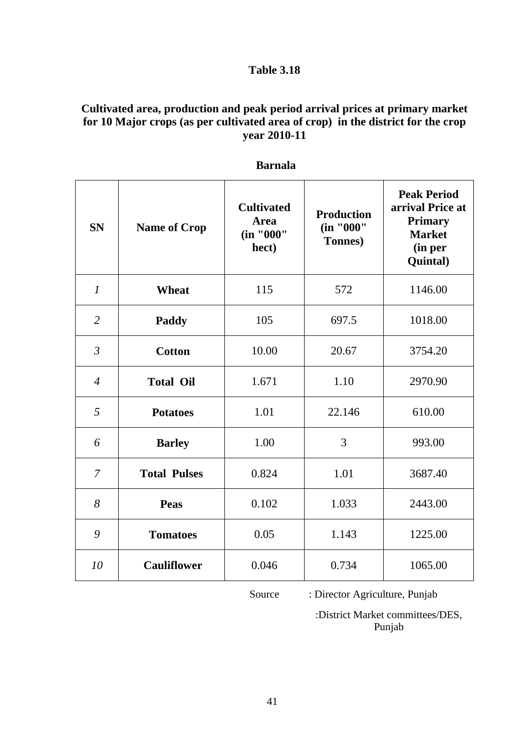## **Cultivated area, production and peak period arrival prices at primary market for 10 Major crops (as per cultivated area of crop) in the district for the crop year 2010-11**

| <b>SN</b>      | <b>Name of Crop</b> | <b>Cultivated</b><br><b>Area</b><br>(in "000"<br>hect) | <b>Production</b><br>(in "000"<br><b>Tonnes</b> ) | <b>Peak Period</b><br>arrival Price at<br><b>Primary</b><br><b>Market</b><br>(in per<br><b>Quintal</b> ) |
|----------------|---------------------|--------------------------------------------------------|---------------------------------------------------|----------------------------------------------------------------------------------------------------------|
| $\mathcal{I}$  | <b>Wheat</b>        | 115                                                    | 572                                               | 1146.00                                                                                                  |
| $\overline{2}$ | <b>Paddy</b>        | 105                                                    | 697.5                                             | 1018.00                                                                                                  |
| $\mathfrak{Z}$ | <b>Cotton</b>       | 10.00                                                  | 20.67                                             | 3754.20                                                                                                  |
| $\overline{4}$ | <b>Total Oil</b>    | 1.671                                                  | 1.10                                              | 2970.90                                                                                                  |
| 5              | <b>Potatoes</b>     | 1.01                                                   | 22.146                                            | 610.00                                                                                                   |
| 6              | <b>Barley</b>       | 1.00                                                   | 3                                                 | 993.00                                                                                                   |
| 7              | <b>Total Pulses</b> | 0.824                                                  | 1.01                                              | 3687.40                                                                                                  |
| 8              | <b>Peas</b>         | 0.102                                                  | 1.033                                             | 2443.00                                                                                                  |
| 9              | <b>Tomatoes</b>     | 0.05                                                   | 1.143                                             | 1225.00                                                                                                  |
| 10             | <b>Cauliflower</b>  | 0.046                                                  | 0.734                                             | 1065.00                                                                                                  |

#### **Barnala**

Source : Director Agriculture, Punjab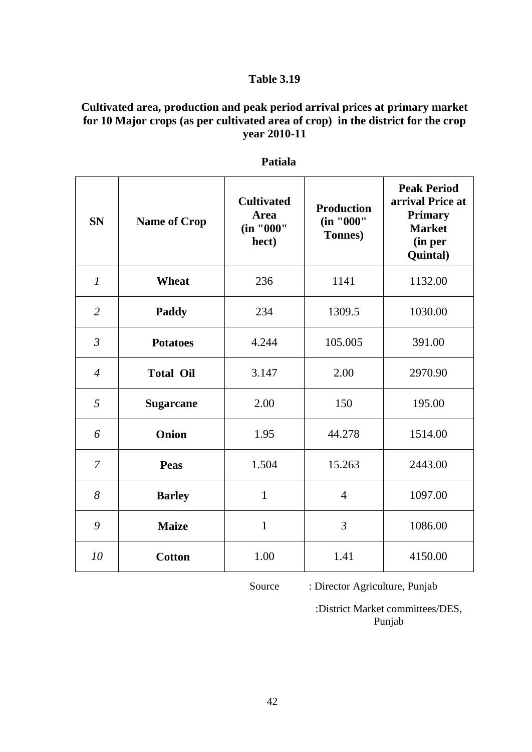## **Cultivated area, production and peak period arrival prices at primary market for 10 Major crops (as per cultivated area of crop) in the district for the crop year 2010-11**

| <b>SN</b>      | <b>Name of Crop</b> | <b>Cultivated</b><br><b>Area</b><br>(in "000"<br>hect) | <b>Production</b><br>(in "000"<br>Tonnes) | <b>Peak Period</b><br>arrival Price at<br><b>Primary</b><br><b>Market</b><br>(in per<br>Quintal) |
|----------------|---------------------|--------------------------------------------------------|-------------------------------------------|--------------------------------------------------------------------------------------------------|
| $\mathcal{I}$  | <b>Wheat</b>        | 236                                                    | 1141                                      | 1132.00                                                                                          |
| $\overline{2}$ | Paddy               | 234                                                    | 1309.5                                    | 1030.00                                                                                          |
| $\mathfrak{Z}$ | <b>Potatoes</b>     | 4.244                                                  | 105.005                                   | 391.00                                                                                           |
| $\overline{4}$ | <b>Total Oil</b>    | 3.147                                                  | 2.00                                      | 2970.90                                                                                          |
| 5              | <b>Sugarcane</b>    | 2.00                                                   | 150                                       | 195.00                                                                                           |
| 6              | Onion               | 1.95                                                   | 44.278                                    | 1514.00                                                                                          |
| $\overline{7}$ | <b>Peas</b>         | 1.504                                                  | 15.263                                    | 2443.00                                                                                          |
| 8              | <b>Barley</b>       | $\mathbf{1}$                                           | $\overline{4}$                            | 1097.00                                                                                          |
| 9              | <b>Maize</b>        | $\mathbf{1}$                                           | 3                                         | 1086.00                                                                                          |
| 10             | <b>Cotton</b>       | 1.00                                                   | 1.41                                      | 4150.00                                                                                          |

#### **Patiala**

Source : Director Agriculture, Punjab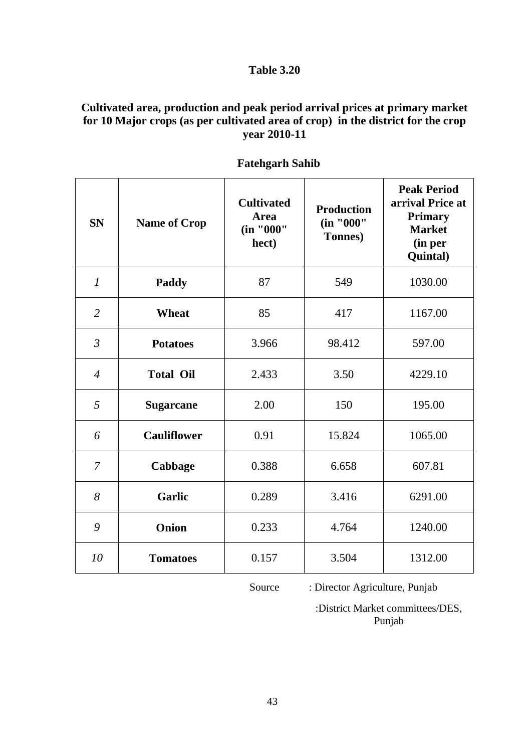## **Cultivated area, production and peak period arrival prices at primary market for 10 Major crops (as per cultivated area of crop) in the district for the crop year 2010-11**

| <b>SN</b>      | <b>Name of Crop</b> | <b>Cultivated</b><br><b>Area</b><br>(in "000"<br>hect) | <b>Production</b><br>(in "000"<br>Tonnes) | <b>Peak Period</b><br>arrival Price at<br><b>Primary</b><br><b>Market</b><br>(in per<br>Quintal) |
|----------------|---------------------|--------------------------------------------------------|-------------------------------------------|--------------------------------------------------------------------------------------------------|
| $\mathcal{I}$  | Paddy               | 87                                                     | 549                                       | 1030.00                                                                                          |
| $\overline{2}$ | <b>Wheat</b>        | 85                                                     | 417                                       | 1167.00                                                                                          |
| $\mathfrak{Z}$ | <b>Potatoes</b>     | 3.966                                                  | 98.412                                    | 597.00                                                                                           |
| $\overline{4}$ | <b>Total Oil</b>    | 2.433                                                  | 3.50                                      | 4229.10                                                                                          |
| 5              | <b>Sugarcane</b>    | 2.00                                                   | 150                                       | 195.00                                                                                           |
| 6              | <b>Cauliflower</b>  | 0.91                                                   | 15.824                                    | 1065.00                                                                                          |
| 7              | Cabbage             | 0.388                                                  | 6.658                                     | 607.81                                                                                           |
| 8              | <b>Garlic</b>       | 0.289                                                  | 3.416                                     | 6291.00                                                                                          |
| 9              | Onion               | 0.233                                                  | 4.764                                     | 1240.00                                                                                          |
| 10             | <b>Tomatoes</b>     | 0.157                                                  | 3.504                                     | 1312.00                                                                                          |

 **Fatehgarh Sahib**

Source : Director Agriculture, Punjab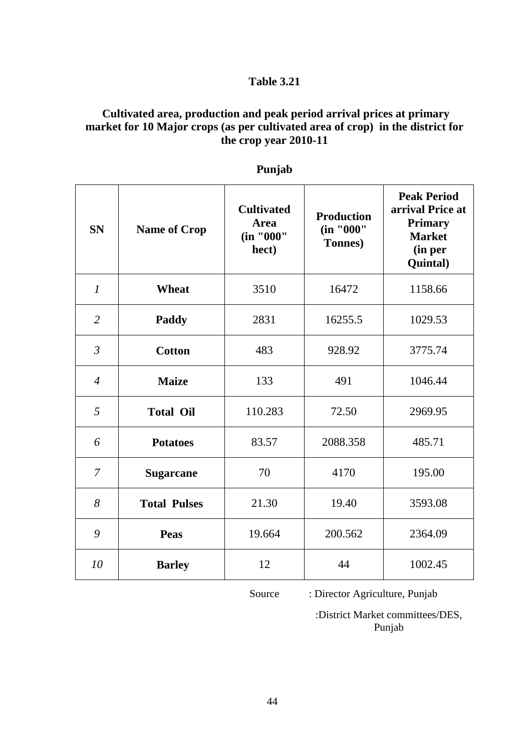#### **Cultivated area, production and peak period arrival prices at primary market for 10 Major crops (as per cultivated area of crop) in the district for the crop year 2010-11**

| <b>SN</b>      | <b>Name of Crop</b> | <b>Cultivated</b><br><b>Area</b><br>(in "000"<br>hect) | <b>Production</b><br>(in "000"<br><b>Tonnes</b> ) | <b>Peak Period</b><br>arrival Price at<br><b>Primary</b><br><b>Market</b><br>(in per<br>Quintal) |
|----------------|---------------------|--------------------------------------------------------|---------------------------------------------------|--------------------------------------------------------------------------------------------------|
| $\mathcal{I}$  | <b>Wheat</b>        | 3510                                                   | 16472                                             | 1158.66                                                                                          |
| $\overline{2}$ | Paddy               | 2831                                                   | 16255.5                                           | 1029.53                                                                                          |
| $\mathfrak{Z}$ | <b>Cotton</b>       | 483                                                    | 928.92                                            | 3775.74                                                                                          |
| $\overline{4}$ | <b>Maize</b>        | 133                                                    | 491                                               | 1046.44                                                                                          |
| 5              | <b>Total Oil</b>    | 110.283                                                | 72.50                                             | 2969.95                                                                                          |
| 6              | <b>Potatoes</b>     | 83.57                                                  | 2088.358                                          | 485.71                                                                                           |
| $\overline{7}$ | <b>Sugarcane</b>    | 70                                                     | 4170                                              | 195.00                                                                                           |
| 8              | <b>Total Pulses</b> | 21.30                                                  | 19.40                                             | 3593.08                                                                                          |
| 9              | <b>Peas</b>         | 19.664                                                 | 200.562                                           | 2364.09                                                                                          |
| 10             | <b>Barley</b>       | 12                                                     | 44                                                | 1002.45                                                                                          |

#### **Punjab**

Source : Director Agriculture, Punjab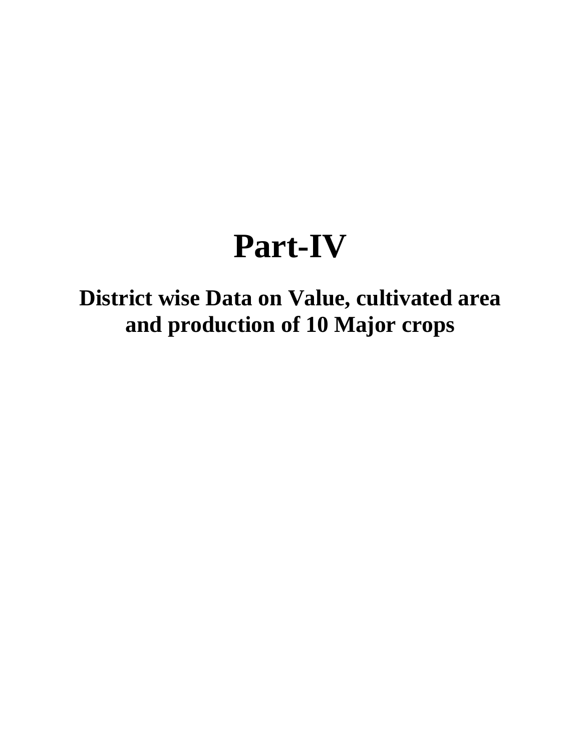## **Part-IV**

## **District wise Data on Value, cultivated area and production of 10 Major crops**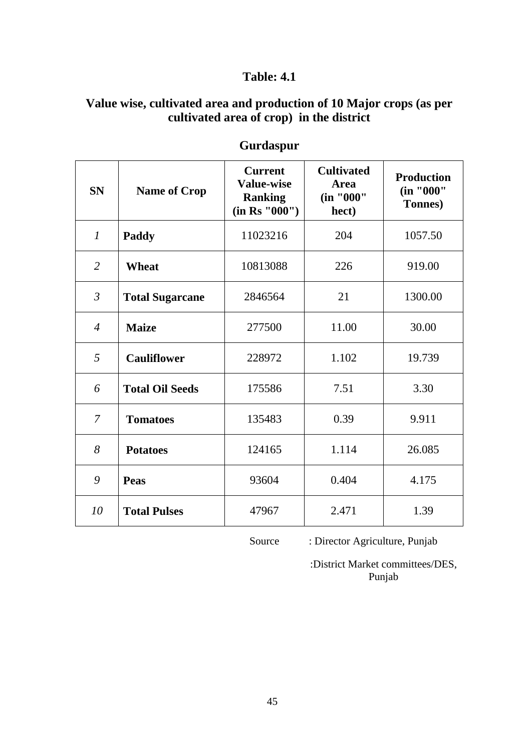## **Table: 4.1**

## **Value wise, cultivated area and production of 10 Major crops (as per cultivated area of crop) in the district**

| <b>SN</b>      | <b>Name of Crop</b>    | <b>Current</b><br><b>Value-wise</b><br><b>Ranking</b><br>(in Rs "000") | <b>Cultivated</b><br><b>Area</b><br>(in "000"<br>hect) | <b>Production</b><br>(in "000"<br><b>Tonnes</b> ) |
|----------------|------------------------|------------------------------------------------------------------------|--------------------------------------------------------|---------------------------------------------------|
| $\mathfrak{1}$ | Paddy                  | 11023216                                                               | 204                                                    | 1057.50                                           |
| 2              | <b>Wheat</b>           | 10813088                                                               | 226                                                    | 919.00                                            |
| $\mathfrak{Z}$ | <b>Total Sugarcane</b> | 2846564                                                                | 21                                                     | 1300.00                                           |
| $\overline{4}$ | <b>Maize</b>           | 277500                                                                 | 11.00                                                  | 30.00                                             |
| 5              | <b>Cauliflower</b>     | 228972                                                                 | 1.102                                                  | 19.739                                            |
| 6              | <b>Total Oil Seeds</b> | 175586                                                                 | 7.51                                                   | 3.30                                              |
| $\overline{7}$ | <b>Tomatoes</b>        | 135483                                                                 | 0.39                                                   | 9.911                                             |
| 8              | <b>Potatoes</b>        | 124165                                                                 | 1.114                                                  | 26.085                                            |
| 9              | Peas                   | 93604                                                                  | 0.404                                                  | 4.175                                             |
| 10             | <b>Total Pulses</b>    | 47967                                                                  | 2.471                                                  | 1.39                                              |

## **Gurdaspur**

Source : Director Agriculture, Punjab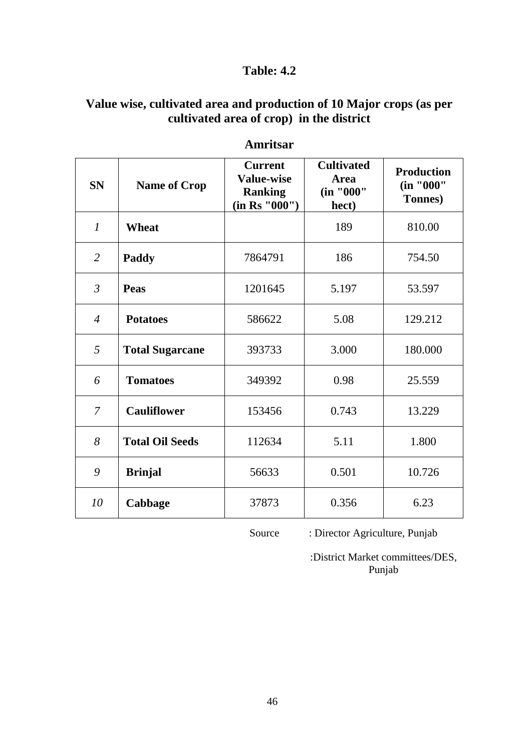## **Value wise, cultivated area and production of 10 Major crops (as per cultivated area of crop) in the district**

| <b>SN</b>      | <b>Name of Crop</b>    | <b>Current</b><br><b>Value-wise</b><br><b>Ranking</b><br>(in Rs '000'') | <b>Cultivated</b><br><b>Area</b><br>(in "000"<br>hect) | <b>Production</b><br>(in "000"<br><b>Tonnes</b> ) |
|----------------|------------------------|-------------------------------------------------------------------------|--------------------------------------------------------|---------------------------------------------------|
| $\mathcal{I}$  | <b>Wheat</b>           |                                                                         | 189                                                    | 810.00                                            |
| $\overline{2}$ | Paddy                  | 7864791                                                                 | 186                                                    | 754.50                                            |
| $\mathfrak{Z}$ | <b>Peas</b>            | 1201645                                                                 | 5.197                                                  | 53.597                                            |
| $\overline{4}$ | <b>Potatoes</b>        | 586622                                                                  | 5.08                                                   | 129.212                                           |
| 5              | <b>Total Sugarcane</b> | 393733                                                                  | 3.000                                                  | 180.000                                           |
| 6              | <b>Tomatoes</b>        | 349392                                                                  | 0.98                                                   | 25.559                                            |
| 7              | <b>Cauliflower</b>     | 153456                                                                  | 0.743                                                  | 13.229                                            |
| 8              | <b>Total Oil Seeds</b> | 112634                                                                  | 5.11                                                   | 1.800                                             |
| 9              | <b>Brinjal</b>         | 56633                                                                   | 0.501                                                  | 10.726                                            |
| 10             | Cabbage                | 37873                                                                   | 0.356                                                  | 6.23                                              |

#### **Amritsar**

Source : Director Agriculture, Punjab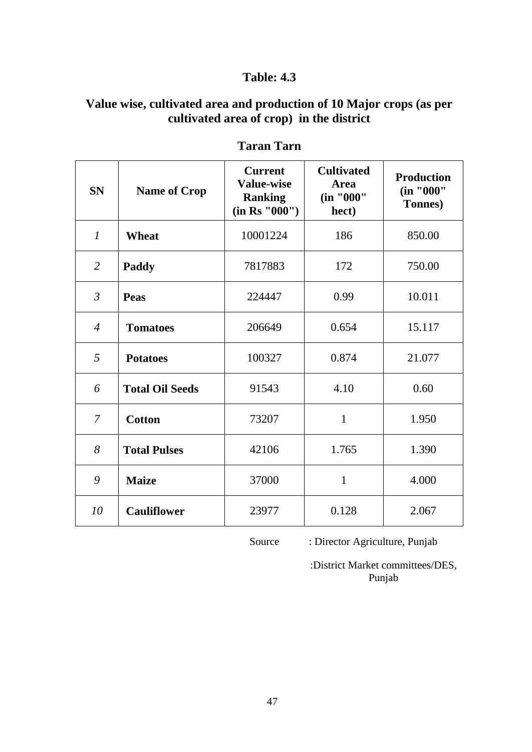## **Value wise, cultivated area and production of 10 Major crops (as per cultivated area of crop) in the district**

| <b>SN</b>      | <b>Name of Crop</b>    | <b>Current</b><br><b>Value-wise</b><br><b>Ranking</b><br>(in Rs '000'') | <b>Cultivated</b><br><b>Area</b><br>(in "000"<br>hect) | <b>Production</b><br>(in "000"<br>Tonnes) |
|----------------|------------------------|-------------------------------------------------------------------------|--------------------------------------------------------|-------------------------------------------|
| $\mathcal{I}$  | <b>Wheat</b>           | 10001224                                                                | 186                                                    | 850.00                                    |
| $\overline{2}$ | Paddy                  | 7817883                                                                 | 172                                                    | 750.00                                    |
| $\mathfrak{Z}$ | Peas                   | 224447                                                                  | 0.99                                                   | 10.011                                    |
| $\overline{4}$ | <b>Tomatoes</b>        | 206649                                                                  | 0.654                                                  | 15.117                                    |
| 5              | <b>Potatoes</b>        | 100327                                                                  | 0.874                                                  | 21.077                                    |
| 6              | <b>Total Oil Seeds</b> | 91543                                                                   | 4.10                                                   | 0.60                                      |
| $\overline{7}$ | <b>Cotton</b>          | 73207                                                                   | $\mathbf{1}$                                           | 1.950                                     |
| 8              | <b>Total Pulses</b>    | 42106                                                                   | 1.765                                                  | 1.390                                     |
| 9              | <b>Maize</b>           | 37000                                                                   | $\mathbf{1}$                                           | 4.000                                     |
| 10             | <b>Cauliflower</b>     | 23977                                                                   | 0.128                                                  | 2.067                                     |

## **Taran Tarn**

Source : Director Agriculture, Punjab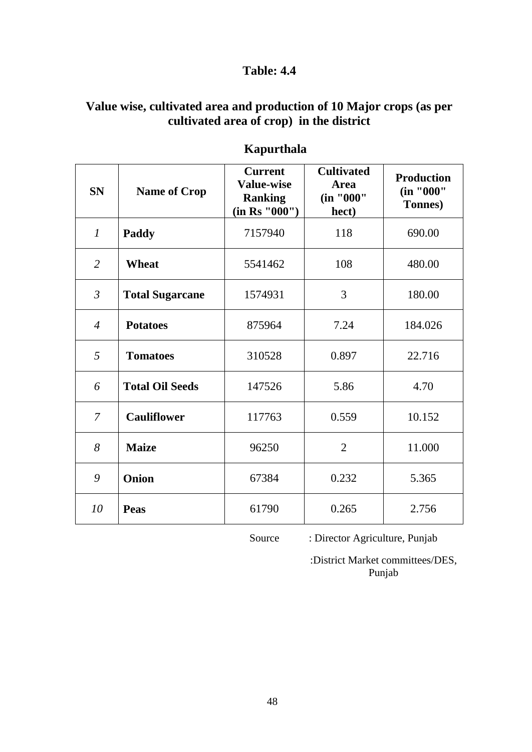# **Value wise, cultivated area and production of 10 Major crops (as per cultivated area of crop) in the district**

| <b>SN</b>      | <b>Name of Crop</b>    | <b>Current</b><br><b>Value-wise</b><br><b>Ranking</b><br>(in Rs "000") | <b>Cultivated</b><br><b>Area</b><br>(in "000"<br>hect) | <b>Production</b><br>(in "000"<br>Tonnes) |
|----------------|------------------------|------------------------------------------------------------------------|--------------------------------------------------------|-------------------------------------------|
| $\mathcal{I}$  | <b>Paddy</b>           | 7157940                                                                | 118                                                    | 690.00                                    |
| 2              | Wheat                  | 5541462                                                                | 108                                                    | 480.00                                    |
| $\mathfrak{Z}$ | <b>Total Sugarcane</b> | 1574931                                                                | 3                                                      | 180.00                                    |
| $\overline{4}$ | <b>Potatoes</b>        | 875964                                                                 | 7.24                                                   | 184.026                                   |
| 5              | <b>Tomatoes</b>        | 310528                                                                 | 0.897                                                  | 22.716                                    |
| 6              | <b>Total Oil Seeds</b> | 147526                                                                 | 5.86                                                   | 4.70                                      |
| $\overline{7}$ | <b>Cauliflower</b>     | 117763                                                                 | 0.559                                                  | 10.152                                    |
| 8              | <b>Maize</b>           | 96250                                                                  | $\overline{2}$                                         | 11.000                                    |
| 9              | Onion                  | 67384                                                                  | 0.232                                                  | 5.365                                     |
| 10             | <b>Peas</b>            | 61790                                                                  | 0.265                                                  | 2.756                                     |

# **Kapurthala**

Source : Director Agriculture, Punjab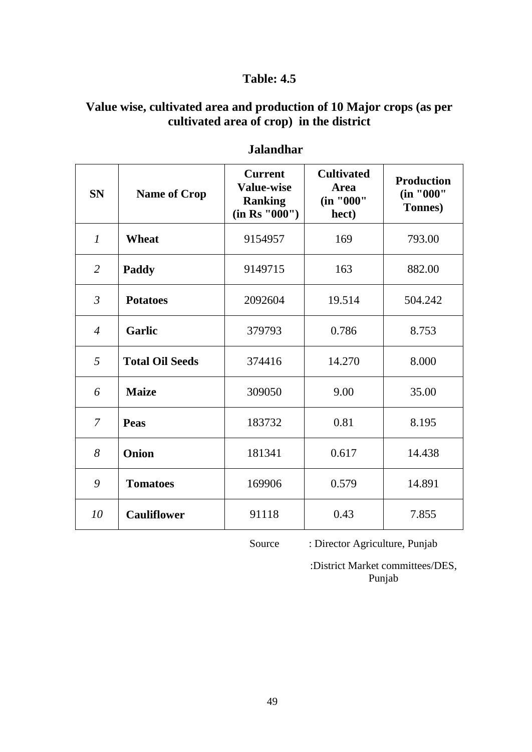## **Value wise, cultivated area and production of 10 Major crops (as per cultivated area of crop) in the district**

| <b>SN</b>      | <b>Name of Crop</b>    | <b>Current</b><br><b>Value-wise</b><br><b>Ranking</b><br>(in Rs "000") | <b>Cultivated</b><br><b>Area</b><br>(in "000"<br>hect) | <b>Production</b><br>(in "000"<br>Tonnes) |
|----------------|------------------------|------------------------------------------------------------------------|--------------------------------------------------------|-------------------------------------------|
| $\mathcal{I}$  | <b>Wheat</b>           | 9154957                                                                | 169                                                    | 793.00                                    |
| $\overline{2}$ | Paddy                  | 9149715                                                                | 163                                                    | 882.00                                    |
| $\mathfrak{Z}$ | <b>Potatoes</b>        | 2092604                                                                | 19.514                                                 | 504.242                                   |
| $\overline{4}$ | <b>Garlic</b>          | 379793                                                                 | 0.786                                                  | 8.753                                     |
| 5              | <b>Total Oil Seeds</b> | 374416                                                                 | 14.270                                                 | 8.000                                     |
| 6              | <b>Maize</b>           | 309050                                                                 | 9.00                                                   | 35.00                                     |
| 7              | <b>Peas</b>            | 183732                                                                 | 0.81                                                   | 8.195                                     |
| 8              | Onion                  | 181341                                                                 | 0.617                                                  | 14.438                                    |
| 9              | <b>Tomatoes</b>        | 169906                                                                 | 0.579                                                  | 14.891                                    |
| 10             | <b>Cauliflower</b>     | 91118                                                                  | 0.43                                                   | 7.855                                     |

#### **Jalandhar**

Source : Director Agriculture, Punjab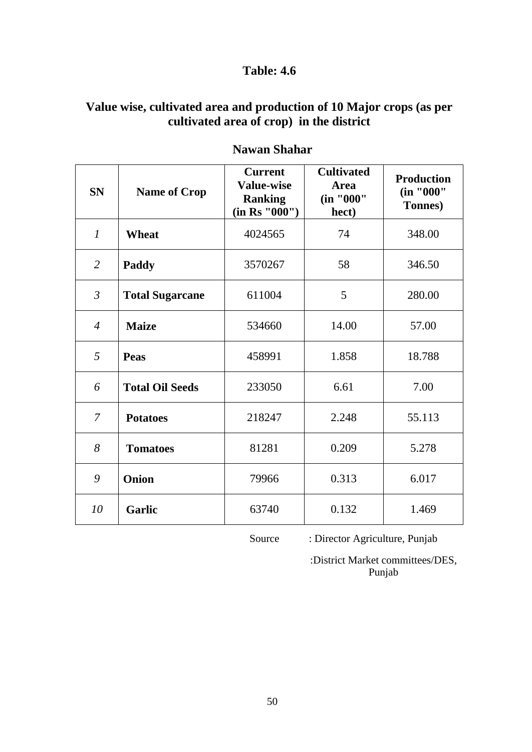# **Value wise, cultivated area and production of 10 Major crops (as per cultivated area of crop) in the district**

| <b>SN</b>        | <b>Name of Crop</b>    | <b>Current</b><br><b>Value-wise</b><br><b>Ranking</b><br>(in Rs "000") | <b>Cultivated</b><br>Area<br>(in "000"<br>hect) | <b>Production</b><br>(in "000"<br>Tonnes) |
|------------------|------------------------|------------------------------------------------------------------------|-------------------------------------------------|-------------------------------------------|
| $\boldsymbol{l}$ | <b>Wheat</b>           | 4024565                                                                | 74                                              | 348.00                                    |
| 2                | <b>Paddy</b>           | 3570267                                                                | 58                                              | 346.50                                    |
| $\mathfrak{Z}$   | <b>Total Sugarcane</b> | 611004                                                                 | 5                                               | 280.00                                    |
| $\overline{4}$   | <b>Maize</b>           | 534660                                                                 | 14.00                                           | 57.00                                     |
| 5                | Peas                   | 458991                                                                 | 1.858                                           | 18.788                                    |
| 6                | <b>Total Oil Seeds</b> | 233050                                                                 | 6.61                                            | 7.00                                      |
| $\overline{7}$   | <b>Potatoes</b>        | 218247                                                                 | 2.248                                           | 55.113                                    |
| 8                | <b>Tomatoes</b>        | 81281                                                                  | 0.209                                           | 5.278                                     |
| 9                | Onion                  | 79966                                                                  | 0.313                                           | 6.017                                     |
| 10               | <b>Garlic</b>          | 63740                                                                  | 0.132                                           | 1.469                                     |

## **Nawan Shahar**

Source : Director Agriculture, Punjab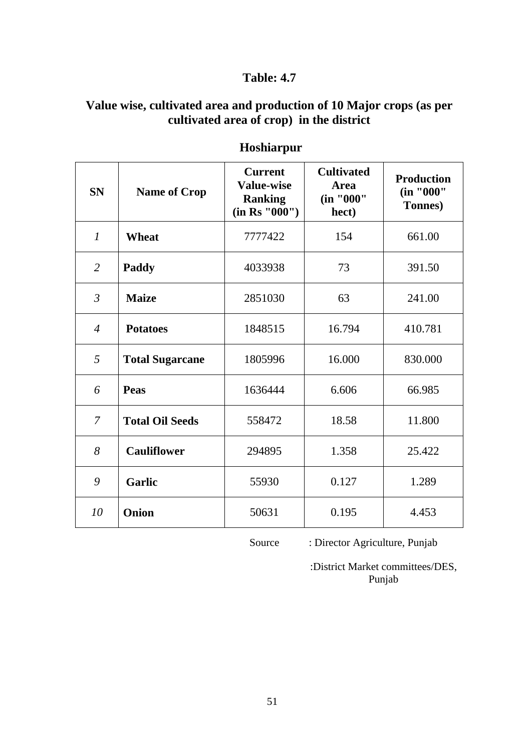## **Value wise, cultivated area and production of 10 Major crops (as per cultivated area of crop) in the district**

| <b>SN</b>        | <b>Name of Crop</b>    | <b>Current</b><br><b>Value-wise</b><br><b>Ranking</b><br>(in Rs "000") | <b>Cultivated</b><br>Area<br>(in "000"<br>hect) | <b>Production</b><br>(in "000"<br><b>Tonnes</b> ) |
|------------------|------------------------|------------------------------------------------------------------------|-------------------------------------------------|---------------------------------------------------|
| $\boldsymbol{l}$ | <b>Wheat</b>           | 7777422                                                                | 154                                             | 661.00                                            |
| $\overline{2}$   | Paddy                  | 4033938                                                                | 73                                              | 391.50                                            |
| $\mathfrak{Z}$   | <b>Maize</b>           | 2851030                                                                | 63                                              | 241.00                                            |
| $\overline{4}$   | <b>Potatoes</b>        | 1848515                                                                | 16.794                                          | 410.781                                           |
| 5                | <b>Total Sugarcane</b> | 1805996                                                                | 16.000                                          | 830.000                                           |
| 6                | <b>Peas</b>            | 1636444                                                                | 6.606                                           | 66.985                                            |
| 7                | <b>Total Oil Seeds</b> | 558472                                                                 | 18.58                                           | 11.800                                            |
| 8                | <b>Cauliflower</b>     | 294895                                                                 | 1.358                                           | 25.422                                            |
| 9                | <b>Garlic</b>          | 55930                                                                  | 0.127                                           | 1.289                                             |
| 10               | Onion                  | 50631                                                                  | 0.195                                           | 4.453                                             |

## **Hoshiarpur**

Source : Director Agriculture, Punjab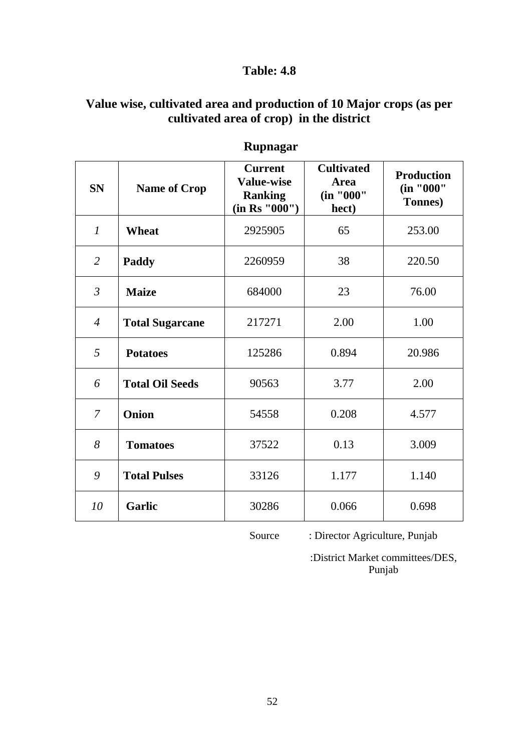## **Value wise, cultivated area and production of 10 Major crops (as per cultivated area of crop) in the district**

| <b>SN</b>        | <b>Name of Crop</b>    | <b>Current</b><br><b>Value-wise</b><br><b>Ranking</b><br>(in Rs "000") | <b>Cultivated</b><br><b>Area</b><br>(in "000"<br>hect) | <b>Production</b><br>(in "000"<br>Tonnes) |
|------------------|------------------------|------------------------------------------------------------------------|--------------------------------------------------------|-------------------------------------------|
| $\boldsymbol{l}$ | <b>Wheat</b>           | 2925905                                                                | 65                                                     | 253.00                                    |
| $\overline{2}$   | <b>Paddy</b>           | 2260959                                                                | 38                                                     | 220.50                                    |
| $\mathfrak{Z}$   | <b>Maize</b>           | 684000                                                                 | 23                                                     | 76.00                                     |
| $\overline{4}$   | <b>Total Sugarcane</b> | 217271                                                                 | 2.00                                                   | 1.00                                      |
| 5                | <b>Potatoes</b>        | 125286                                                                 | 0.894                                                  | 20.986                                    |
| 6                | <b>Total Oil Seeds</b> | 90563                                                                  | 3.77                                                   | 2.00                                      |
| $\overline{7}$   | Onion                  | 54558                                                                  | 0.208                                                  | 4.577                                     |
| 8                | <b>Tomatoes</b>        | 37522                                                                  | 0.13                                                   | 3.009                                     |
| 9                | <b>Total Pulses</b>    | 33126                                                                  | 1.177                                                  | 1.140                                     |
| 10               | <b>Garlic</b>          | 30286                                                                  | 0.066                                                  | 0.698                                     |

# **Rupnagar**

Source : Director Agriculture, Punjab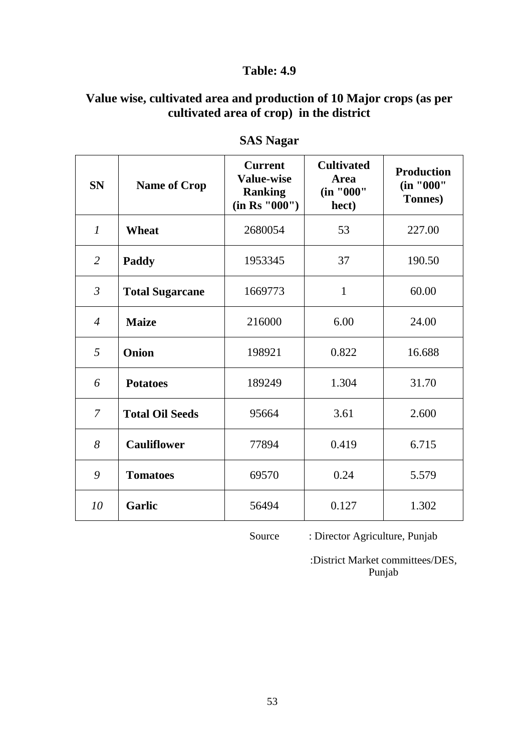## **Value wise, cultivated area and production of 10 Major crops (as per cultivated area of crop) in the district**

| <b>SN</b>      | <b>Name of Crop</b>    | <b>Current</b><br><b>Value-wise</b><br><b>Ranking</b><br>(in Rs "000") | <b>Cultivated</b><br><b>Area</b><br>(in "000"<br>hect) | <b>Production</b><br>(in "000"<br><b>Tonnes</b> ) |
|----------------|------------------------|------------------------------------------------------------------------|--------------------------------------------------------|---------------------------------------------------|
| $\mathcal{I}$  | <b>Wheat</b>           | 2680054                                                                | 53                                                     | 227.00                                            |
| $\overline{2}$ | Paddy                  | 1953345                                                                | 37                                                     | 190.50                                            |
| $\mathfrak{Z}$ | <b>Total Sugarcane</b> | 1669773                                                                | $\mathbf{1}$                                           | 60.00                                             |
| $\overline{4}$ | <b>Maize</b>           | 216000                                                                 | 6.00                                                   | 24.00                                             |
| 5              | <b>Onion</b>           | 198921                                                                 | 0.822                                                  | 16.688                                            |
| 6              | <b>Potatoes</b>        | 189249                                                                 | 1.304                                                  | 31.70                                             |
| $\overline{7}$ | <b>Total Oil Seeds</b> | 95664                                                                  | 3.61                                                   | 2.600                                             |
| 8              | <b>Cauliflower</b>     | 77894                                                                  | 0.419                                                  | 6.715                                             |
| 9              | <b>Tomatoes</b>        | 69570                                                                  | 0.24                                                   | 5.579                                             |
| 10             | <b>Garlic</b>          | 56494                                                                  | 0.127                                                  | 1.302                                             |

## **SAS Nagar**

Source : Director Agriculture, Punjab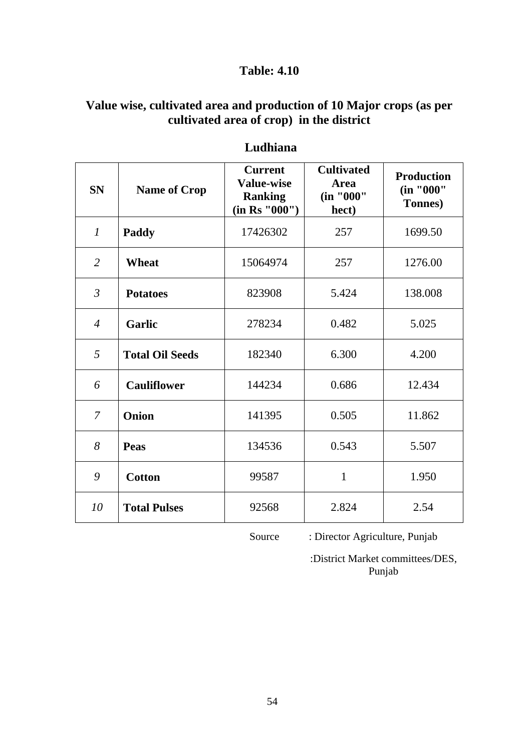## **Value wise, cultivated area and production of 10 Major crops (as per cultivated area of crop) in the district**

| <b>SN</b>      | <b>Name of Crop</b>    | <b>Current</b><br><b>Value-wise</b><br><b>Ranking</b><br>(in Rs "000") | <b>Cultivated</b><br><b>Area</b><br>(in "000"<br>hect) | <b>Production</b><br>(in "000"<br><b>Tonnes</b> ) |
|----------------|------------------------|------------------------------------------------------------------------|--------------------------------------------------------|---------------------------------------------------|
| $\mathcal{I}$  | <b>Paddy</b>           | 17426302                                                               | 257                                                    | 1699.50                                           |
| 2              | Wheat                  | 15064974                                                               | 257                                                    | 1276.00                                           |
| $\mathfrak{Z}$ | <b>Potatoes</b>        | 823908                                                                 | 5.424                                                  | 138.008                                           |
| $\overline{4}$ | <b>Garlic</b>          | 278234                                                                 | 0.482                                                  | 5.025                                             |
| 5              | <b>Total Oil Seeds</b> | 182340                                                                 | 6.300                                                  | 4.200                                             |
| 6              | <b>Cauliflower</b>     | 144234                                                                 | 0.686                                                  | 12.434                                            |
| $\overline{7}$ | Onion                  | 141395                                                                 | 0.505                                                  | 11.862                                            |
| 8              | <b>Peas</b>            | 134536                                                                 | 0.543                                                  | 5.507                                             |
| 9              | <b>Cotton</b>          | 99587                                                                  | $\mathbf{1}$                                           | 1.950                                             |
| 10             | <b>Total Pulses</b>    | 92568                                                                  | 2.824                                                  | 2.54                                              |

#### **Ludhiana**

Source : Director Agriculture, Punjab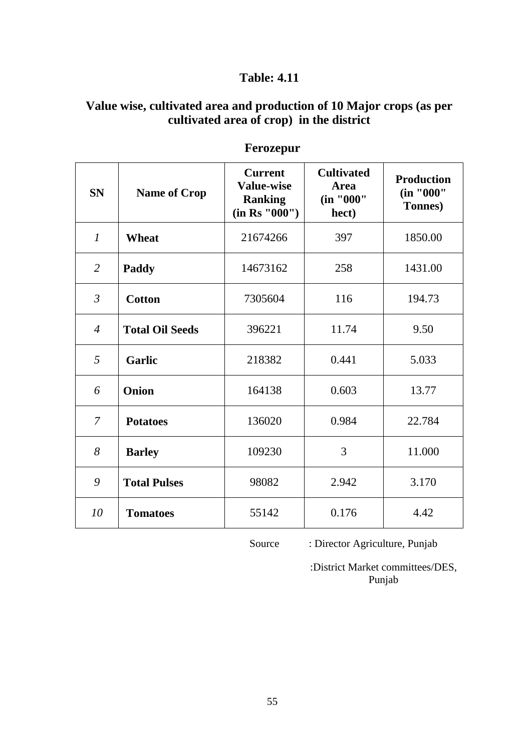## **Value wise, cultivated area and production of 10 Major crops (as per cultivated area of crop) in the district**

| <b>SN</b>      | <b>Name of Crop</b>    | <b>Current</b><br><b>Value-wise</b><br><b>Ranking</b><br>(in Rs '000'') | <b>Cultivated</b><br><b>Area</b><br>(in "000"<br>hect) | <b>Production</b><br>(in "000"<br><b>Tonnes</b> ) |
|----------------|------------------------|-------------------------------------------------------------------------|--------------------------------------------------------|---------------------------------------------------|
| $\mathcal{I}$  | <b>Wheat</b>           | 21674266                                                                | 397                                                    | 1850.00                                           |
| $\overline{2}$ | Paddy                  | 14673162                                                                | 258                                                    | 1431.00                                           |
| $\mathfrak{Z}$ | <b>Cotton</b>          | 7305604                                                                 | 116                                                    | 194.73                                            |
| $\overline{4}$ | <b>Total Oil Seeds</b> | 396221                                                                  | 11.74                                                  | 9.50                                              |
| 5              | <b>Garlic</b>          | 218382                                                                  | 0.441                                                  | 5.033                                             |
| 6              | Onion                  | 164138                                                                  | 0.603                                                  | 13.77                                             |
| 7              | <b>Potatoes</b>        | 136020                                                                  | 0.984                                                  | 22.784                                            |
| 8              | <b>Barley</b>          | 109230                                                                  | 3                                                      | 11.000                                            |
| 9              | <b>Total Pulses</b>    | 98082                                                                   | 2.942                                                  | 3.170                                             |
| 10             | <b>Tomatoes</b>        | 55142                                                                   | 0.176                                                  | 4.42                                              |

# **Ferozepur**

Source : Director Agriculture, Punjab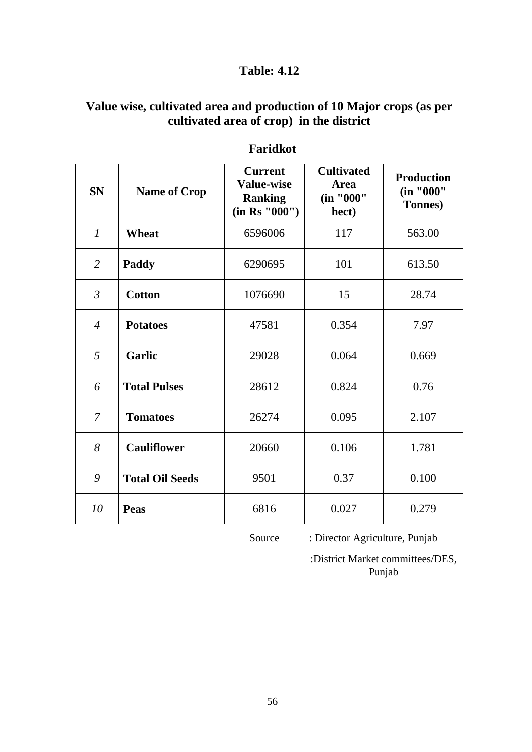# **Value wise, cultivated area and production of 10 Major crops (as per cultivated area of crop) in the district**

| <b>SN</b>      | <b>Name of Crop</b>    | <b>Current</b><br><b>Value-wise</b><br><b>Ranking</b><br>(in Rs "000") | <b>Cultivated</b><br><b>Area</b><br>(in "000"<br>hect) | <b>Production</b><br>(in "000"<br><b>Tonnes</b> ) |
|----------------|------------------------|------------------------------------------------------------------------|--------------------------------------------------------|---------------------------------------------------|
| $\mathcal{I}$  | Wheat                  | 6596006                                                                | 117                                                    | 563.00                                            |
| $\overline{2}$ | Paddy                  | 6290695                                                                | 101                                                    | 613.50                                            |
| $\mathfrak{Z}$ | <b>Cotton</b>          | 1076690                                                                | 15                                                     | 28.74                                             |
| $\overline{4}$ | <b>Potatoes</b>        | 47581                                                                  | 0.354                                                  | 7.97                                              |
| 5              | <b>Garlic</b>          | 29028                                                                  | 0.064                                                  | 0.669                                             |
| 6              | <b>Total Pulses</b>    | 28612                                                                  | 0.824                                                  | 0.76                                              |
| $\overline{7}$ | <b>Tomatoes</b>        | 26274                                                                  | 0.095                                                  | 2.107                                             |
| 8              | <b>Cauliflower</b>     | 20660                                                                  | 0.106                                                  | 1.781                                             |
| 9              | <b>Total Oil Seeds</b> | 9501                                                                   | 0.37                                                   | 0.100                                             |
| 10             | <b>Peas</b>            | 6816                                                                   | 0.027                                                  | 0.279                                             |

#### **Faridkot**

Source : Director Agriculture, Punjab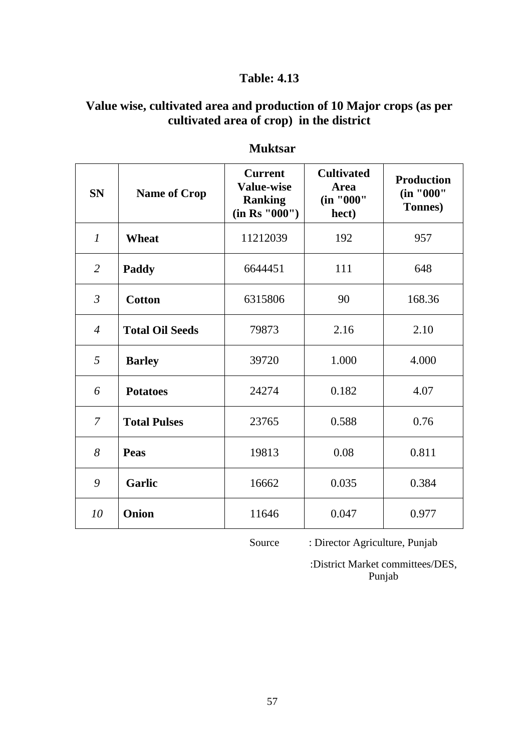## **Value wise, cultivated area and production of 10 Major crops (as per cultivated area of crop) in the district**

| <b>SN</b>      | <b>Name of Crop</b>    | <b>Current</b><br><b>Value-wise</b><br><b>Ranking</b><br>(in Rs "000") | <b>Cultivated</b><br><b>Area</b><br>(in "000"<br>hect) | <b>Production</b><br>(in "000"<br><b>Tonnes</b> ) |
|----------------|------------------------|------------------------------------------------------------------------|--------------------------------------------------------|---------------------------------------------------|
| $\mathcal{I}$  | <b>Wheat</b>           | 11212039                                                               | 192                                                    | 957                                               |
| $\overline{2}$ | Paddy                  | 6644451                                                                | 111                                                    | 648                                               |
| $\mathfrak{Z}$ | <b>Cotton</b>          | 6315806                                                                | 90                                                     | 168.36                                            |
| $\overline{4}$ | <b>Total Oil Seeds</b> | 79873                                                                  | 2.16                                                   | 2.10                                              |
| 5              | <b>Barley</b>          | 39720                                                                  | 1.000                                                  | 4.000                                             |
| 6              | <b>Potatoes</b>        | 24274                                                                  | 0.182                                                  | 4.07                                              |
| $\overline{7}$ | <b>Total Pulses</b>    | 23765                                                                  | 0.588                                                  | 0.76                                              |
| 8              | <b>Peas</b>            | 19813                                                                  | 0.08                                                   | 0.811                                             |
| 9              | <b>Garlic</b>          | 16662                                                                  | 0.035                                                  | 0.384                                             |
| 10             | Onion                  | 11646                                                                  | 0.047                                                  | 0.977                                             |

## **Muktsar**

Source : Director Agriculture, Punjab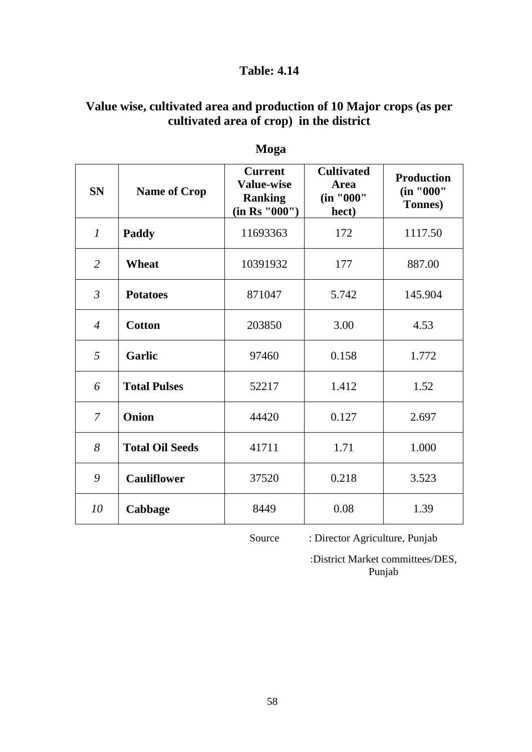# **Value wise, cultivated area and production of 10 Major crops (as per cultivated area of crop) in the district**

| <b>SN</b>      | <b>Name of Crop</b>    | <b>Current</b><br><b>Value-wise</b><br><b>Ranking</b><br>(in Rs "000") | <b>Cultivated</b><br>Area<br>(in "000"<br>hect) | <b>Production</b><br>(in "000"<br><b>Tonnes</b> ) |
|----------------|------------------------|------------------------------------------------------------------------|-------------------------------------------------|---------------------------------------------------|
| $\mathcal{I}$  | Paddy                  | 11693363                                                               | 172                                             | 1117.50                                           |
| $\overline{2}$ | <b>Wheat</b>           | 10391932                                                               | 177                                             | 887.00                                            |
| $\mathfrak{Z}$ | <b>Potatoes</b>        | 871047                                                                 | 5.742                                           | 145.904                                           |
| $\overline{4}$ | <b>Cotton</b>          | 203850                                                                 | 3.00                                            | 4.53                                              |
| 5              | <b>Garlic</b>          | 97460                                                                  | 0.158                                           | 1.772                                             |
| 6              | <b>Total Pulses</b>    | 52217                                                                  | 1.412                                           | 1.52                                              |
| $\overline{7}$ | Onion                  | 44420                                                                  | 0.127                                           | 2.697                                             |
| 8              | <b>Total Oil Seeds</b> | 41711                                                                  | 1.71                                            | 1.000                                             |
| 9              | <b>Cauliflower</b>     | 37520                                                                  | 0.218                                           | 3.523                                             |
| 10             | Cabbage                | 8449                                                                   | 0.08                                            | 1.39                                              |

# **Moga**

Source : Director Agriculture, Punjab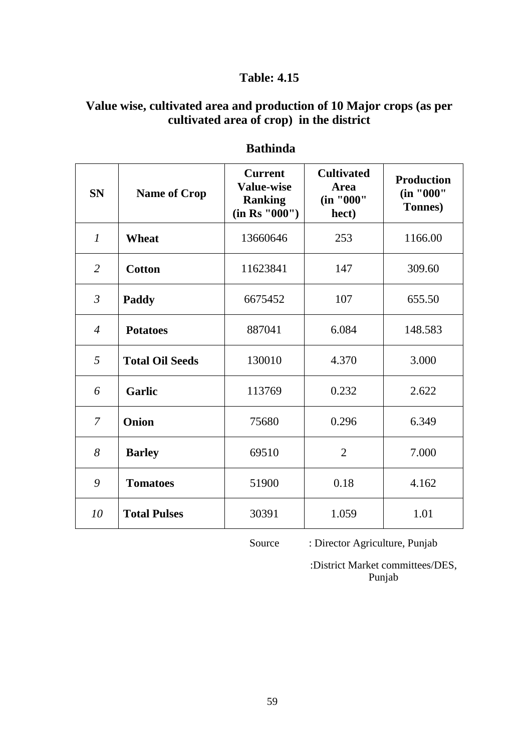## **Value wise, cultivated area and production of 10 Major crops (as per cultivated area of crop) in the district**

| <b>SN</b>      | <b>Name of Crop</b>    | <b>Current</b><br><b>Value-wise</b><br><b>Ranking</b><br>(in Rs "000") | <b>Cultivated</b><br><b>Area</b><br>(in "000"<br>hect) | <b>Production</b><br>(in "000"<br>Tonnes) |
|----------------|------------------------|------------------------------------------------------------------------|--------------------------------------------------------|-------------------------------------------|
| $\mathcal{I}$  | Wheat                  | 13660646                                                               | 253                                                    | 1166.00                                   |
| $\overline{2}$ | <b>Cotton</b>          | 11623841                                                               | 147                                                    | 309.60                                    |
| $\mathfrak{Z}$ | Paddy                  | 6675452                                                                | 107                                                    | 655.50                                    |
| $\overline{4}$ | <b>Potatoes</b>        | 887041                                                                 | 6.084                                                  | 148.583                                   |
| 5              | <b>Total Oil Seeds</b> | 130010                                                                 | 4.370                                                  | 3.000                                     |
| 6              | Garlic                 | 113769                                                                 | 0.232                                                  | 2.622                                     |
| $\overline{7}$ | Onion                  | 75680                                                                  | 0.296                                                  | 6.349                                     |
| 8              | <b>Barley</b>          | 69510                                                                  | $\overline{2}$                                         | 7.000                                     |
| 9              | <b>Tomatoes</b>        | 51900                                                                  | 0.18                                                   | 4.162                                     |
| 10             | <b>Total Pulses</b>    | 30391                                                                  | 1.059                                                  | 1.01                                      |

## **Bathinda**

Source : Director Agriculture, Punjab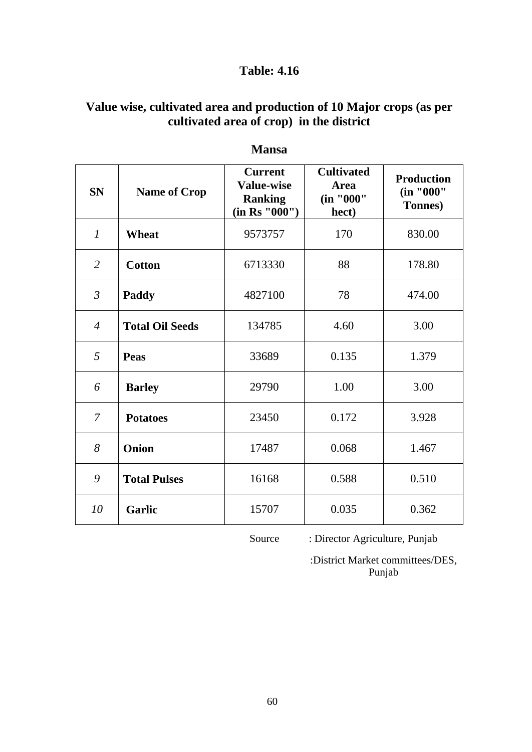# **Value wise, cultivated area and production of 10 Major crops (as per cultivated area of crop) in the district**

| <b>SN</b>        | <b>Name of Crop</b>    | <b>Current</b><br><b>Value-wise</b><br><b>Ranking</b><br>(in Rs "000") | <b>Cultivated</b><br>Area<br>(in "000"<br>hect) | <b>Production</b><br>(in "000"<br>Tonnes) |
|------------------|------------------------|------------------------------------------------------------------------|-------------------------------------------------|-------------------------------------------|
| $\boldsymbol{l}$ | <b>Wheat</b>           | 9573757                                                                | 170                                             | 830.00                                    |
| $\overline{2}$   | <b>Cotton</b>          | 6713330                                                                | 88                                              | 178.80                                    |
| $\mathfrak{Z}$   | <b>Paddy</b>           | 4827100                                                                | 78                                              | 474.00                                    |
| $\overline{4}$   | <b>Total Oil Seeds</b> | 134785                                                                 | 4.60                                            | 3.00                                      |
| 5                | <b>Peas</b>            | 33689                                                                  | 0.135                                           | 1.379                                     |
| 6                | <b>Barley</b>          | 29790                                                                  | 1.00                                            | 3.00                                      |
| $\overline{7}$   | <b>Potatoes</b>        | 23450                                                                  | 0.172                                           | 3.928                                     |
| 8                | <b>Onion</b>           | 17487                                                                  | 0.068                                           | 1.467                                     |
| 9                | <b>Total Pulses</b>    | 16168                                                                  | 0.588                                           | 0.510                                     |
| 10               | <b>Garlic</b>          | 15707                                                                  | 0.035                                           | 0.362                                     |

#### **Mansa**

Source : Director Agriculture, Punjab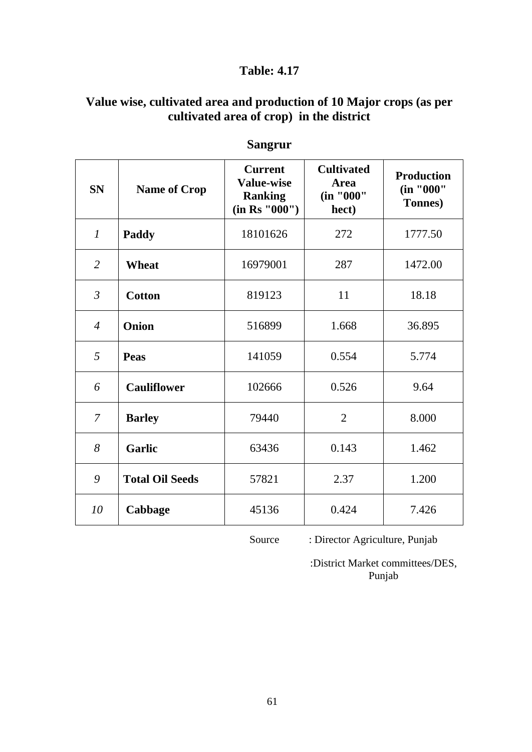## **Value wise, cultivated area and production of 10 Major crops (as per cultivated area of crop) in the district**

| <b>SN</b>      | <b>Name of Crop</b>    | <b>Current</b><br><b>Value-wise</b><br><b>Ranking</b><br>(in Rs "000") | <b>Cultivated</b><br><b>Area</b><br>(in "000"<br>hect) | <b>Production</b><br>(in "000"<br>Tonnes) |
|----------------|------------------------|------------------------------------------------------------------------|--------------------------------------------------------|-------------------------------------------|
| $\mathcal{I}$  | Paddy                  | 18101626                                                               | 272                                                    | 1777.50                                   |
| $\overline{2}$ | <b>Wheat</b>           | 16979001                                                               | 287                                                    | 1472.00                                   |
| $\mathfrak{Z}$ | <b>Cotton</b>          | 819123                                                                 | 11                                                     | 18.18                                     |
| $\overline{4}$ | Onion                  | 516899                                                                 | 1.668                                                  | 36.895                                    |
| 5              | Peas                   | 141059                                                                 | 0.554                                                  | 5.774                                     |
| 6              | <b>Cauliflower</b>     | 102666                                                                 | 0.526                                                  | 9.64                                      |
| 7              | <b>Barley</b>          | 79440                                                                  | $\overline{2}$                                         | 8.000                                     |
| 8              | <b>Garlic</b>          | 63436                                                                  | 0.143                                                  | 1.462                                     |
| 9              | <b>Total Oil Seeds</b> | 57821                                                                  | 2.37                                                   | 1.200                                     |
| 10             | Cabbage                | 45136                                                                  | 0.424                                                  | 7.426                                     |

# **Sangrur**

Source : Director Agriculture, Punjab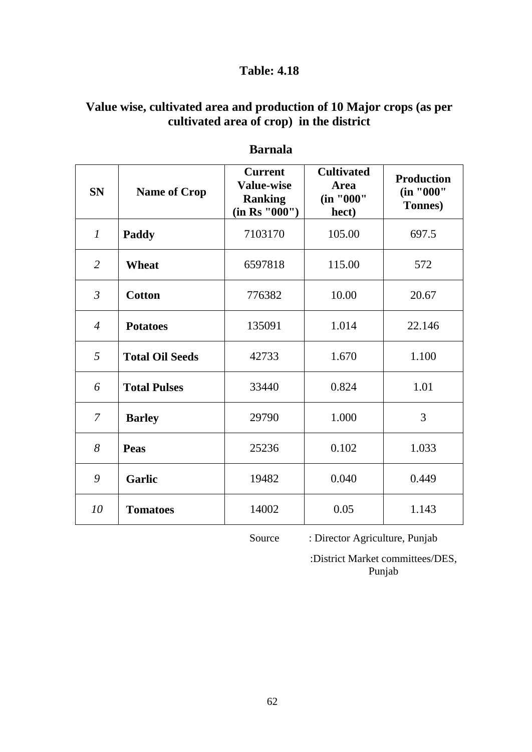## **Value wise, cultivated area and production of 10 Major crops (as per cultivated area of crop) in the district**

| <b>SN</b>      | <b>Name of Crop</b>    | <b>Current</b><br><b>Value-wise</b><br><b>Ranking</b><br>(in Rs "000") | <b>Cultivated</b><br><b>Area</b><br>(in "000"<br>hect) | <b>Production</b><br>(in "000"<br>Tonnes) |
|----------------|------------------------|------------------------------------------------------------------------|--------------------------------------------------------|-------------------------------------------|
| $\mathcal{I}$  | Paddy                  | 7103170                                                                | 105.00                                                 | 697.5                                     |
| $\overline{2}$ | <b>Wheat</b>           | 6597818                                                                | 115.00                                                 | 572                                       |
| $\mathfrak{Z}$ | <b>Cotton</b>          | 776382                                                                 | 10.00                                                  | 20.67                                     |
| $\overline{4}$ | <b>Potatoes</b>        | 135091                                                                 | 1.014                                                  | 22.146                                    |
| 5              | <b>Total Oil Seeds</b> | 42733                                                                  | 1.670                                                  | 1.100                                     |
| 6              | <b>Total Pulses</b>    | 33440                                                                  | 0.824                                                  | 1.01                                      |
| $\overline{7}$ | <b>Barley</b>          | 29790                                                                  | 1.000                                                  | 3                                         |
| 8              | Peas                   | 25236                                                                  | 0.102                                                  | 1.033                                     |
| 9              | <b>Garlic</b>          | 19482                                                                  | 0.040                                                  | 0.449                                     |
| 10             | <b>Tomatoes</b>        | 14002                                                                  | 0.05                                                   | 1.143                                     |

## **Barnala**

Source : Director Agriculture, Punjab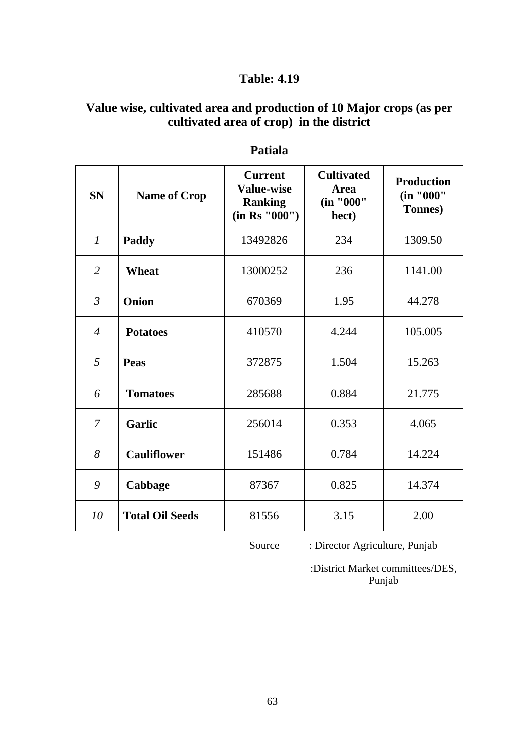## **Value wise, cultivated area and production of 10 Major crops (as per cultivated area of crop) in the district**

| <b>SN</b>      | <b>Name of Crop</b>    | <b>Current</b><br><b>Value-wise</b><br><b>Ranking</b><br>(in Rs "000") | <b>Cultivated</b><br><b>Area</b><br>(in "000"<br>hect) | <b>Production</b><br>(in "000"<br><b>Tonnes</b> ) |
|----------------|------------------------|------------------------------------------------------------------------|--------------------------------------------------------|---------------------------------------------------|
| $\mathcal{I}$  | Paddy                  | 13492826                                                               | 234                                                    | 1309.50                                           |
| $\overline{2}$ | <b>Wheat</b>           | 13000252                                                               | 236                                                    | 1141.00                                           |
| $\mathfrak{Z}$ | Onion                  | 670369                                                                 | 1.95                                                   | 44.278                                            |
| $\overline{4}$ | <b>Potatoes</b>        | 410570                                                                 | 4.244                                                  | 105.005                                           |
| 5              | <b>Peas</b>            | 372875                                                                 | 1.504                                                  | 15.263                                            |
| 6              | <b>Tomatoes</b>        | 285688                                                                 | 0.884                                                  | 21.775                                            |
| 7              | <b>Garlic</b>          | 256014                                                                 | 0.353                                                  | 4.065                                             |
| 8              | <b>Cauliflower</b>     | 151486                                                                 | 0.784                                                  | 14.224                                            |
| 9              | Cabbage                | 87367                                                                  | 0.825                                                  | 14.374                                            |
| 10             | <b>Total Oil Seeds</b> | 81556                                                                  | 3.15                                                   | 2.00                                              |

#### **Patiala**

Source : Director Agriculture, Punjab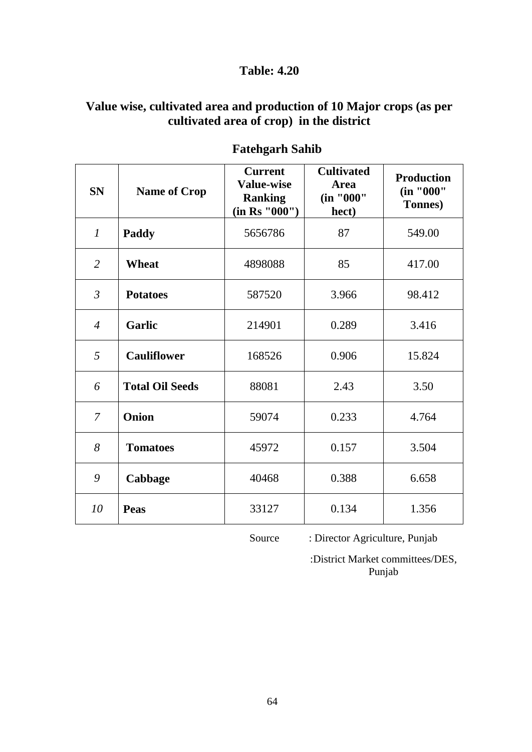## **Value wise, cultivated area and production of 10 Major crops (as per cultivated area of crop) in the district**

| <b>SN</b>      | <b>Name of Crop</b>    | <b>Current</b><br><b>Value-wise</b><br><b>Ranking</b><br>(in Rs "000") | <b>Cultivated</b><br><b>Area</b><br>(in "000"<br>hect) | <b>Production</b><br>(in "000"<br><b>Tonnes</b> ) |
|----------------|------------------------|------------------------------------------------------------------------|--------------------------------------------------------|---------------------------------------------------|
| $\mathcal{I}$  | Paddy                  | 5656786                                                                | 87                                                     | 549.00                                            |
| $\overline{2}$ | <b>Wheat</b>           | 4898088                                                                | 85                                                     | 417.00                                            |
| $\mathfrak{Z}$ | <b>Potatoes</b>        | 587520                                                                 | 3.966                                                  | 98.412                                            |
| $\overline{4}$ | <b>Garlic</b>          | 214901                                                                 | 0.289                                                  | 3.416                                             |
| 5              | <b>Cauliflower</b>     | 168526                                                                 | 0.906                                                  | 15.824                                            |
| 6              | <b>Total Oil Seeds</b> | 88081                                                                  | 2.43                                                   | 3.50                                              |
| $\overline{7}$ | Onion                  | 59074                                                                  | 0.233                                                  | 4.764                                             |
| 8              | <b>Tomatoes</b>        | 45972                                                                  | 0.157                                                  | 3.504                                             |
| 9              | Cabbage                | 40468                                                                  | 0.388                                                  | 6.658                                             |
| 10             | Peas                   | 33127                                                                  | 0.134                                                  | 1.356                                             |

# **Fatehgarh Sahib**

Source : Director Agriculture, Punjab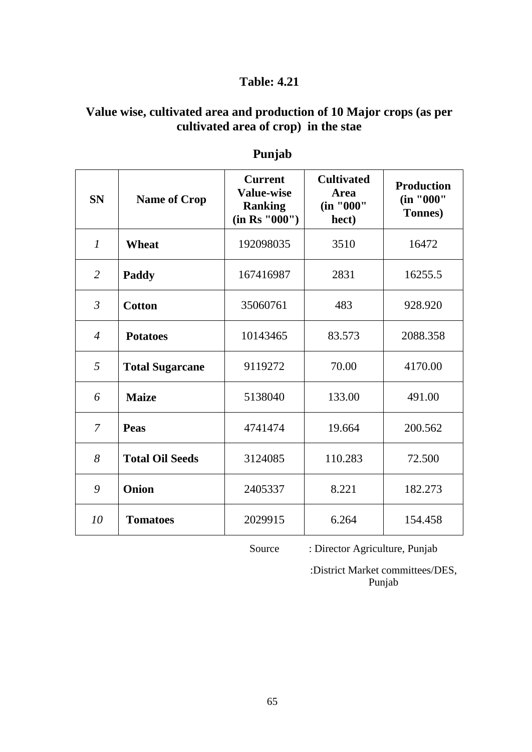## **Value wise, cultivated area and production of 10 Major crops (as per cultivated area of crop) in the stae**

| <b>SN</b>      | <b>Name of Crop</b>    | <b>Current</b><br><b>Value-wise</b><br><b>Ranking</b><br>(in Rs '000'') | <b>Cultivated</b><br><b>Area</b><br>(in "000"<br>hect) | <b>Production</b><br>(in "000"<br>Tonnes) |
|----------------|------------------------|-------------------------------------------------------------------------|--------------------------------------------------------|-------------------------------------------|
| $\mathcal{I}$  | <b>Wheat</b>           | 192098035                                                               | 3510                                                   | 16472                                     |
| $\overline{2}$ | Paddy                  | 167416987                                                               | 2831                                                   | 16255.5                                   |
| $\mathfrak{Z}$ | <b>Cotton</b>          | 35060761                                                                | 483                                                    | 928.920                                   |
| $\overline{4}$ | <b>Potatoes</b>        | 10143465                                                                | 83.573                                                 | 2088.358                                  |
| 5              | <b>Total Sugarcane</b> | 9119272                                                                 | 70.00                                                  | 4170.00                                   |
| 6              | <b>Maize</b>           | 5138040                                                                 | 133.00                                                 | 491.00                                    |
| $\overline{7}$ | <b>Peas</b>            | 4741474                                                                 | 19.664                                                 | 200.562                                   |
| 8              | <b>Total Oil Seeds</b> | 3124085                                                                 | 110.283                                                | 72.500                                    |
| 9              | Onion                  | 2405337                                                                 | 8.221                                                  | 182.273                                   |
| 10             | <b>Tomatoes</b>        | 2029915                                                                 | 6.264                                                  | 154.458                                   |

# **Punjab**

Source : Director Agriculture, Punjab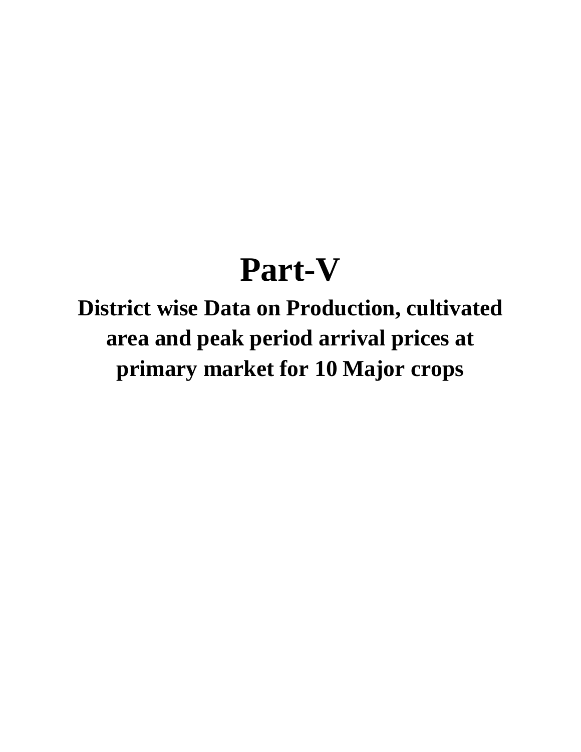# **Part-V**

**District wise Data on Production, cultivated area and peak period arrival prices at primary market for 10 Major crops**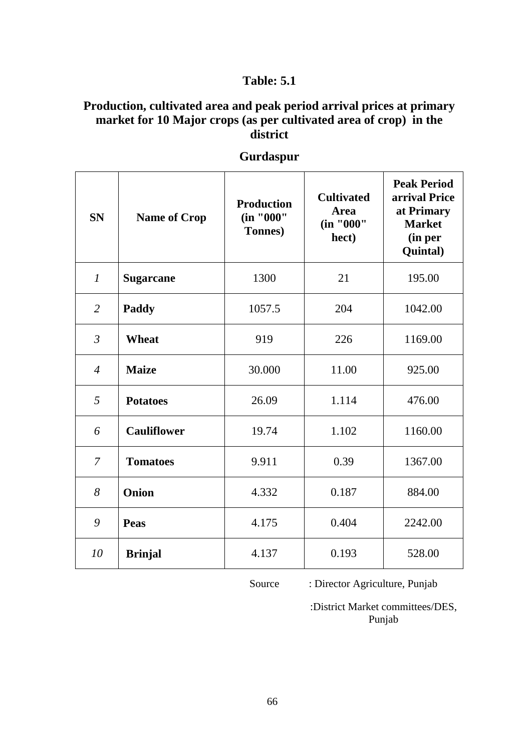## **Production, cultivated area and peak period arrival prices at primary market for 10 Major crops (as per cultivated area of crop) in the district**

| <b>SN</b>              | <b>Name of Crop</b> | <b>Production</b><br>(in "000"<br>Tonnes) | <b>Cultivated</b><br><b>Area</b><br>(in "000"<br>hect) | <b>Peak Period</b><br>arrival Price<br>at Primary<br><b>Market</b><br>(in per<br>Quintal) |
|------------------------|---------------------|-------------------------------------------|--------------------------------------------------------|-------------------------------------------------------------------------------------------|
| $\mathcal{I}$          | <b>Sugarcane</b>    | 1300                                      | 21                                                     | 195.00                                                                                    |
| $\overline{2}$         | Paddy               | 1057.5                                    | 204                                                    | 1042.00                                                                                   |
| $\mathfrak{Z}$         | <b>Wheat</b>        | 919                                       | 226                                                    | 1169.00                                                                                   |
| $\boldsymbol{\Lambda}$ | <b>Maize</b>        | 30.000                                    | 11.00                                                  | 925.00                                                                                    |
| 5                      | <b>Potatoes</b>     | 26.09                                     | 1.114                                                  | 476.00                                                                                    |
| 6                      | <b>Cauliflower</b>  | 19.74                                     | 1.102                                                  | 1160.00                                                                                   |
| $\overline{7}$         | <b>Tomatoes</b>     | 9.911                                     | 0.39                                                   | 1367.00                                                                                   |
| 8                      | Onion               | 4.332                                     | 0.187                                                  | 884.00                                                                                    |
| 9                      | Peas                | 4.175                                     | 0.404                                                  | 2242.00                                                                                   |
| 10                     | <b>Brinjal</b>      | 4.137                                     | 0.193                                                  | 528.00                                                                                    |

## **Gurdaspur**

Source : Director Agriculture, Punjab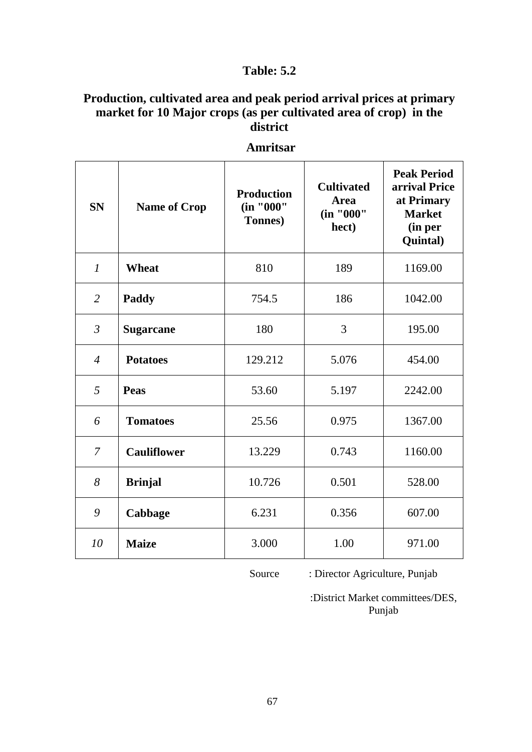## **Production, cultivated area and peak period arrival prices at primary market for 10 Major crops (as per cultivated area of crop) in the district**

| <b>SN</b>      | <b>Name of Crop</b> | <b>Production</b><br>(in "000"<br>Tonnes) | <b>Cultivated</b><br><b>Area</b><br>(in "000"<br>hect) | <b>Peak Period</b><br>arrival Price<br>at Primary<br><b>Market</b><br>(in per<br>Quintal) |
|----------------|---------------------|-------------------------------------------|--------------------------------------------------------|-------------------------------------------------------------------------------------------|
| $\mathcal{I}$  | Wheat               | 810                                       | 189                                                    | 1169.00                                                                                   |
| $\overline{2}$ | Paddy               | 754.5                                     | 186                                                    | 1042.00                                                                                   |
| $\mathfrak{Z}$ | <b>Sugarcane</b>    | 180                                       | 3                                                      | 195.00                                                                                    |
| $\overline{4}$ | <b>Potatoes</b>     | 129.212                                   | 5.076                                                  | 454.00                                                                                    |
| 5              | <b>Peas</b>         | 53.60                                     | 5.197                                                  | 2242.00                                                                                   |
| 6              | <b>Tomatoes</b>     | 25.56                                     | 0.975                                                  | 1367.00                                                                                   |
| $\overline{7}$ | <b>Cauliflower</b>  | 13.229                                    | 0.743                                                  | 1160.00                                                                                   |
| 8              | <b>Brinjal</b>      | 10.726                                    | 0.501                                                  | 528.00                                                                                    |
| 9              | Cabbage             | 6.231                                     | 0.356                                                  | 607.00                                                                                    |
| 10             | <b>Maize</b>        | 3.000                                     | 1.00                                                   | 971.00                                                                                    |

**Amritsar**

Source : Director Agriculture, Punjab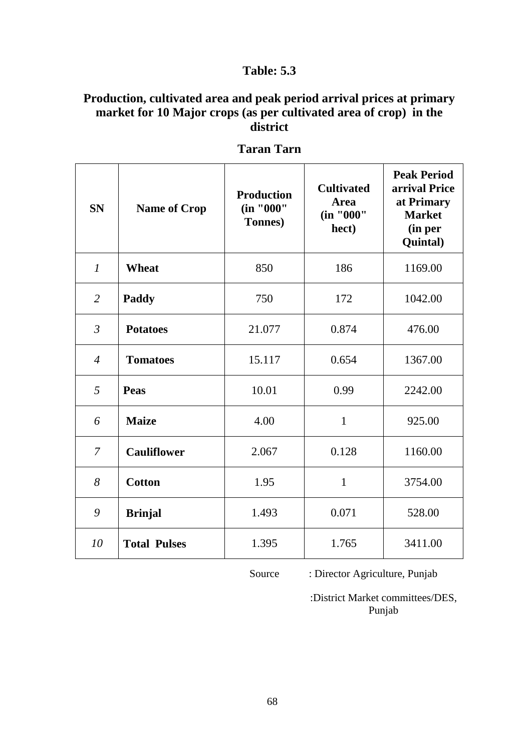## **Production, cultivated area and peak period arrival prices at primary market for 10 Major crops (as per cultivated area of crop) in the district**

| <b>SN</b>        | <b>Name of Crop</b> | <b>Production</b><br>(in "000"<br>Tonnes) | <b>Cultivated</b><br><b>Area</b><br>(in "000"<br>hect) | <b>Peak Period</b><br>arrival Price<br>at Primary<br><b>Market</b><br>(in per<br>Quintal) |
|------------------|---------------------|-------------------------------------------|--------------------------------------------------------|-------------------------------------------------------------------------------------------|
| $\boldsymbol{l}$ | Wheat               | 850                                       | 186                                                    | 1169.00                                                                                   |
| $\overline{2}$   | Paddy               | 750                                       | 172                                                    | 1042.00                                                                                   |
| $\mathfrak{Z}$   | <b>Potatoes</b>     | 21.077                                    | 0.874                                                  | 476.00                                                                                    |
| $\overline{4}$   | <b>Tomatoes</b>     | 15.117                                    | 0.654                                                  | 1367.00                                                                                   |
| 5                | Peas                | 10.01                                     | 0.99                                                   | 2242.00                                                                                   |
| 6                | <b>Maize</b>        | 4.00                                      | $\mathbf{1}$                                           | 925.00                                                                                    |
| $\overline{7}$   | <b>Cauliflower</b>  | 2.067                                     | 0.128                                                  | 1160.00                                                                                   |
| 8                | <b>Cotton</b>       | 1.95                                      | $\mathbf{1}$                                           | 3754.00                                                                                   |
| 9                | <b>Brinjal</b>      | 1.493                                     | 0.071                                                  | 528.00                                                                                    |
| 10               | <b>Total Pulses</b> | 1.395                                     | 1.765                                                  | 3411.00                                                                                   |

**Taran Tarn**

Source : Director Agriculture, Punjab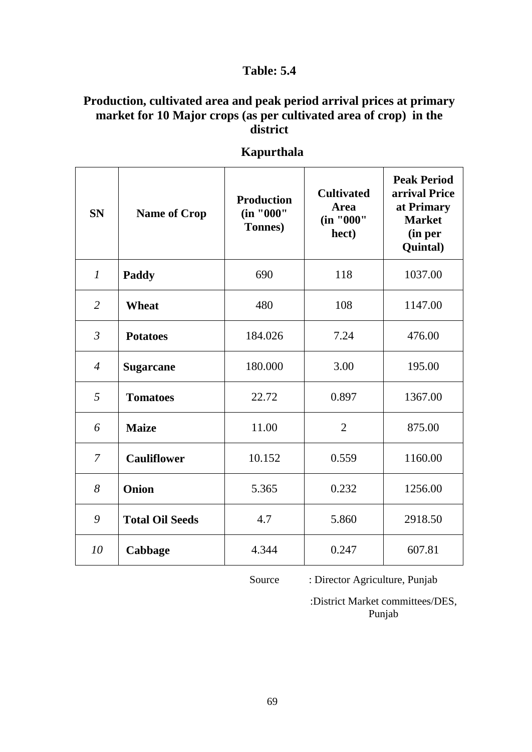## **Production, cultivated area and peak period arrival prices at primary market for 10 Major crops (as per cultivated area of crop) in the district**

| <b>SN</b>      | <b>Name of Crop</b>    | <b>Production</b><br>(in "000"<br>Tonnes) | <b>Cultivated</b><br><b>Area</b><br>(in "000"<br>hect) | <b>Peak Period</b><br>arrival Price<br>at Primary<br><b>Market</b><br>(in per<br>Quintal) |
|----------------|------------------------|-------------------------------------------|--------------------------------------------------------|-------------------------------------------------------------------------------------------|
| $\mathcal{I}$  | Paddy                  | 690                                       | 118                                                    | 1037.00                                                                                   |
| $\overline{2}$ | <b>Wheat</b>           | 480                                       | 108                                                    | 1147.00                                                                                   |
| $\mathfrak{Z}$ | <b>Potatoes</b>        | 184.026                                   | 7.24                                                   | 476.00                                                                                    |
| $\overline{4}$ | <b>Sugarcane</b>       | 180.000                                   | 3.00                                                   | 195.00                                                                                    |
| 5              | <b>Tomatoes</b>        | 22.72                                     | 0.897                                                  | 1367.00                                                                                   |
| 6              | <b>Maize</b>           | 11.00                                     | $\overline{2}$                                         | 875.00                                                                                    |
| $\overline{7}$ | <b>Cauliflower</b>     | 10.152                                    | 0.559                                                  | 1160.00                                                                                   |
| 8              | Onion                  | 5.365                                     | 0.232                                                  | 1256.00                                                                                   |
| 9              | <b>Total Oil Seeds</b> | 4.7                                       | 5.860                                                  | 2918.50                                                                                   |
| 10             | Cabbage                | 4.344                                     | 0.247                                                  | 607.81                                                                                    |

 **Kapurthala**

Source : Director Agriculture, Punjab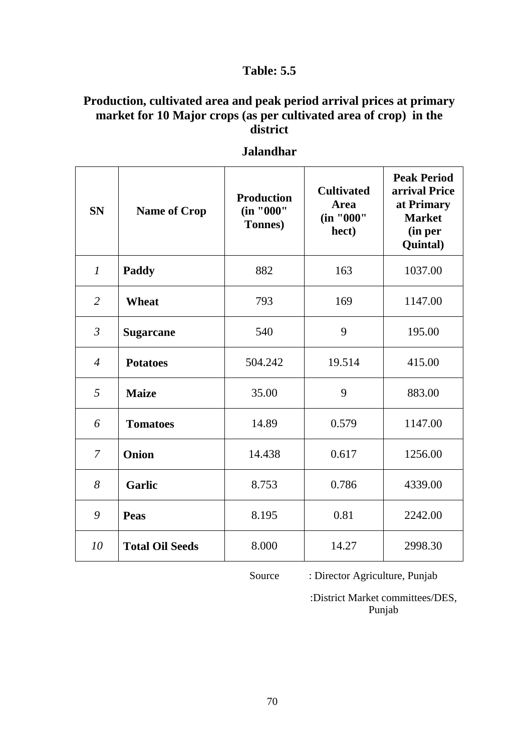## **Production, cultivated area and peak period arrival prices at primary market for 10 Major crops (as per cultivated area of crop) in the district**

| <b>SN</b>      | <b>Name of Crop</b>    | <b>Production</b><br>(in "000"<br><b>Tonnes</b> ) | <b>Cultivated</b><br><b>Area</b><br>(in "000"<br>hect) | <b>Peak Period</b><br>arrival Price<br>at Primary<br><b>Market</b><br>(in per<br>Quintal) |
|----------------|------------------------|---------------------------------------------------|--------------------------------------------------------|-------------------------------------------------------------------------------------------|
| $\mathcal{I}$  | Paddy                  | 882                                               | 163                                                    | 1037.00                                                                                   |
| $\overline{2}$ | <b>Wheat</b>           | 793                                               | 169                                                    | 1147.00                                                                                   |
| $\mathfrak{Z}$ | <b>Sugarcane</b>       | 540                                               | 9                                                      | 195.00                                                                                    |
| $\overline{4}$ | <b>Potatoes</b>        | 504.242                                           | 19.514                                                 | 415.00                                                                                    |
| 5              | <b>Maize</b>           | 35.00                                             | 9                                                      | 883.00                                                                                    |
| 6              | <b>Tomatoes</b>        | 14.89                                             | 0.579                                                  | 1147.00                                                                                   |
| $\overline{7}$ | Onion                  | 14.438                                            | 0.617                                                  | 1256.00                                                                                   |
| 8              | <b>Garlic</b>          | 8.753                                             | 0.786                                                  | 4339.00                                                                                   |
| 9              | Peas                   | 8.195                                             | 0.81                                                   | 2242.00                                                                                   |
| 10             | <b>Total Oil Seeds</b> | 8.000                                             | 14.27                                                  | 2998.30                                                                                   |

**Jalandhar**

Source : Director Agriculture, Punjab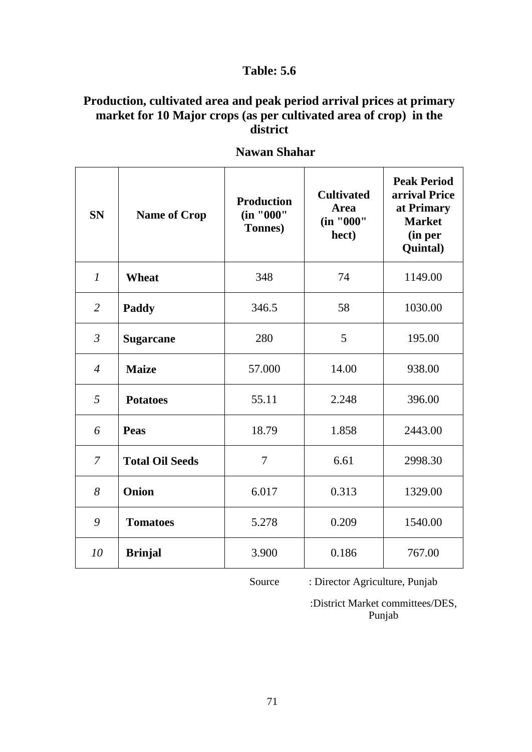## **Production, cultivated area and peak period arrival prices at primary market for 10 Major crops (as per cultivated area of crop) in the district**

| <b>SN</b>      | <b>Name of Crop</b>    | <b>Production</b><br>(in "000"<br><b>Tonnes</b> ) | <b>Cultivated</b><br><b>Area</b><br>(in "000"<br>hect) | <b>Peak Period</b><br>arrival Price<br>at Primary<br><b>Market</b><br>(in per<br>Quintal) |
|----------------|------------------------|---------------------------------------------------|--------------------------------------------------------|-------------------------------------------------------------------------------------------|
| $\mathcal{I}$  | Wheat                  | 348                                               | 74                                                     | 1149.00                                                                                   |
| $\overline{2}$ | Paddy                  | 346.5                                             | 58                                                     | 1030.00                                                                                   |
| $\mathfrak{Z}$ | <b>Sugarcane</b>       | 280                                               | 5                                                      | 195.00                                                                                    |
| $\overline{4}$ | <b>Maize</b>           | 57.000                                            | 14.00                                                  | 938.00                                                                                    |
| 5              | <b>Potatoes</b>        | 55.11                                             | 2.248                                                  | 396.00                                                                                    |
| 6              | <b>Peas</b>            | 18.79                                             | 1.858                                                  | 2443.00                                                                                   |
| $\overline{7}$ | <b>Total Oil Seeds</b> | $\overline{7}$                                    | 6.61                                                   | 2998.30                                                                                   |
| 8              | Onion                  | 6.017                                             | 0.313                                                  | 1329.00                                                                                   |
| 9              | <b>Tomatoes</b>        | 5.278                                             | 0.209                                                  | 1540.00                                                                                   |
| 10             | <b>Brinjal</b>         | 3.900                                             | 0.186                                                  | 767.00                                                                                    |

 **Nawan Shahar**

Source : Director Agriculture, Punjab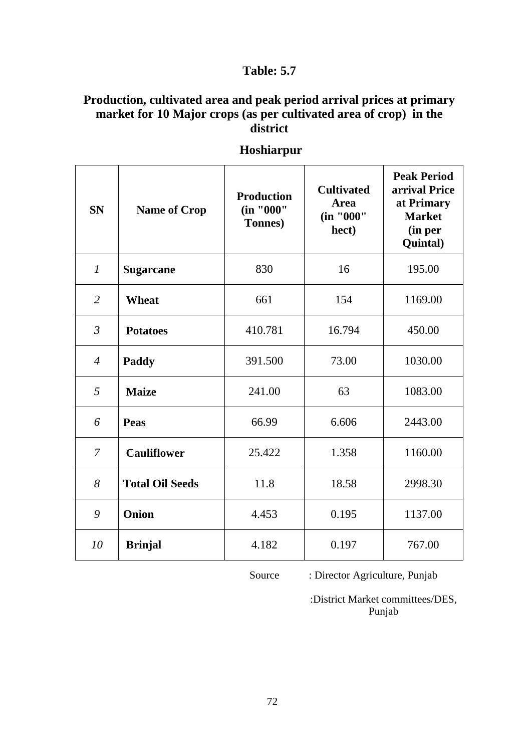## **Production, cultivated area and peak period arrival prices at primary market for 10 Major crops (as per cultivated area of crop) in the district**

| <b>SN</b>        | <b>Name of Crop</b>    | <b>Production</b><br>(in "000"<br>Tonnes) | <b>Cultivated</b><br>Area<br>(in "000"<br>hect) | <b>Peak Period</b><br>arrival Price<br>at Primary<br><b>Market</b><br>(in per<br>Quintal) |
|------------------|------------------------|-------------------------------------------|-------------------------------------------------|-------------------------------------------------------------------------------------------|
| $\boldsymbol{l}$ | <b>Sugarcane</b>       | 830                                       | 16                                              | 195.00                                                                                    |
| $\overline{2}$   | <b>Wheat</b>           | 661                                       | 154                                             | 1169.00                                                                                   |
| $\mathfrak{Z}$   | <b>Potatoes</b>        | 410.781                                   | 16.794                                          | 450.00                                                                                    |
| $\overline{4}$   | Paddy                  | 391.500                                   | 73.00                                           | 1030.00                                                                                   |
| 5                | <b>Maize</b>           | 241.00                                    | 63                                              | 1083.00                                                                                   |
| 6                | <b>Peas</b>            | 66.99                                     | 6.606                                           | 2443.00                                                                                   |
| $\overline{7}$   | <b>Cauliflower</b>     | 25.422                                    | 1.358                                           | 1160.00                                                                                   |
| 8                | <b>Total Oil Seeds</b> | 11.8                                      | 18.58                                           | 2998.30                                                                                   |
| 9                | Onion                  | 4.453                                     | 0.195                                           | 1137.00                                                                                   |
| 10               | <b>Brinjal</b>         | 4.182                                     | 0.197                                           | 767.00                                                                                    |

#### **Hoshiarpur**

Source : Director Agriculture, Punjab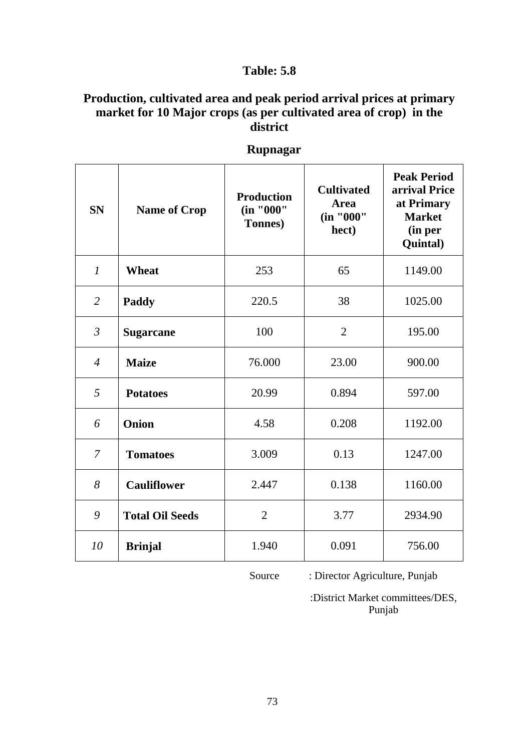#### **Production, cultivated area and peak period arrival prices at primary market for 10 Major crops (as per cultivated area of crop) in the district**

| <b>SN</b>      | <b>Name of Crop</b>    | <b>Production</b><br>(in "000"<br>Tonnes) | <b>Cultivated</b><br><b>Area</b><br>(in "000"<br>hect) | <b>Peak Period</b><br>arrival Price<br>at Primary<br><b>Market</b><br>(in per<br>Quintal) |
|----------------|------------------------|-------------------------------------------|--------------------------------------------------------|-------------------------------------------------------------------------------------------|
| $\mathcal{I}$  | Wheat                  | 253                                       | 65                                                     | 1149.00                                                                                   |
| $\overline{2}$ | Paddy                  | 220.5                                     | 38                                                     | 1025.00                                                                                   |
| $\mathfrak{Z}$ | <b>Sugarcane</b>       | 100                                       | $\overline{2}$                                         | 195.00                                                                                    |
| $\overline{4}$ | <b>Maize</b>           | 76.000                                    | 23.00                                                  | 900.00                                                                                    |
| 5              | <b>Potatoes</b>        | 20.99                                     | 0.894                                                  | 597.00                                                                                    |
| 6              | Onion                  | 4.58                                      | 0.208                                                  | 1192.00                                                                                   |
| $\overline{7}$ | <b>Tomatoes</b>        | 3.009                                     | 0.13                                                   | 1247.00                                                                                   |
| 8              | <b>Cauliflower</b>     | 2.447                                     | 0.138                                                  | 1160.00                                                                                   |
| 9              | <b>Total Oil Seeds</b> | $\overline{2}$                            | 3.77                                                   | 2934.90                                                                                   |
| 10             | <b>Brinjal</b>         | 1.940                                     | 0.091                                                  | 756.00                                                                                    |

 **Rupnagar**

Source : Director Agriculture, Punjab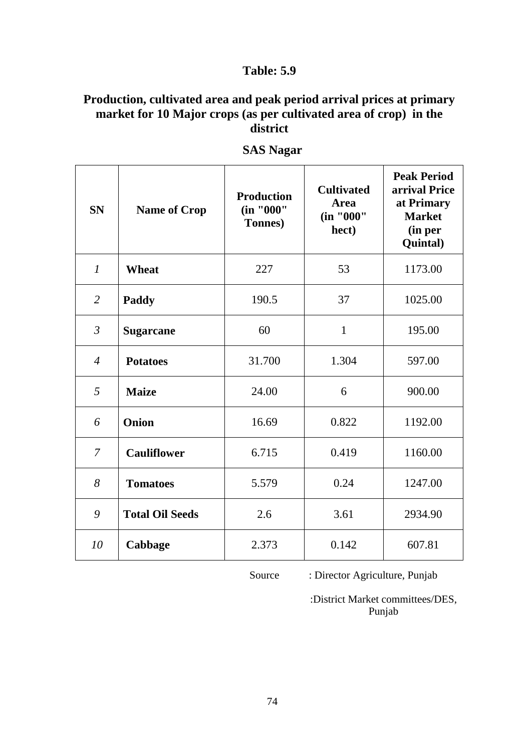## **Production, cultivated area and peak period arrival prices at primary market for 10 Major crops (as per cultivated area of crop) in the district**

| <b>SN</b>                  | <b>Name of Crop</b>    | <b>Production</b><br>(in "000"<br>Tonnes) | <b>Cultivated</b><br><b>Area</b><br>(in "000"<br>hect) | <b>Peak Period</b><br>arrival Price<br>at Primary<br><b>Market</b><br>(in per<br>Quintal) |
|----------------------------|------------------------|-------------------------------------------|--------------------------------------------------------|-------------------------------------------------------------------------------------------|
| $\mathcal{I}$              | <b>Wheat</b>           | 227                                       | 53                                                     | 1173.00                                                                                   |
| 2                          | <b>Paddy</b>           | 190.5                                     | 37                                                     | 1025.00                                                                                   |
| $\mathfrak{Z}$             | <b>Sugarcane</b>       | 60                                        | $\mathbf{1}$                                           | 195.00                                                                                    |
| $\boldsymbol{\mathcal{A}}$ | <b>Potatoes</b>        | 31.700                                    | 1.304                                                  | 597.00                                                                                    |
| 5                          | <b>Maize</b>           | 24.00                                     | 6                                                      | 900.00                                                                                    |
| 6                          | <b>Onion</b>           | 16.69                                     | 0.822                                                  | 1192.00                                                                                   |
| $\overline{7}$             | <b>Cauliflower</b>     | 6.715                                     | 0.419                                                  | 1160.00                                                                                   |
| 8                          | <b>Tomatoes</b>        | 5.579                                     | 0.24                                                   | 1247.00                                                                                   |
| 9                          | <b>Total Oil Seeds</b> | 2.6                                       | 3.61                                                   | 2934.90                                                                                   |
| 10                         | Cabbage                | 2.373                                     | 0.142                                                  | 607.81                                                                                    |

 **SAS Nagar**

Source : Director Agriculture, Punjab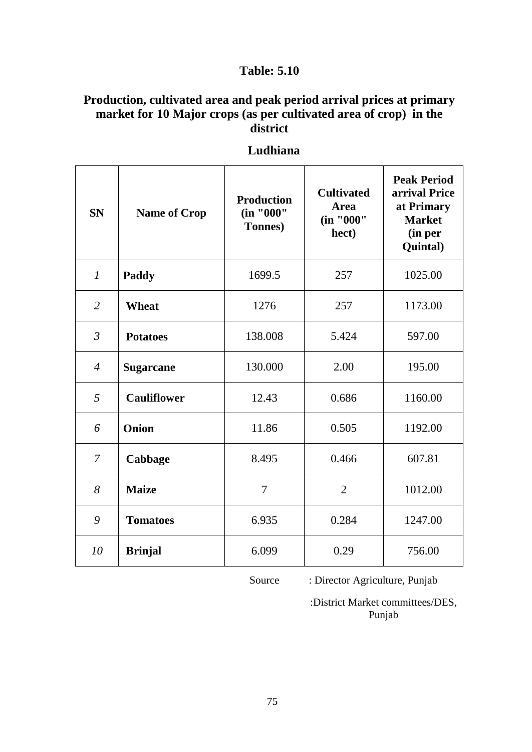## **Production, cultivated area and peak period arrival prices at primary market for 10 Major crops (as per cultivated area of crop) in the district**

| <b>SN</b>      | <b>Name of Crop</b> | <b>Production</b><br>(in "000"<br>Tonnes) | <b>Cultivated</b><br><b>Area</b><br>(in "000"<br>hect) | <b>Peak Period</b><br>arrival Price<br>at Primary<br><b>Market</b><br>(in per<br>Quintal) |
|----------------|---------------------|-------------------------------------------|--------------------------------------------------------|-------------------------------------------------------------------------------------------|
| $\mathcal{I}$  | Paddy               | 1699.5                                    | 257                                                    | 1025.00                                                                                   |
| $\overline{2}$ | Wheat               | 1276                                      | 257                                                    | 1173.00                                                                                   |
| $\mathfrak{Z}$ | <b>Potatoes</b>     | 138.008                                   | 5.424                                                  | 597.00                                                                                    |
| $\overline{4}$ | <b>Sugarcane</b>    | 130.000                                   | 2.00                                                   | 195.00                                                                                    |
| 5              | <b>Cauliflower</b>  | 12.43                                     | 0.686                                                  | 1160.00                                                                                   |
| 6              | Onion               | 11.86                                     | 0.505                                                  | 1192.00                                                                                   |
| 7              | Cabbage             | 8.495                                     | 0.466                                                  | 607.81                                                                                    |
| 8              | <b>Maize</b>        | $\overline{7}$                            | $\overline{2}$                                         | 1012.00                                                                                   |
| 9              | <b>Tomatoes</b>     | 6.935                                     | 0.284                                                  | 1247.00                                                                                   |
| 10             | <b>Brinjal</b>      | 6.099                                     | 0.29                                                   | 756.00                                                                                    |

#### **Ludhiana**

Source : Director Agriculture, Punjab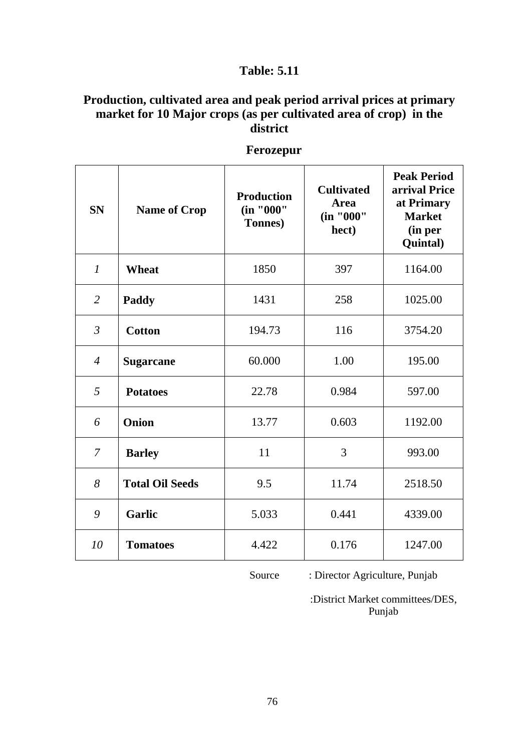## **Production, cultivated area and peak period arrival prices at primary market for 10 Major crops (as per cultivated area of crop) in the district**

| <b>SN</b>        | <b>Name of Crop</b>    | <b>Production</b><br>(in "000"<br>Tonnes) | <b>Cultivated</b><br><b>Area</b><br>(in "000"<br>hect) | <b>Peak Period</b><br>arrival Price<br>at Primary<br><b>Market</b><br>(in per<br>Quintal) |
|------------------|------------------------|-------------------------------------------|--------------------------------------------------------|-------------------------------------------------------------------------------------------|
| $\boldsymbol{l}$ | <b>Wheat</b>           | 1850                                      | 397                                                    | 1164.00                                                                                   |
| $\overline{2}$   | Paddy                  | 1431                                      | 258                                                    | 1025.00                                                                                   |
| $\mathfrak{Z}$   | <b>Cotton</b>          | 194.73                                    | 116                                                    | 3754.20                                                                                   |
| $\overline{4}$   | <b>Sugarcane</b>       | 60.000                                    | 1.00                                                   | 195.00                                                                                    |
| 5                | <b>Potatoes</b>        | 22.78                                     | 0.984                                                  | 597.00                                                                                    |
| 6                | Onion                  | 13.77                                     | 0.603                                                  | 1192.00                                                                                   |
| $\overline{7}$   | <b>Barley</b>          | 11                                        | 3                                                      | 993.00                                                                                    |
| 8                | <b>Total Oil Seeds</b> | 9.5                                       | 11.74                                                  | 2518.50                                                                                   |
| 9                | <b>Garlic</b>          | 5.033                                     | 0.441                                                  | 4339.00                                                                                   |
| 10               | <b>Tomatoes</b>        | 4.422                                     | 0.176                                                  | 1247.00                                                                                   |

#### **Ferozepur**

Source : Director Agriculture, Punjab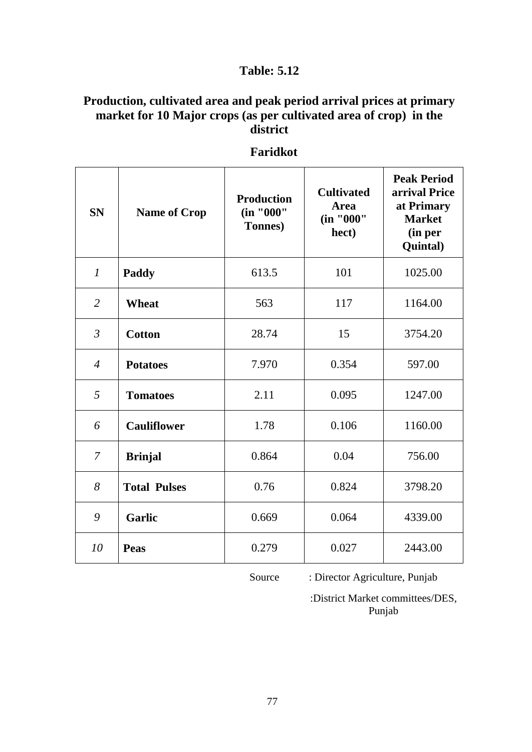## **Production, cultivated area and peak period arrival prices at primary market for 10 Major crops (as per cultivated area of crop) in the district**

| <b>SN</b>      | <b>Name of Crop</b> | <b>Production</b><br>(in "000"<br>Tonnes) | <b>Cultivated</b><br><b>Area</b><br>(in "000"<br>hect) | <b>Peak Period</b><br>arrival Price<br>at Primary<br><b>Market</b><br>(in per<br>Quintal) |
|----------------|---------------------|-------------------------------------------|--------------------------------------------------------|-------------------------------------------------------------------------------------------|
| $\mathcal{I}$  | Paddy               | 613.5                                     | 101                                                    | 1025.00                                                                                   |
| $\overline{2}$ | <b>Wheat</b>        | 563                                       | 117                                                    | 1164.00                                                                                   |
| $\mathfrak{Z}$ | <b>Cotton</b>       | 28.74                                     | 15                                                     | 3754.20                                                                                   |
| $\overline{4}$ | <b>Potatoes</b>     | 7.970                                     | 0.354                                                  | 597.00                                                                                    |
| 5              | <b>Tomatoes</b>     | 2.11                                      | 0.095                                                  | 1247.00                                                                                   |
| 6              | <b>Cauliflower</b>  | 1.78                                      | 0.106                                                  | 1160.00                                                                                   |
| $\overline{7}$ | <b>Brinjal</b>      | 0.864                                     | 0.04                                                   | 756.00                                                                                    |
| 8              | <b>Total Pulses</b> | 0.76                                      | 0.824                                                  | 3798.20                                                                                   |
| 9              | <b>Garlic</b>       | 0.669                                     | 0.064                                                  | 4339.00                                                                                   |
| 10             | <b>Peas</b>         | 0.279                                     | 0.027                                                  | 2443.00                                                                                   |

 **Faridkot**

Source : Director Agriculture, Punjab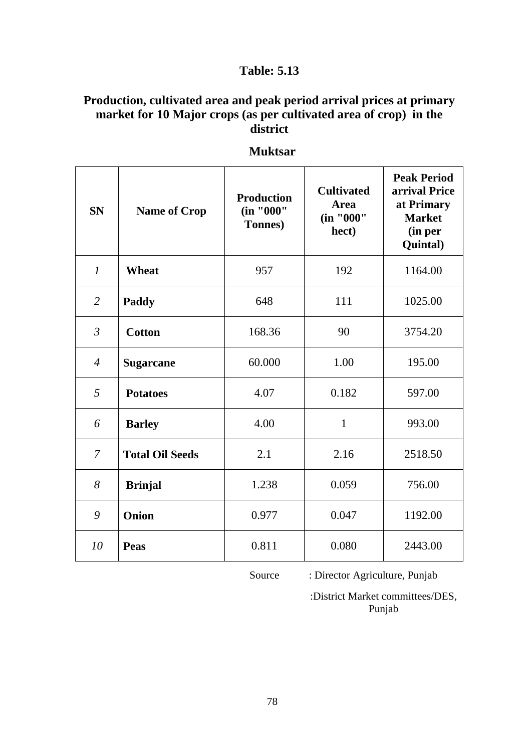## **Production, cultivated area and peak period arrival prices at primary market for 10 Major crops (as per cultivated area of crop) in the district**

| <b>SN</b>      | <b>Name of Crop</b>    | <b>Production</b><br>(in "000"<br>Tonnes) | <b>Cultivated</b><br><b>Area</b><br>(in "000"<br>hect) | <b>Peak Period</b><br>arrival Price<br>at Primary<br><b>Market</b><br>(in per<br>Quintal) |
|----------------|------------------------|-------------------------------------------|--------------------------------------------------------|-------------------------------------------------------------------------------------------|
| $\mathcal{I}$  | <b>Wheat</b>           | 957                                       | 192                                                    | 1164.00                                                                                   |
| $\overline{2}$ | Paddy                  | 648                                       | 111                                                    | 1025.00                                                                                   |
| $\mathfrak{Z}$ | <b>Cotton</b>          | 168.36                                    | 90                                                     | 3754.20                                                                                   |
| $\overline{4}$ | <b>Sugarcane</b>       | 60.000                                    | 1.00                                                   | 195.00                                                                                    |
| 5              | <b>Potatoes</b>        | 4.07                                      | 0.182                                                  | 597.00                                                                                    |
| 6              | <b>Barley</b>          | 4.00                                      | $\mathbf{1}$                                           | 993.00                                                                                    |
| $\overline{7}$ | <b>Total Oil Seeds</b> | 2.1                                       | 2.16                                                   | 2518.50                                                                                   |
| 8              | <b>Brinjal</b>         | 1.238                                     | 0.059                                                  | 756.00                                                                                    |
| 9              | Onion                  | 0.977                                     | 0.047                                                  | 1192.00                                                                                   |
| 10             | <b>Peas</b>            | 0.811                                     | 0.080                                                  | 2443.00                                                                                   |

 **Muktsar**

Source : Director Agriculture, Punjab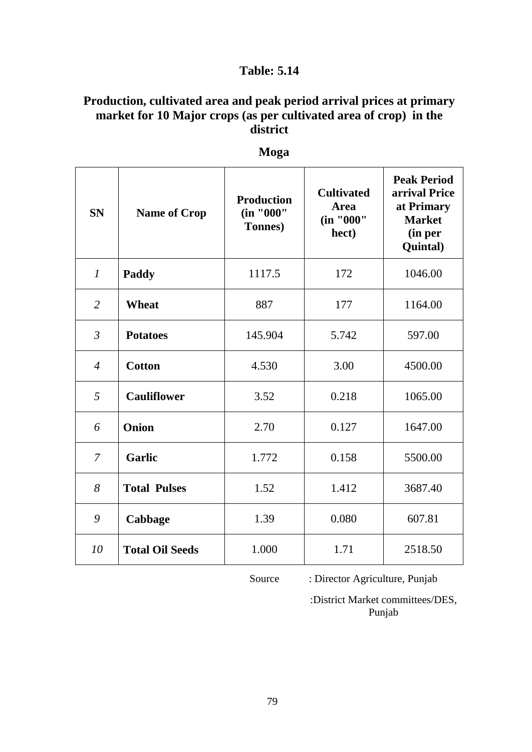## **Production, cultivated area and peak period arrival prices at primary market for 10 Major crops (as per cultivated area of crop) in the district**

| <b>SN</b>      | <b>Name of Crop</b>    | <b>Production</b><br>(in "000"<br><b>Tonnes</b> ) | <b>Cultivated</b><br><b>Area</b><br>(in "000"<br>hect) | <b>Peak Period</b><br>arrival Price<br>at Primary<br><b>Market</b><br>(in per<br>Quintal) |
|----------------|------------------------|---------------------------------------------------|--------------------------------------------------------|-------------------------------------------------------------------------------------------|
| $\mathcal{I}$  | Paddy                  | 1117.5                                            | 172                                                    | 1046.00                                                                                   |
| $\overline{2}$ | Wheat                  | 887                                               | 177                                                    | 1164.00                                                                                   |
| $\mathfrak{Z}$ | <b>Potatoes</b>        | 145.904                                           | 5.742                                                  | 597.00                                                                                    |
| $\overline{4}$ | <b>Cotton</b>          | 4.530                                             | 3.00                                                   | 4500.00                                                                                   |
| 5              | <b>Cauliflower</b>     | 3.52                                              | 0.218                                                  | 1065.00                                                                                   |
| 6              | Onion                  | 2.70                                              | 0.127                                                  | 1647.00                                                                                   |
| $\overline{7}$ | <b>Garlic</b>          | 1.772                                             | 0.158                                                  | 5500.00                                                                                   |
| 8              | <b>Total Pulses</b>    | 1.52                                              | 1.412                                                  | 3687.40                                                                                   |
| 9              | Cabbage                | 1.39                                              | 0.080                                                  | 607.81                                                                                    |
| 10             | <b>Total Oil Seeds</b> | 1.000                                             | 1.71                                                   | 2518.50                                                                                   |

 **Moga**

Source : Director Agriculture, Punjab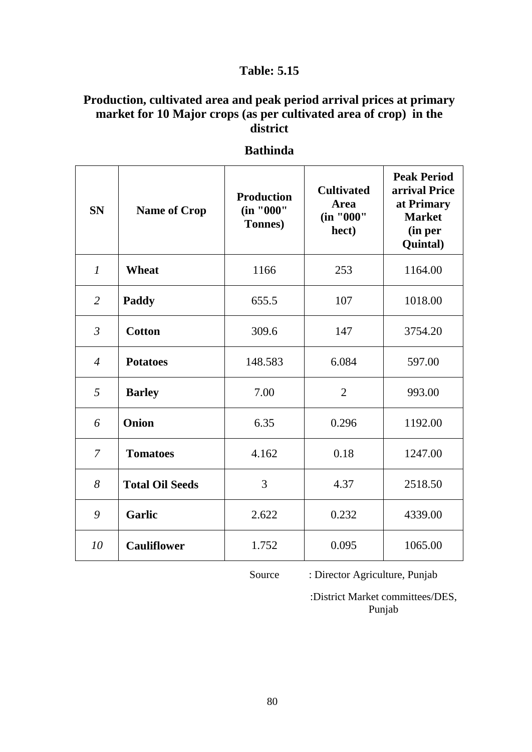## **Production, cultivated area and peak period arrival prices at primary market for 10 Major crops (as per cultivated area of crop) in the district**

| <b>SN</b>      | <b>Name of Crop</b>    | <b>Production</b><br>(in "000"<br>Tonnes) | <b>Cultivated</b><br><b>Area</b><br>(in "000"<br>hect) | <b>Peak Period</b><br>arrival Price<br>at Primary<br><b>Market</b><br>(in per<br>Quintal) |
|----------------|------------------------|-------------------------------------------|--------------------------------------------------------|-------------------------------------------------------------------------------------------|
| $\mathcal{I}$  | <b>Wheat</b>           | 1166                                      | 253                                                    | 1164.00                                                                                   |
| $\overline{2}$ | Paddy                  | 655.5                                     | 107                                                    | 1018.00                                                                                   |
| $\mathfrak{Z}$ | <b>Cotton</b>          | 309.6                                     | 147                                                    | 3754.20                                                                                   |
| $\overline{4}$ | <b>Potatoes</b>        | 148.583                                   | 6.084                                                  | 597.00                                                                                    |
| 5              | <b>Barley</b>          | 7.00                                      | $\overline{2}$                                         | 993.00                                                                                    |
| 6              | Onion                  | 6.35                                      | 0.296                                                  | 1192.00                                                                                   |
| 7              | <b>Tomatoes</b>        | 4.162                                     | 0.18                                                   | 1247.00                                                                                   |
| 8              | <b>Total Oil Seeds</b> | 3                                         | 4.37                                                   | 2518.50                                                                                   |
| 9              | <b>Garlic</b>          | 2.622                                     | 0.232                                                  | 4339.00                                                                                   |
| 10             | <b>Cauliflower</b>     | 1.752                                     | 0.095                                                  | 1065.00                                                                                   |

#### **Bathinda**

Source : Director Agriculture, Punjab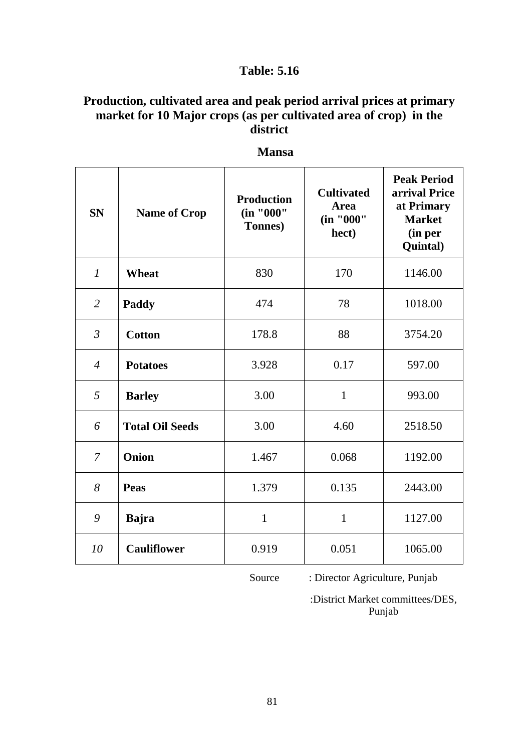## **Production, cultivated area and peak period arrival prices at primary market for 10 Major crops (as per cultivated area of crop) in the district**

| <b>SN</b>      | <b>Name of Crop</b>    | <b>Production</b><br>(in "000"<br><b>Tonnes</b> ) | <b>Cultivated</b><br><b>Area</b><br>(in "000"<br>hect) | <b>Peak Period</b><br>arrival Price<br>at Primary<br><b>Market</b><br>(in per<br>Quintal) |
|----------------|------------------------|---------------------------------------------------|--------------------------------------------------------|-------------------------------------------------------------------------------------------|
| $\mathcal{I}$  | <b>Wheat</b>           | 830                                               | 170                                                    | 1146.00                                                                                   |
| $\overline{2}$ | Paddy                  | 474                                               | 78                                                     | 1018.00                                                                                   |
| $\mathfrak{Z}$ | <b>Cotton</b>          | 178.8                                             | 88                                                     | 3754.20                                                                                   |
| $\overline{4}$ | <b>Potatoes</b>        | 3.928                                             | 0.17                                                   | 597.00                                                                                    |
| 5              | <b>Barley</b>          | 3.00                                              | $\mathbf{1}$                                           | 993.00                                                                                    |
| 6              | <b>Total Oil Seeds</b> | 3.00                                              | 4.60                                                   | 2518.50                                                                                   |
| $\overline{7}$ | Onion                  | 1.467                                             | 0.068                                                  | 1192.00                                                                                   |
| 8              | Peas                   | 1.379                                             | 0.135                                                  | 2443.00                                                                                   |
| 9              | <b>Bajra</b>           | $\mathbf{1}$                                      | $\mathbf{1}$                                           | 1127.00                                                                                   |
| 10             | <b>Cauliflower</b>     | 0.919                                             | 0.051                                                  | 1065.00                                                                                   |

 **Mansa**

Source : Director Agriculture, Punjab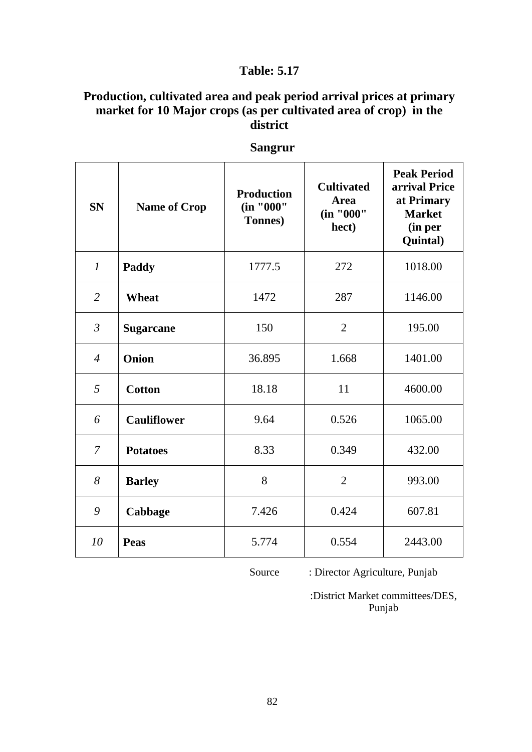## **Production, cultivated area and peak period arrival prices at primary market for 10 Major crops (as per cultivated area of crop) in the district**

| <b>SN</b>      | <b>Name of Crop</b> | <b>Production</b><br>(in "000"<br>Tonnes) | <b>Cultivated</b><br><b>Area</b><br>(in "000"<br>hect) | <b>Peak Period</b><br>arrival Price<br>at Primary<br><b>Market</b><br>(in per<br>Quintal) |
|----------------|---------------------|-------------------------------------------|--------------------------------------------------------|-------------------------------------------------------------------------------------------|
| $\mathfrak{1}$ | <b>Paddy</b>        | 1777.5                                    | 272                                                    | 1018.00                                                                                   |
| $\overline{2}$ | <b>Wheat</b>        | 1472                                      | 287                                                    | 1146.00                                                                                   |
| $\mathfrak{Z}$ | <b>Sugarcane</b>    | 150                                       | $\overline{2}$                                         | 195.00                                                                                    |
| $\overline{4}$ | Onion               | 36.895                                    | 1.668                                                  | 1401.00                                                                                   |
| 5              | <b>Cotton</b>       | 18.18                                     | 11                                                     | 4600.00                                                                                   |
| 6              | <b>Cauliflower</b>  | 9.64                                      | 0.526                                                  | 1065.00                                                                                   |
| 7              | <b>Potatoes</b>     | 8.33                                      | 0.349                                                  | 432.00                                                                                    |
| 8              | <b>Barley</b>       | 8                                         | $\overline{2}$                                         | 993.00                                                                                    |
| 9              | Cabbage             | 7.426                                     | 0.424                                                  | 607.81                                                                                    |
| 10             | <b>Peas</b>         | 5.774                                     | 0.554                                                  | 2443.00                                                                                   |

 **Sangrur**

Source : Director Agriculture, Punjab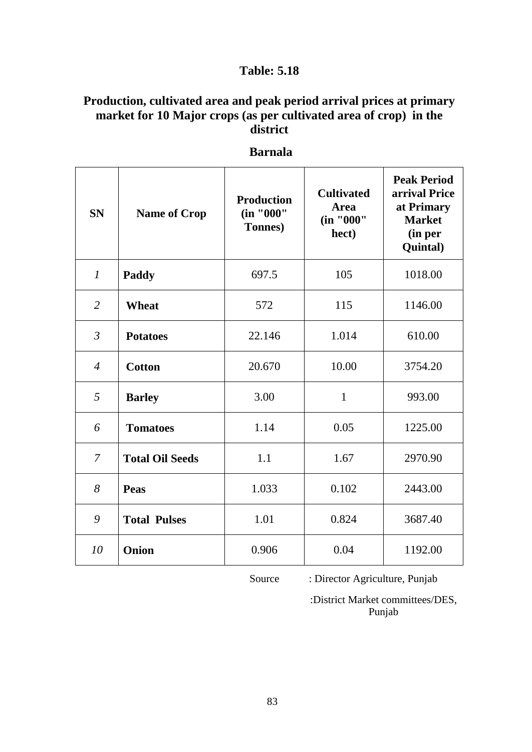## **Production, cultivated area and peak period arrival prices at primary market for 10 Major crops (as per cultivated area of crop) in the district**

| <b>SN</b>      | <b>Name of Crop</b>    | <b>Production</b><br>(in "000"<br><b>Tonnes</b> ) | <b>Cultivated</b><br><b>Area</b><br>(in "000"<br>hect) | <b>Peak Period</b><br>arrival Price<br>at Primary<br><b>Market</b><br>(in per<br>Quintal) |
|----------------|------------------------|---------------------------------------------------|--------------------------------------------------------|-------------------------------------------------------------------------------------------|
| $\mathcal{I}$  | Paddy                  | 697.5                                             | 105                                                    | 1018.00                                                                                   |
| $\overline{2}$ | Wheat                  | 572                                               | 115                                                    | 1146.00                                                                                   |
| $\mathfrak{Z}$ | <b>Potatoes</b>        | 22.146                                            | 1.014                                                  | 610.00                                                                                    |
| $\overline{4}$ | <b>Cotton</b>          | 20.670                                            | 10.00                                                  | 3754.20                                                                                   |
| 5              | <b>Barley</b>          | 3.00                                              | $\mathbf{1}$                                           | 993.00                                                                                    |
| 6              | <b>Tomatoes</b>        | 1.14                                              | 0.05                                                   | 1225.00                                                                                   |
| 7              | <b>Total Oil Seeds</b> | 1.1                                               | 1.67                                                   | 2970.90                                                                                   |
| 8              | Peas                   | 1.033                                             | 0.102                                                  | 2443.00                                                                                   |
| 9              | <b>Total Pulses</b>    | 1.01                                              | 0.824                                                  | 3687.40                                                                                   |
| 10             | Onion                  | 0.906                                             | 0.04                                                   | 1192.00                                                                                   |

**Barnala**

Source : Director Agriculture, Punjab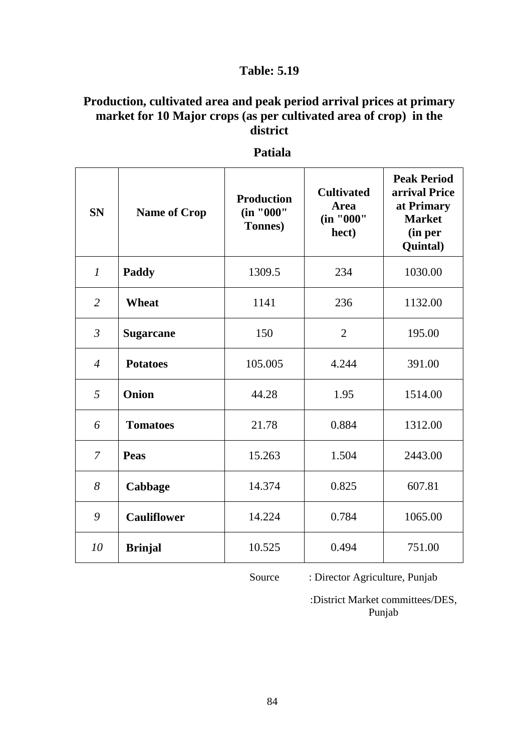## **Production, cultivated area and peak period arrival prices at primary market for 10 Major crops (as per cultivated area of crop) in the district**

| <b>SN</b>              | <b>Name of Crop</b> | <b>Production</b><br>(in "000"<br>Tonnes) | <b>Cultivated</b><br><b>Area</b><br>(in "000"<br>hect) | <b>Peak Period</b><br>arrival Price<br>at Primary<br><b>Market</b><br>(in per<br>Quintal) |
|------------------------|---------------------|-------------------------------------------|--------------------------------------------------------|-------------------------------------------------------------------------------------------|
| $\boldsymbol{l}$       | Paddy               | 1309.5                                    | 234                                                    | 1030.00                                                                                   |
| $\overline{2}$         | Wheat               | 1141                                      | 236                                                    | 1132.00                                                                                   |
| $\mathfrak{Z}$         | <b>Sugarcane</b>    | 150                                       | $\overline{2}$                                         | 195.00                                                                                    |
| $\boldsymbol{\Lambda}$ | <b>Potatoes</b>     | 105.005                                   | 4.244                                                  | 391.00                                                                                    |
| 5                      | Onion               | 44.28                                     | 1.95                                                   | 1514.00                                                                                   |
| 6                      | <b>Tomatoes</b>     | 21.78                                     | 0.884                                                  | 1312.00                                                                                   |
| $\overline{7}$         | Peas                | 15.263                                    | 1.504                                                  | 2443.00                                                                                   |
| 8                      | Cabbage             | 14.374                                    | 0.825                                                  | 607.81                                                                                    |
| 9                      | <b>Cauliflower</b>  | 14.224                                    | 0.784                                                  | 1065.00                                                                                   |
| 10                     | <b>Brinjal</b>      | 10.525                                    | 0.494                                                  | 751.00                                                                                    |

#### **Patiala**

Source : Director Agriculture, Punjab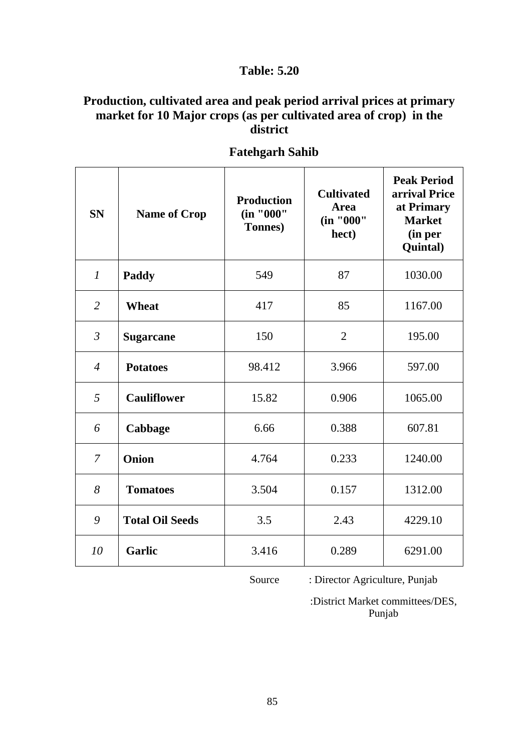## **Production, cultivated area and peak period arrival prices at primary market for 10 Major crops (as per cultivated area of crop) in the district**

| <b>SN</b>      | <b>Name of Crop</b>    | <b>Production</b><br>(in "000"<br>Tonnes) | <b>Cultivated</b><br>Area<br>(in "000"<br>hect) | <b>Peak Period</b><br>arrival Price<br>at Primary<br><b>Market</b><br>(in per<br>Quintal) |
|----------------|------------------------|-------------------------------------------|-------------------------------------------------|-------------------------------------------------------------------------------------------|
| $\mathcal{I}$  | Paddy                  | 549                                       | 87                                              | 1030.00                                                                                   |
| $\overline{2}$ | <b>Wheat</b>           | 417                                       | 85                                              | 1167.00                                                                                   |
| $\mathfrak{Z}$ | <b>Sugarcane</b>       | 150                                       | $\overline{2}$                                  | 195.00                                                                                    |
| $\overline{4}$ | <b>Potatoes</b>        | 98.412                                    | 3.966                                           | 597.00                                                                                    |
| 5              | <b>Cauliflower</b>     | 15.82                                     | 0.906                                           | 1065.00                                                                                   |
| 6              | Cabbage                | 6.66                                      | 0.388                                           | 607.81                                                                                    |
| $\overline{7}$ | Onion                  | 4.764                                     | 0.233                                           | 1240.00                                                                                   |
| 8              | <b>Tomatoes</b>        | 3.504                                     | 0.157                                           | 1312.00                                                                                   |
| 9              | <b>Total Oil Seeds</b> | 3.5                                       | 2.43                                            | 4229.10                                                                                   |
| 10             | <b>Garlic</b>          | 3.416                                     | 0.289                                           | 6291.00                                                                                   |

 **Fatehgarh Sahib**

Source : Director Agriculture, Punjab